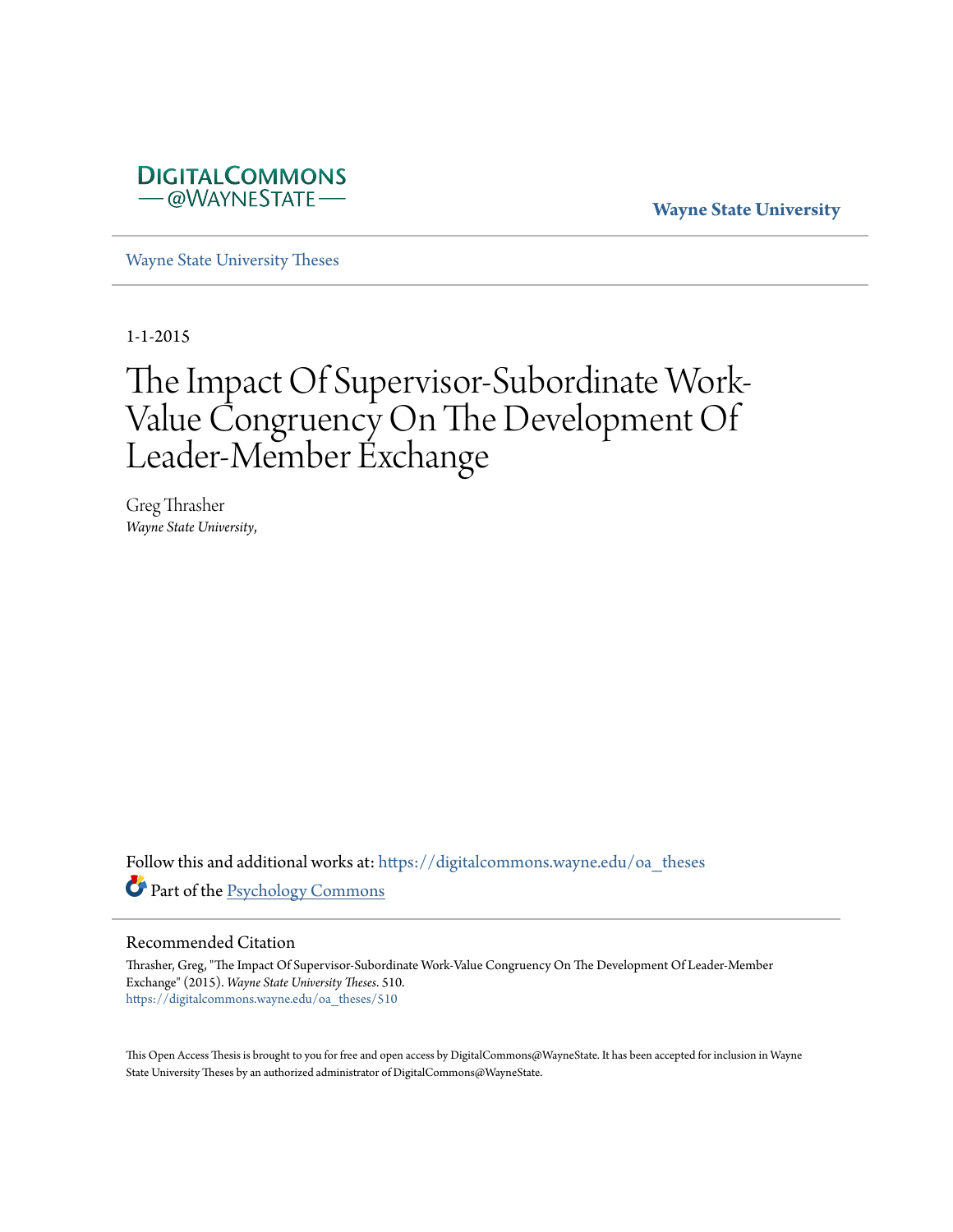

**Wayne State University**

[Wayne State University Theses](https://digitalcommons.wayne.edu/oa_theses?utm_source=digitalcommons.wayne.edu%2Foa_theses%2F510&utm_medium=PDF&utm_campaign=PDFCoverPages)

1-1-2015

# The Impact Of Supervisor-Subordinate Work-Value Congruency On The Development Of Leader-Member Exchange

Greg Thrasher *Wayne State University*,

Follow this and additional works at: [https://digitalcommons.wayne.edu/oa\\_theses](https://digitalcommons.wayne.edu/oa_theses?utm_source=digitalcommons.wayne.edu%2Foa_theses%2F510&utm_medium=PDF&utm_campaign=PDFCoverPages) Part of the [Psychology Commons](http://network.bepress.com/hgg/discipline/404?utm_source=digitalcommons.wayne.edu%2Foa_theses%2F510&utm_medium=PDF&utm_campaign=PDFCoverPages)

#### Recommended Citation

Thrasher, Greg, "The Impact Of Supervisor-Subordinate Work-Value Congruency On The Development Of Leader-Member Exchange" (2015). *Wayne State University Theses*. 510. [https://digitalcommons.wayne.edu/oa\\_theses/510](https://digitalcommons.wayne.edu/oa_theses/510?utm_source=digitalcommons.wayne.edu%2Foa_theses%2F510&utm_medium=PDF&utm_campaign=PDFCoverPages)

This Open Access Thesis is brought to you for free and open access by DigitalCommons@WayneState. It has been accepted for inclusion in Wayne State University Theses by an authorized administrator of DigitalCommons@WayneState.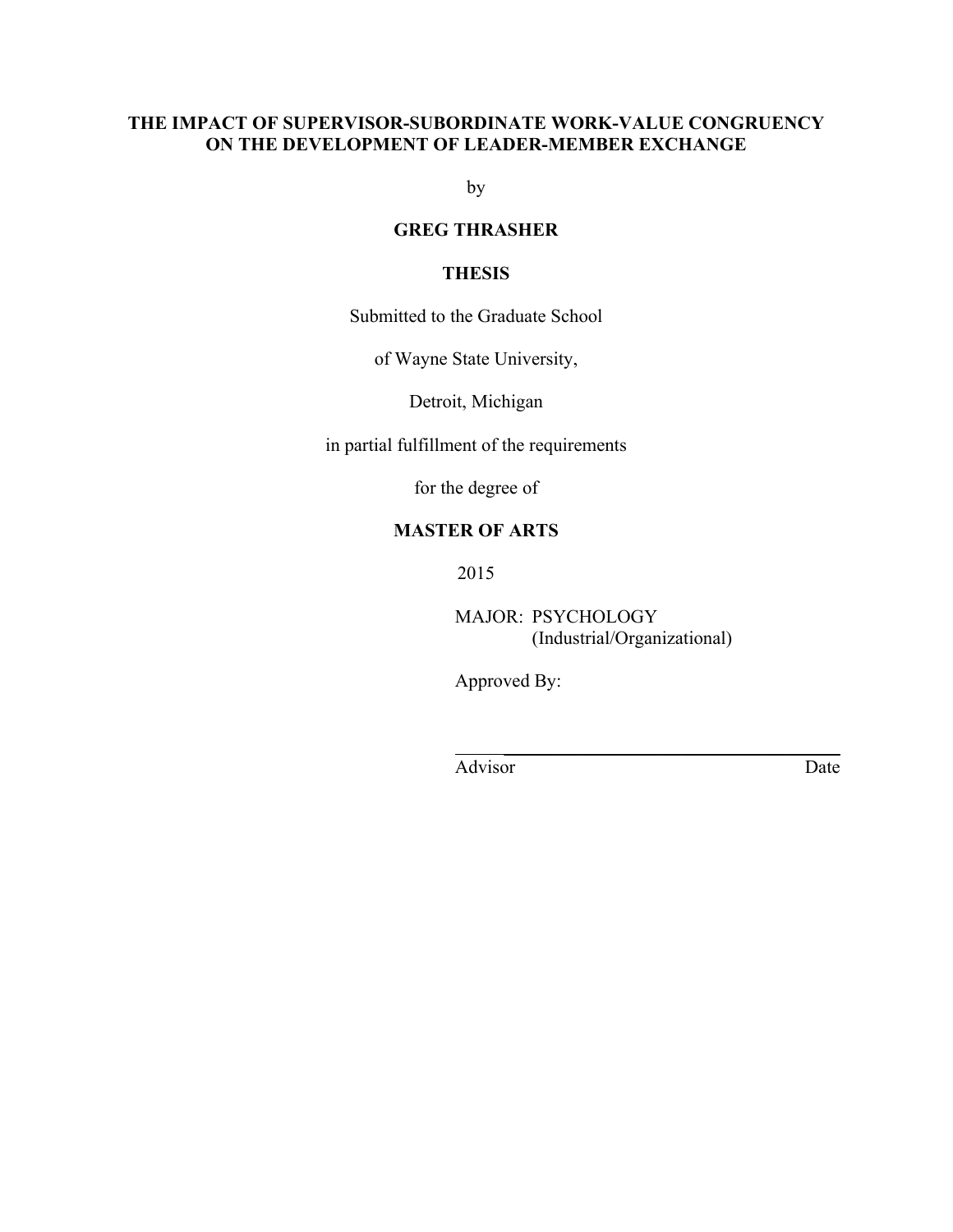#### **THE IMPACT OF SUPERVISOR-SUBORDINATE WORK-VALUE CONGRUENCY ON THE DEVELOPMENT OF LEADER-MEMBER EXCHANGE**

by

#### **GREG THRASHER**

#### **THESIS**

Submitted to the Graduate School

of Wayne State University,

Detroit, Michigan

in partial fulfillment of the requirements

for the degree of

#### **MASTER OF ARTS**

2015

MAJOR: PSYCHOLOGY (Industrial/Organizational)

 $\mathcal{L}_\text{max}$  and  $\mathcal{L}_\text{max}$  and  $\mathcal{L}_\text{max}$  and  $\mathcal{L}_\text{max}$ 

Approved By:

Advisor Date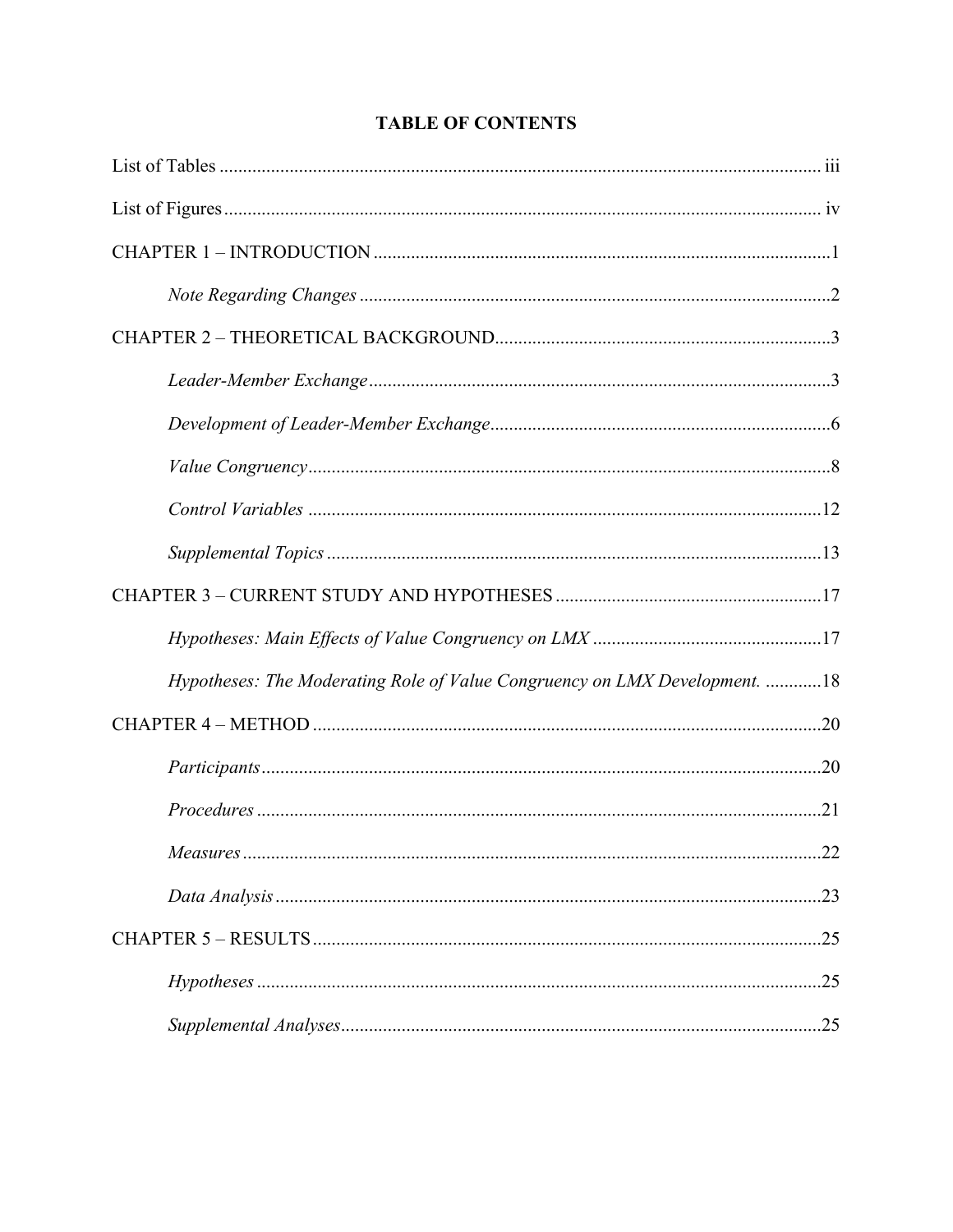| Hypotheses: The Moderating Role of Value Congruency on LMX Development. 18 |     |
|----------------------------------------------------------------------------|-----|
|                                                                            |     |
|                                                                            |     |
|                                                                            |     |
|                                                                            |     |
|                                                                            |     |
|                                                                            |     |
|                                                                            | .25 |
|                                                                            |     |

## **TABLE OF CONTENTS**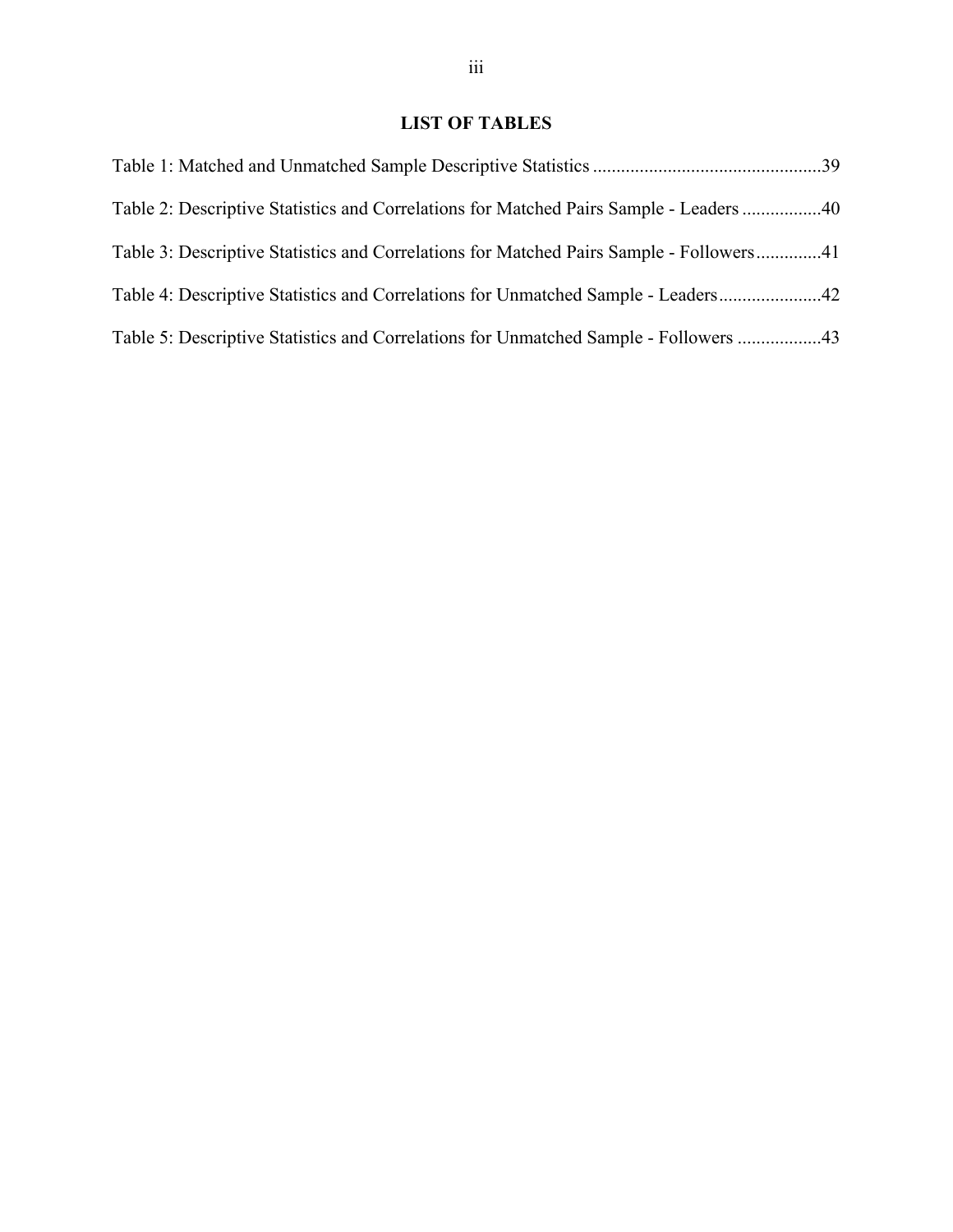## **LIST OF TABLES**

| Table 2: Descriptive Statistics and Correlations for Matched Pairs Sample - Leaders 40  |  |
|-----------------------------------------------------------------------------------------|--|
| Table 3: Descriptive Statistics and Correlations for Matched Pairs Sample - Followers41 |  |
|                                                                                         |  |
| Table 5: Descriptive Statistics and Correlations for Unmatched Sample - Followers 43    |  |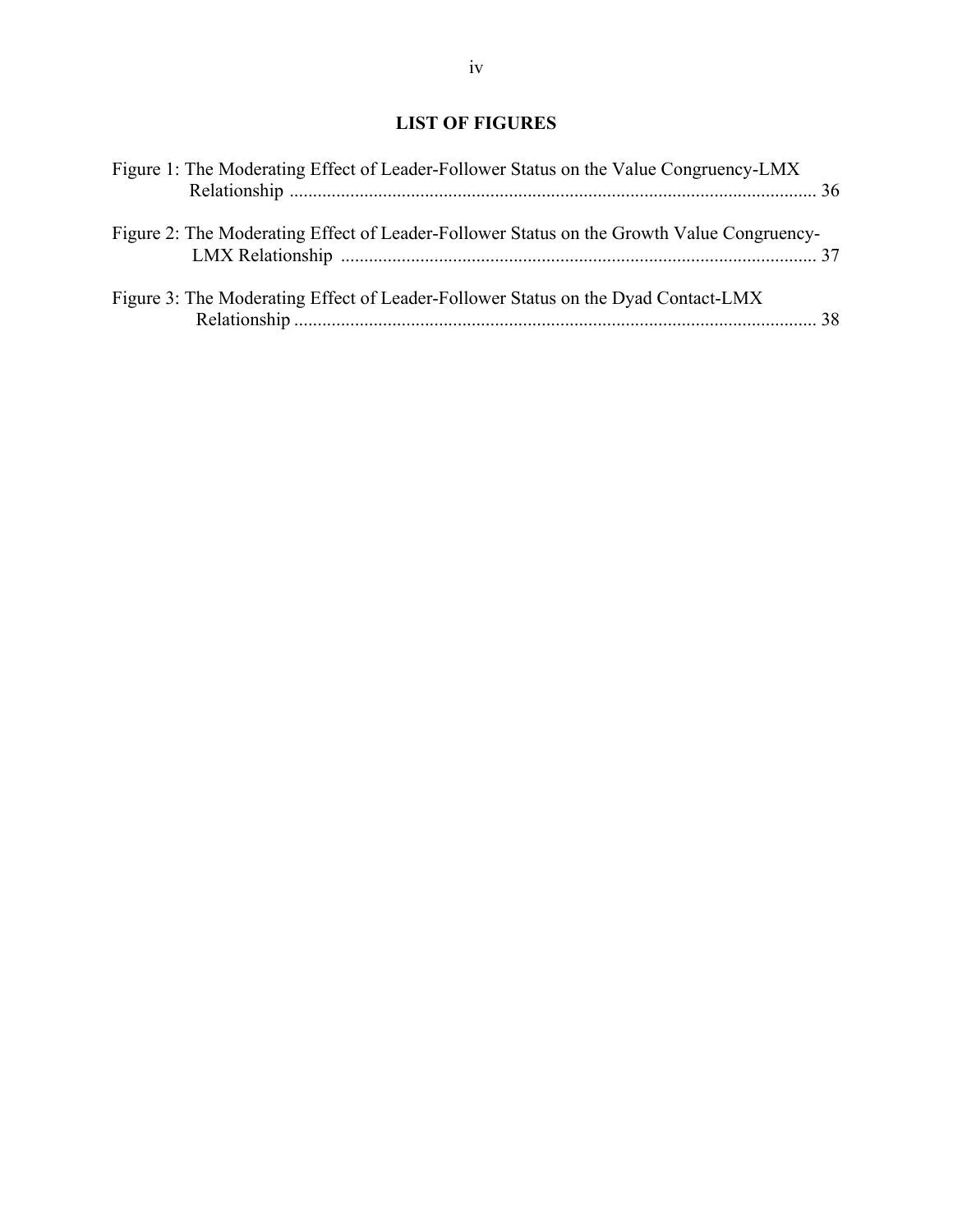## **LIST OF FIGURES**

| Figure 1: The Moderating Effect of Leader-Follower Status on the Value Congruency-LMX     |  |
|-------------------------------------------------------------------------------------------|--|
| Figure 2: The Moderating Effect of Leader-Follower Status on the Growth Value Congruency- |  |
| Figure 3: The Moderating Effect of Leader-Follower Status on the Dyad Contact-LMX         |  |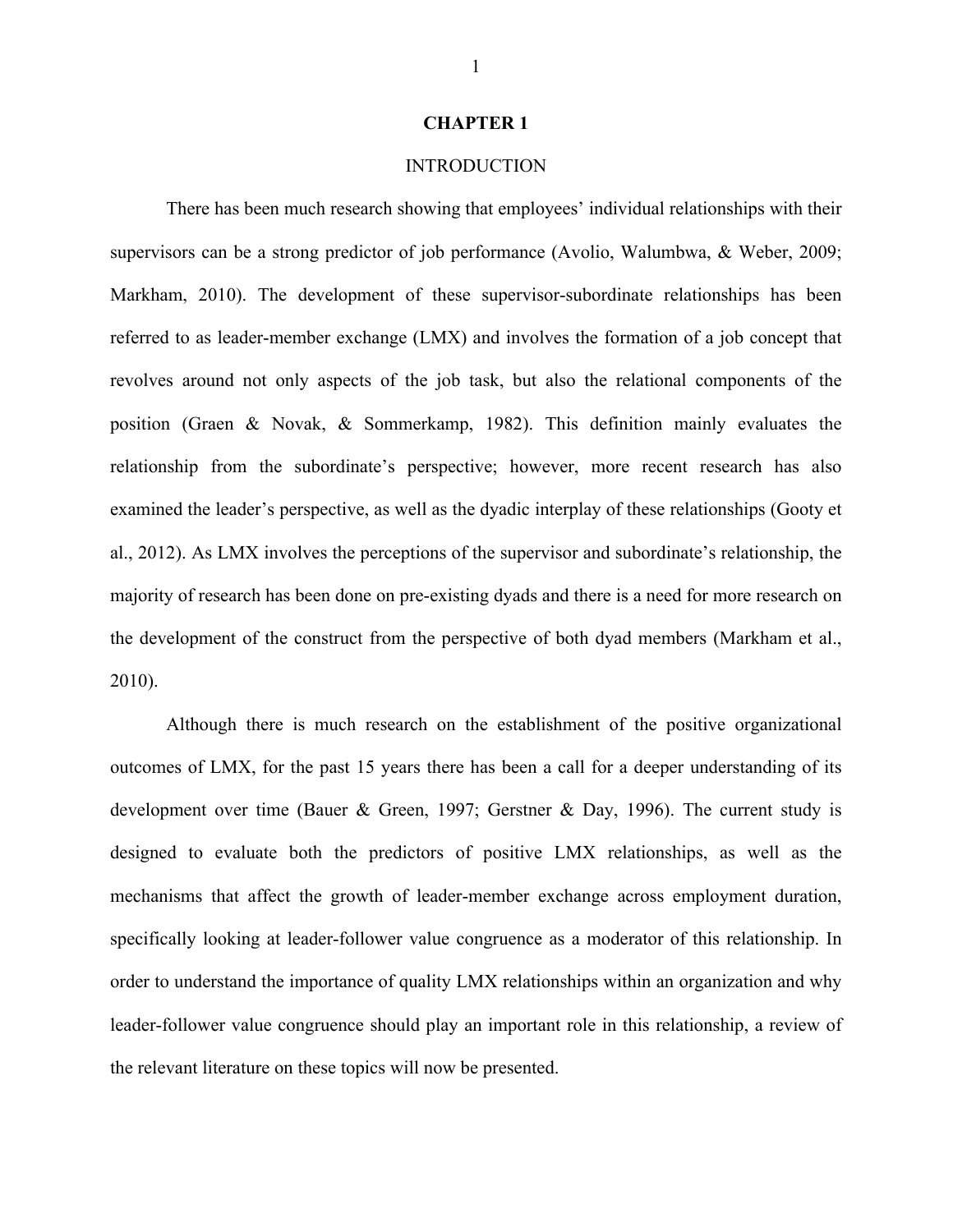#### **CHAPTER 1**

#### **INTRODUCTION**

There has been much research showing that employees' individual relationships with their supervisors can be a strong predictor of job performance (Avolio, Walumbwa, & Weber, 2009; Markham, 2010). The development of these supervisor-subordinate relationships has been referred to as leader-member exchange (LMX) and involves the formation of a job concept that revolves around not only aspects of the job task, but also the relational components of the position (Graen & Novak, & Sommerkamp, 1982). This definition mainly evaluates the relationship from the subordinate's perspective; however, more recent research has also examined the leader's perspective, as well as the dyadic interplay of these relationships (Gooty et al., 2012). As LMX involves the perceptions of the supervisor and subordinate's relationship, the majority of research has been done on pre-existing dyads and there is a need for more research on the development of the construct from the perspective of both dyad members (Markham et al., 2010).

Although there is much research on the establishment of the positive organizational outcomes of LMX, for the past 15 years there has been a call for a deeper understanding of its development over time (Bauer & Green, 1997; Gerstner & Day, 1996). The current study is designed to evaluate both the predictors of positive LMX relationships, as well as the mechanisms that affect the growth of leader-member exchange across employment duration, specifically looking at leader-follower value congruence as a moderator of this relationship. In order to understand the importance of quality LMX relationships within an organization and why leader-follower value congruence should play an important role in this relationship, a review of the relevant literature on these topics will now be presented.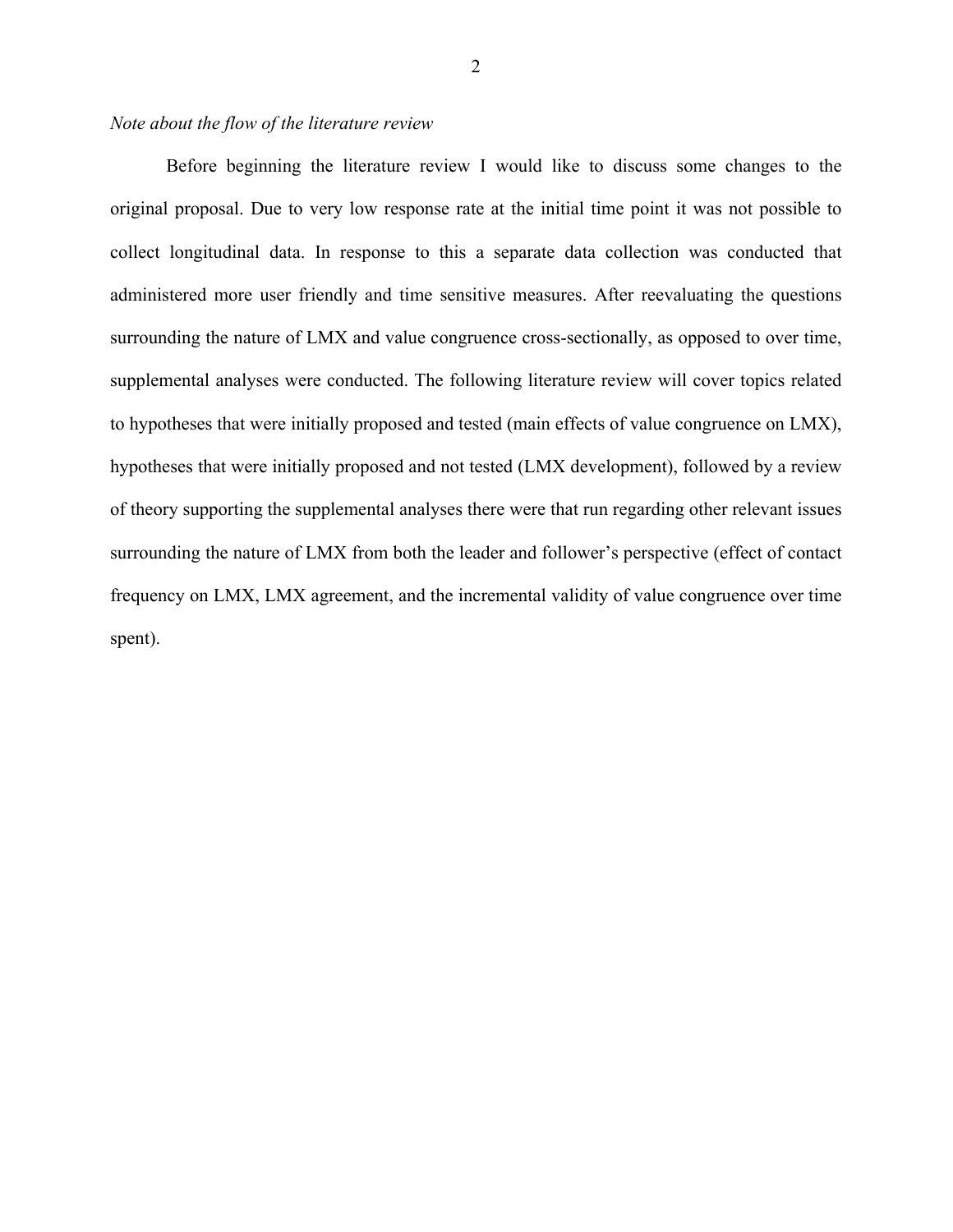#### *Note about the flow of the literature review*

Before beginning the literature review I would like to discuss some changes to the original proposal. Due to very low response rate at the initial time point it was not possible to collect longitudinal data. In response to this a separate data collection was conducted that administered more user friendly and time sensitive measures. After reevaluating the questions surrounding the nature of LMX and value congruence cross-sectionally, as opposed to over time, supplemental analyses were conducted. The following literature review will cover topics related to hypotheses that were initially proposed and tested (main effects of value congruence on LMX), hypotheses that were initially proposed and not tested (LMX development), followed by a review of theory supporting the supplemental analyses there were that run regarding other relevant issues surrounding the nature of LMX from both the leader and follower's perspective (effect of contact frequency on LMX, LMX agreement, and the incremental validity of value congruence over time spent).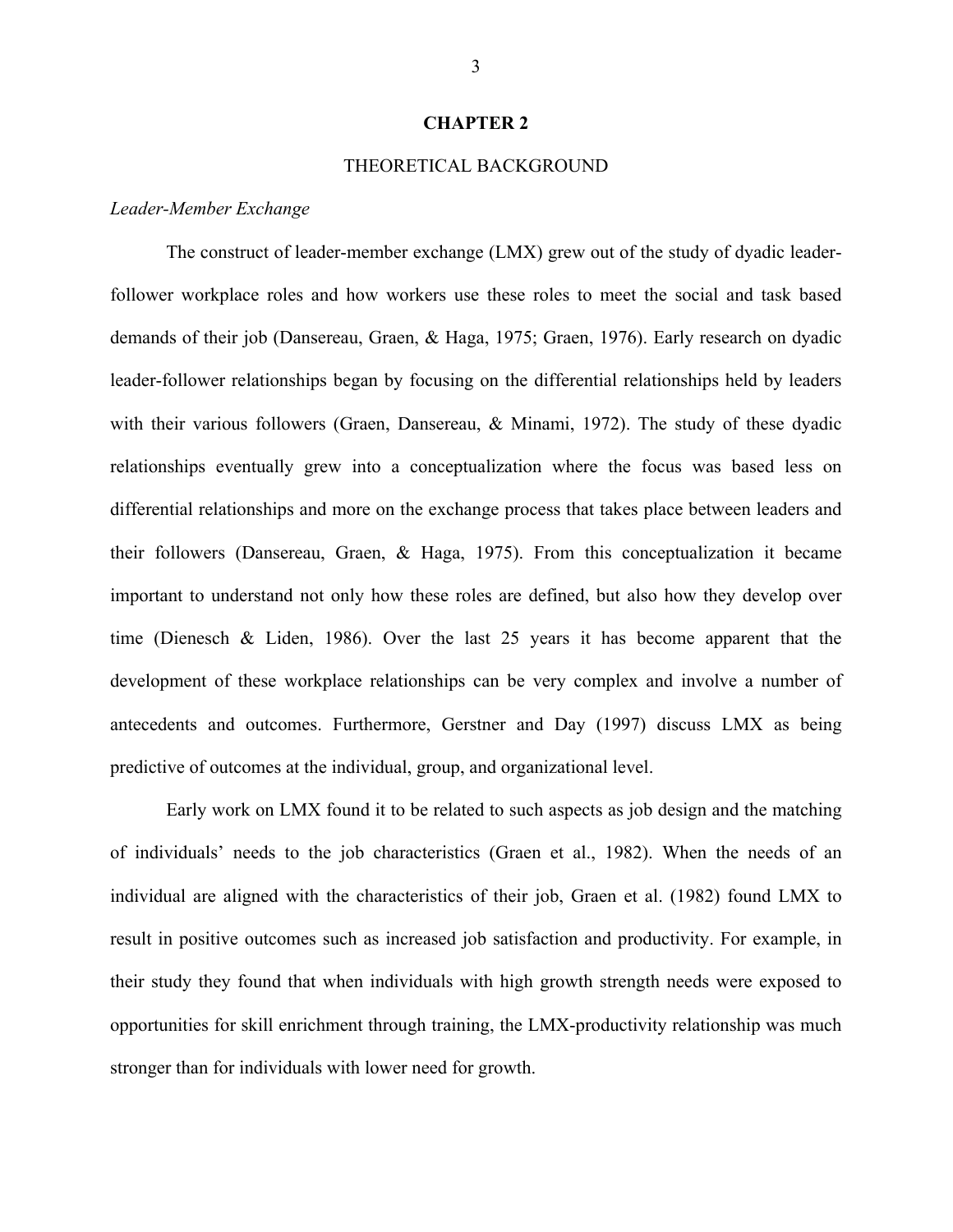#### **CHAPTER 2**

#### THEORETICAL BACKGROUND

#### *Leader-Member Exchange*

The construct of leader-member exchange (LMX) grew out of the study of dyadic leaderfollower workplace roles and how workers use these roles to meet the social and task based demands of their job (Dansereau, Graen, & Haga, 1975; Graen, 1976). Early research on dyadic leader-follower relationships began by focusing on the differential relationships held by leaders with their various followers (Graen, Dansereau, & Minami, 1972). The study of these dyadic relationships eventually grew into a conceptualization where the focus was based less on differential relationships and more on the exchange process that takes place between leaders and their followers (Dansereau, Graen, & Haga, 1975). From this conceptualization it became important to understand not only how these roles are defined, but also how they develop over time (Dienesch & Liden, 1986). Over the last 25 years it has become apparent that the development of these workplace relationships can be very complex and involve a number of antecedents and outcomes. Furthermore, Gerstner and Day (1997) discuss LMX as being predictive of outcomes at the individual, group, and organizational level.

Early work on LMX found it to be related to such aspects as job design and the matching of individuals' needs to the job characteristics (Graen et al., 1982). When the needs of an individual are aligned with the characteristics of their job, Graen et al. (1982) found LMX to result in positive outcomes such as increased job satisfaction and productivity. For example, in their study they found that when individuals with high growth strength needs were exposed to opportunities for skill enrichment through training, the LMX-productivity relationship was much stronger than for individuals with lower need for growth.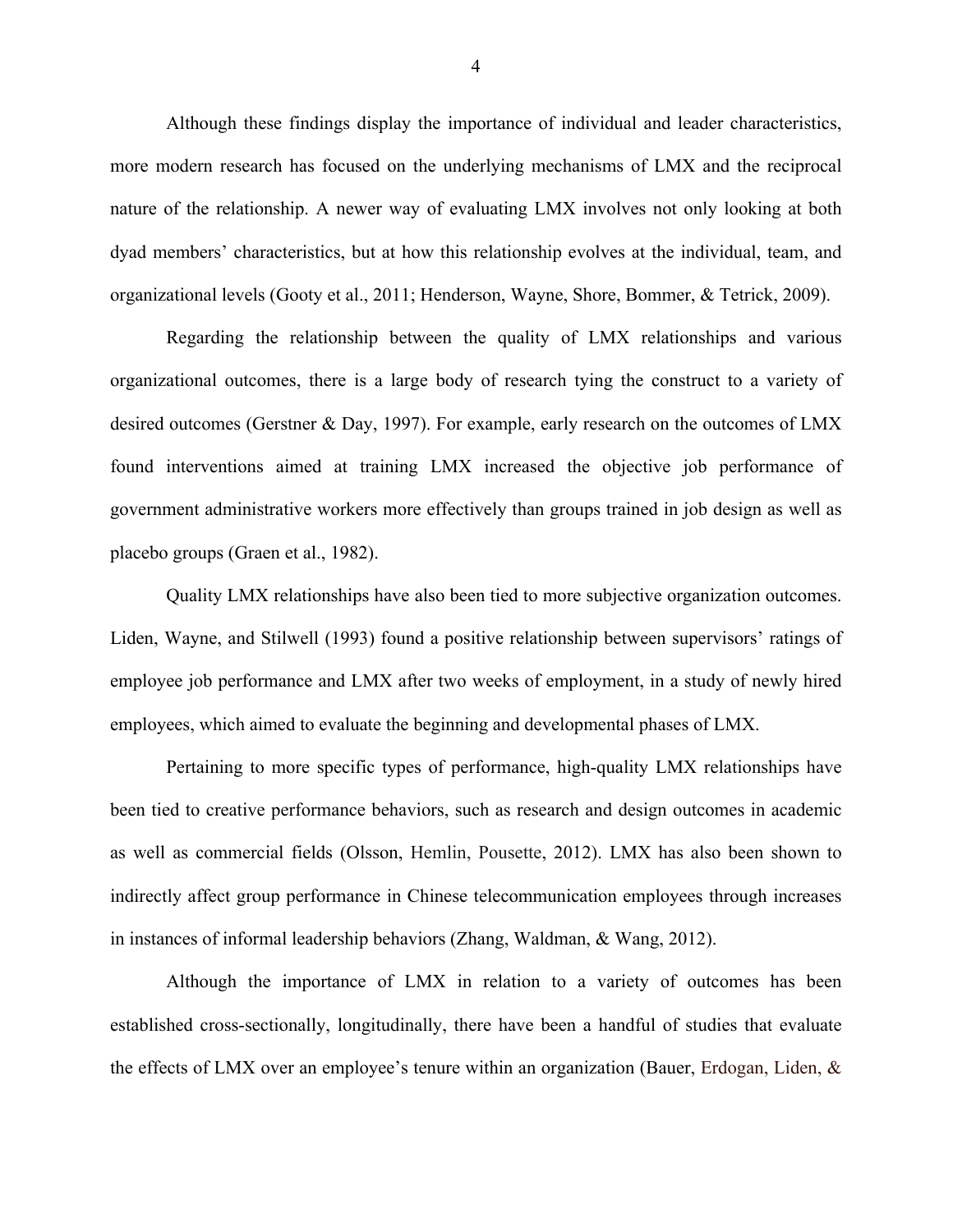Although these findings display the importance of individual and leader characteristics, more modern research has focused on the underlying mechanisms of LMX and the reciprocal nature of the relationship. A newer way of evaluating LMX involves not only looking at both dyad members' characteristics, but at how this relationship evolves at the individual, team, and organizational levels (Gooty et al., 2011; Henderson, Wayne, Shore, Bommer, & Tetrick, 2009).

Regarding the relationship between the quality of LMX relationships and various organizational outcomes, there is a large body of research tying the construct to a variety of desired outcomes (Gerstner & Day, 1997). For example, early research on the outcomes of LMX found interventions aimed at training LMX increased the objective job performance of government administrative workers more effectively than groups trained in job design as well as placebo groups (Graen et al., 1982).

Quality LMX relationships have also been tied to more subjective organization outcomes. Liden, Wayne, and Stilwell (1993) found a positive relationship between supervisors' ratings of employee job performance and LMX after two weeks of employment, in a study of newly hired employees, which aimed to evaluate the beginning and developmental phases of LMX.

Pertaining to more specific types of performance, high-quality LMX relationships have been tied to creative performance behaviors, such as research and design outcomes in academic as well as commercial fields (Olsson, Hemlin, Pousette, 2012). LMX has also been shown to indirectly affect group performance in Chinese telecommunication employees through increases in instances of informal leadership behaviors (Zhang, Waldman, & Wang, 2012).

Although the importance of LMX in relation to a variety of outcomes has been established cross-sectionally, longitudinally, there have been a handful of studies that evaluate the effects of LMX over an employee's tenure within an organization (Bauer, Erdogan, Liden, &

4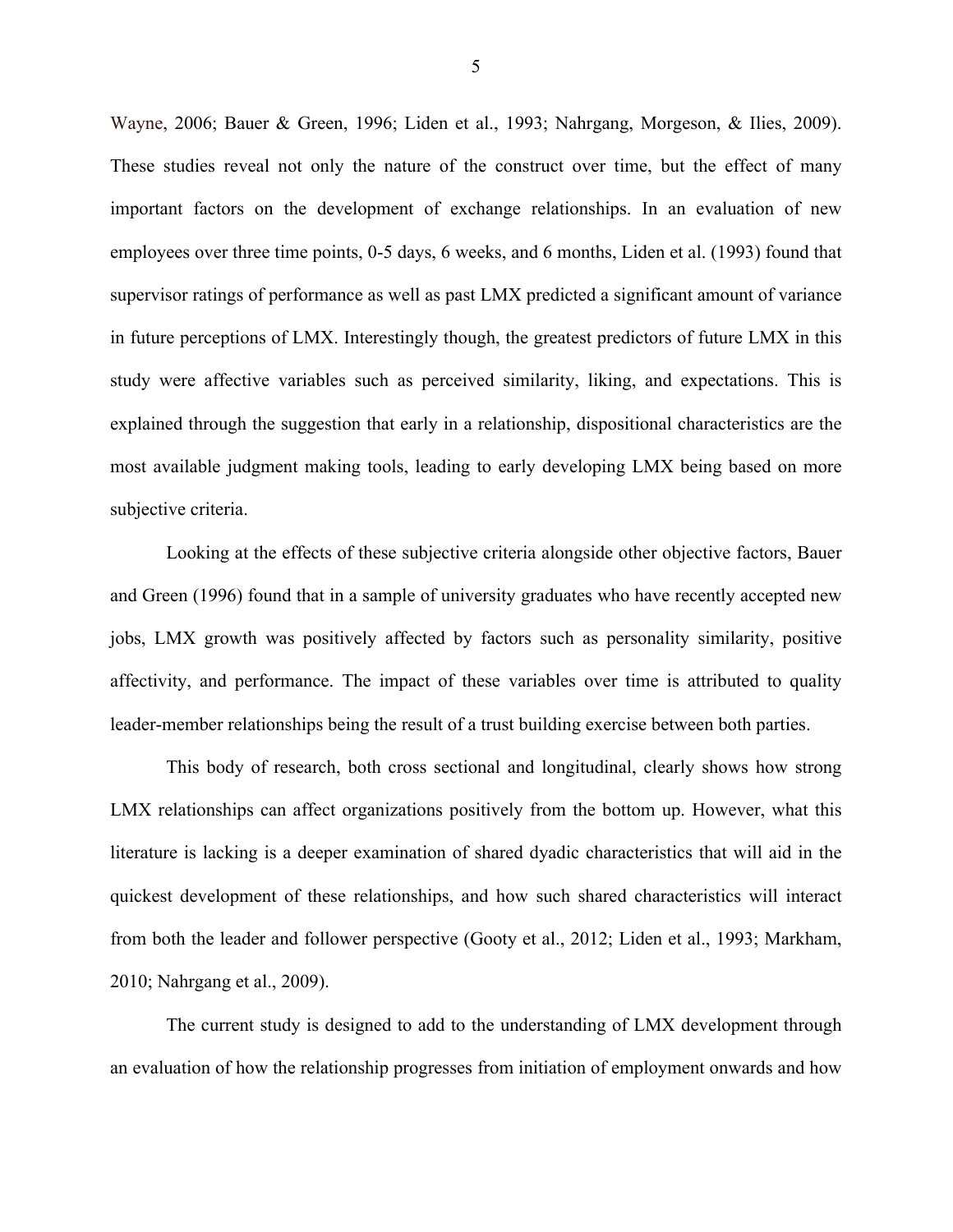Wayne, 2006; Bauer & Green, 1996; Liden et al., 1993; Nahrgang, Morgeson, & Ilies, 2009). These studies reveal not only the nature of the construct over time, but the effect of many important factors on the development of exchange relationships. In an evaluation of new employees over three time points, 0-5 days, 6 weeks, and 6 months, Liden et al. (1993) found that supervisor ratings of performance as well as past LMX predicted a significant amount of variance in future perceptions of LMX. Interestingly though, the greatest predictors of future LMX in this study were affective variables such as perceived similarity, liking, and expectations. This is explained through the suggestion that early in a relationship, dispositional characteristics are the most available judgment making tools, leading to early developing LMX being based on more subjective criteria.

Looking at the effects of these subjective criteria alongside other objective factors, Bauer and Green (1996) found that in a sample of university graduates who have recently accepted new jobs, LMX growth was positively affected by factors such as personality similarity, positive affectivity, and performance. The impact of these variables over time is attributed to quality leader-member relationships being the result of a trust building exercise between both parties.

This body of research, both cross sectional and longitudinal, clearly shows how strong LMX relationships can affect organizations positively from the bottom up. However, what this literature is lacking is a deeper examination of shared dyadic characteristics that will aid in the quickest development of these relationships, and how such shared characteristics will interact from both the leader and follower perspective (Gooty et al., 2012; Liden et al., 1993; Markham, 2010; Nahrgang et al., 2009).

The current study is designed to add to the understanding of LMX development through an evaluation of how the relationship progresses from initiation of employment onwards and how

5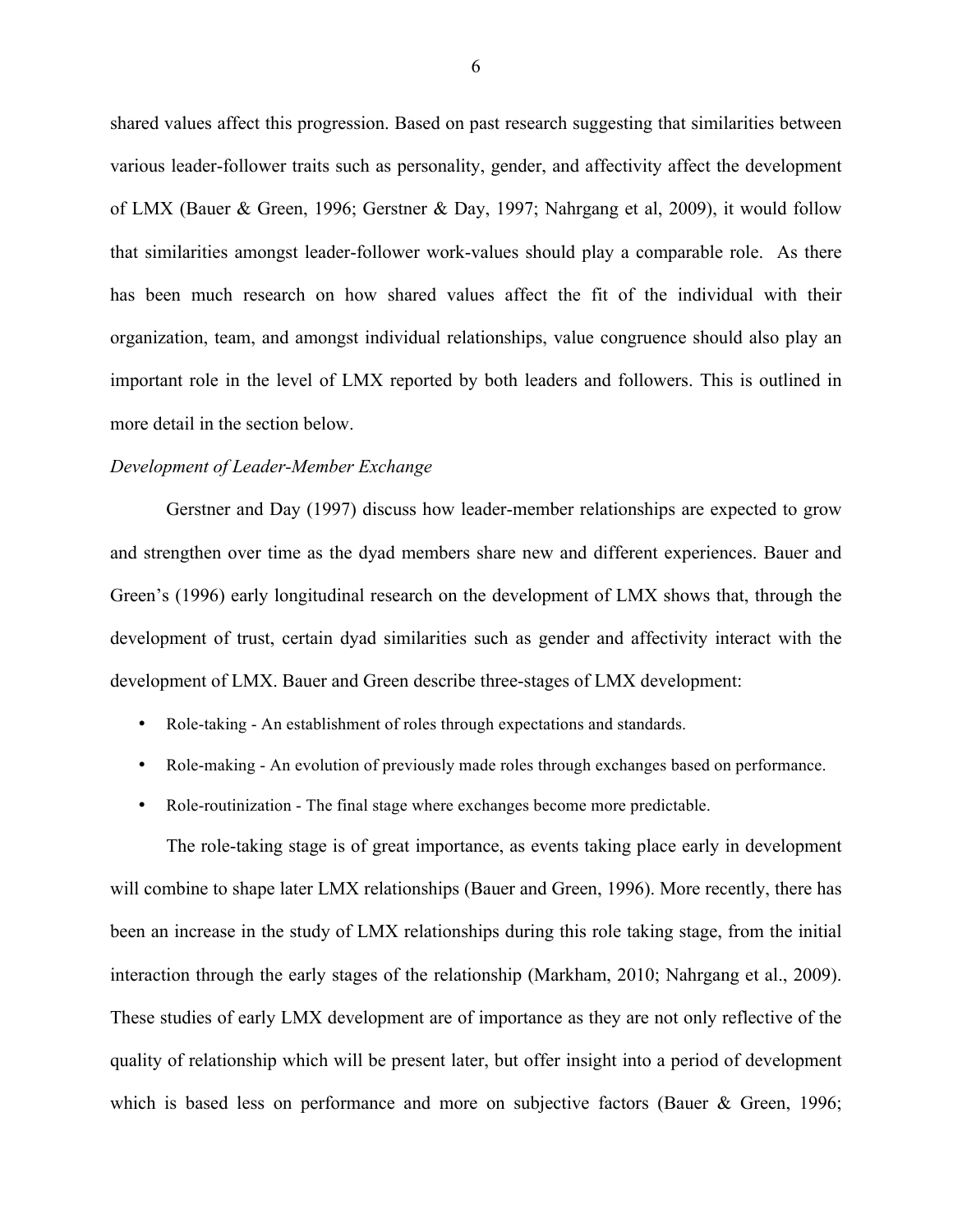shared values affect this progression. Based on past research suggesting that similarities between various leader-follower traits such as personality, gender, and affectivity affect the development of LMX (Bauer & Green, 1996; Gerstner & Day, 1997; Nahrgang et al, 2009), it would follow that similarities amongst leader-follower work-values should play a comparable role. As there has been much research on how shared values affect the fit of the individual with their organization, team, and amongst individual relationships, value congruence should also play an important role in the level of LMX reported by both leaders and followers. This is outlined in more detail in the section below.

#### *Development of Leader-Member Exchange*

Gerstner and Day (1997) discuss how leader-member relationships are expected to grow and strengthen over time as the dyad members share new and different experiences. Bauer and Green's (1996) early longitudinal research on the development of LMX shows that, through the development of trust, certain dyad similarities such as gender and affectivity interact with the development of LMX. Bauer and Green describe three-stages of LMX development:

- Role-taking An establishment of roles through expectations and standards.
- Role-making An evolution of previously made roles through exchanges based on performance.
- Role-routinization The final stage where exchanges become more predictable.

The role-taking stage is of great importance, as events taking place early in development will combine to shape later LMX relationships (Bauer and Green, 1996). More recently, there has been an increase in the study of LMX relationships during this role taking stage, from the initial interaction through the early stages of the relationship (Markham, 2010; Nahrgang et al., 2009). These studies of early LMX development are of importance as they are not only reflective of the quality of relationship which will be present later, but offer insight into a period of development which is based less on performance and more on subjective factors (Bauer & Green, 1996;

6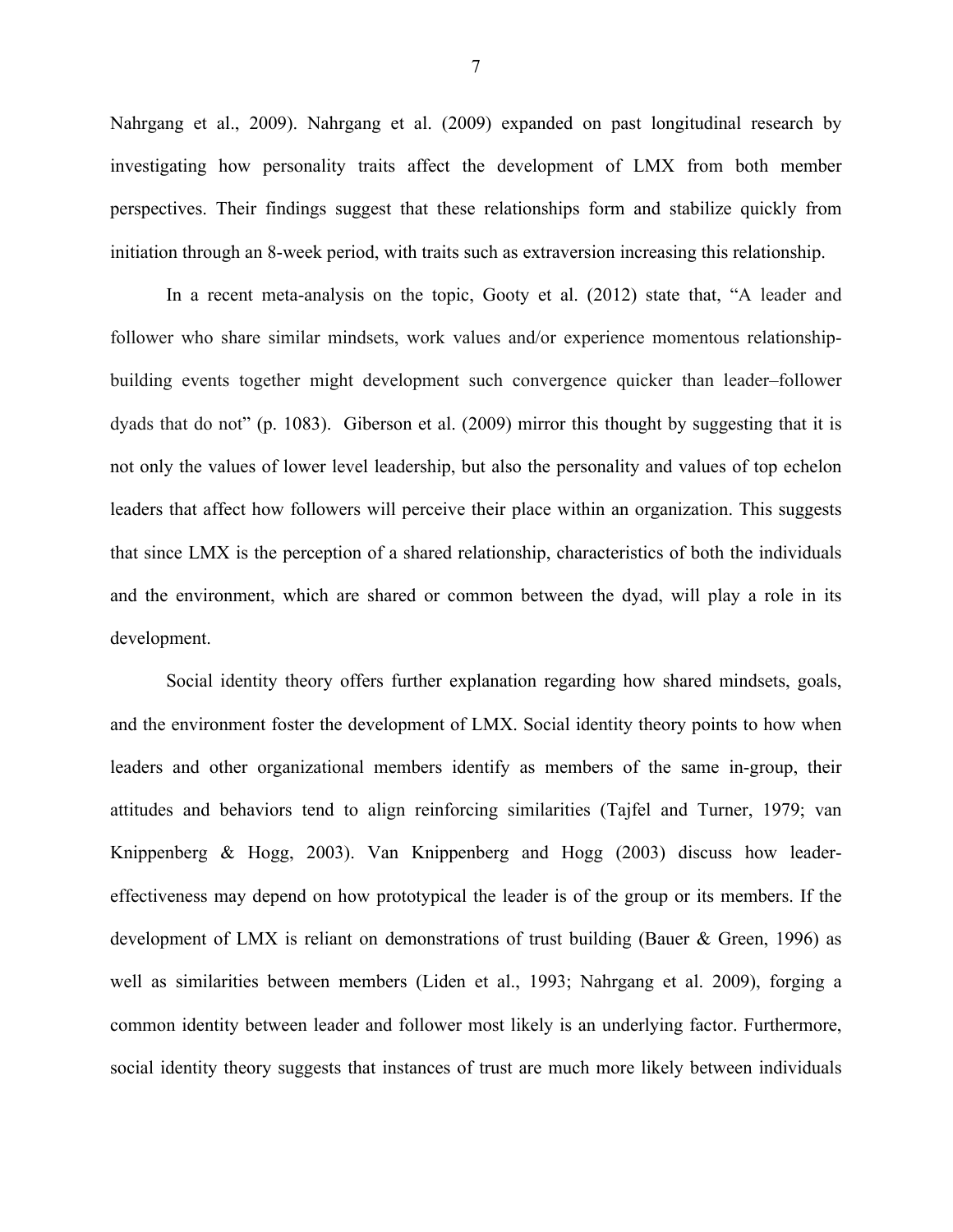Nahrgang et al., 2009). Nahrgang et al. (2009) expanded on past longitudinal research by investigating how personality traits affect the development of LMX from both member perspectives. Their findings suggest that these relationships form and stabilize quickly from initiation through an 8-week period, with traits such as extraversion increasing this relationship.

In a recent meta-analysis on the topic, Gooty et al. (2012) state that, "A leader and follower who share similar mindsets, work values and/or experience momentous relationshipbuilding events together might development such convergence quicker than leader–follower dyads that do not" (p. 1083). Giberson et al. (2009) mirror this thought by suggesting that it is not only the values of lower level leadership, but also the personality and values of top echelon leaders that affect how followers will perceive their place within an organization. This suggests that since LMX is the perception of a shared relationship, characteristics of both the individuals and the environment, which are shared or common between the dyad, will play a role in its development.

Social identity theory offers further explanation regarding how shared mindsets, goals, and the environment foster the development of LMX. Social identity theory points to how when leaders and other organizational members identify as members of the same in-group, their attitudes and behaviors tend to align reinforcing similarities (Tajfel and Turner, 1979; van Knippenberg & Hogg, 2003). Van Knippenberg and Hogg (2003) discuss how leadereffectiveness may depend on how prototypical the leader is of the group or its members. If the development of LMX is reliant on demonstrations of trust building (Bauer & Green, 1996) as well as similarities between members (Liden et al., 1993; Nahrgang et al. 2009), forging a common identity between leader and follower most likely is an underlying factor. Furthermore, social identity theory suggests that instances of trust are much more likely between individuals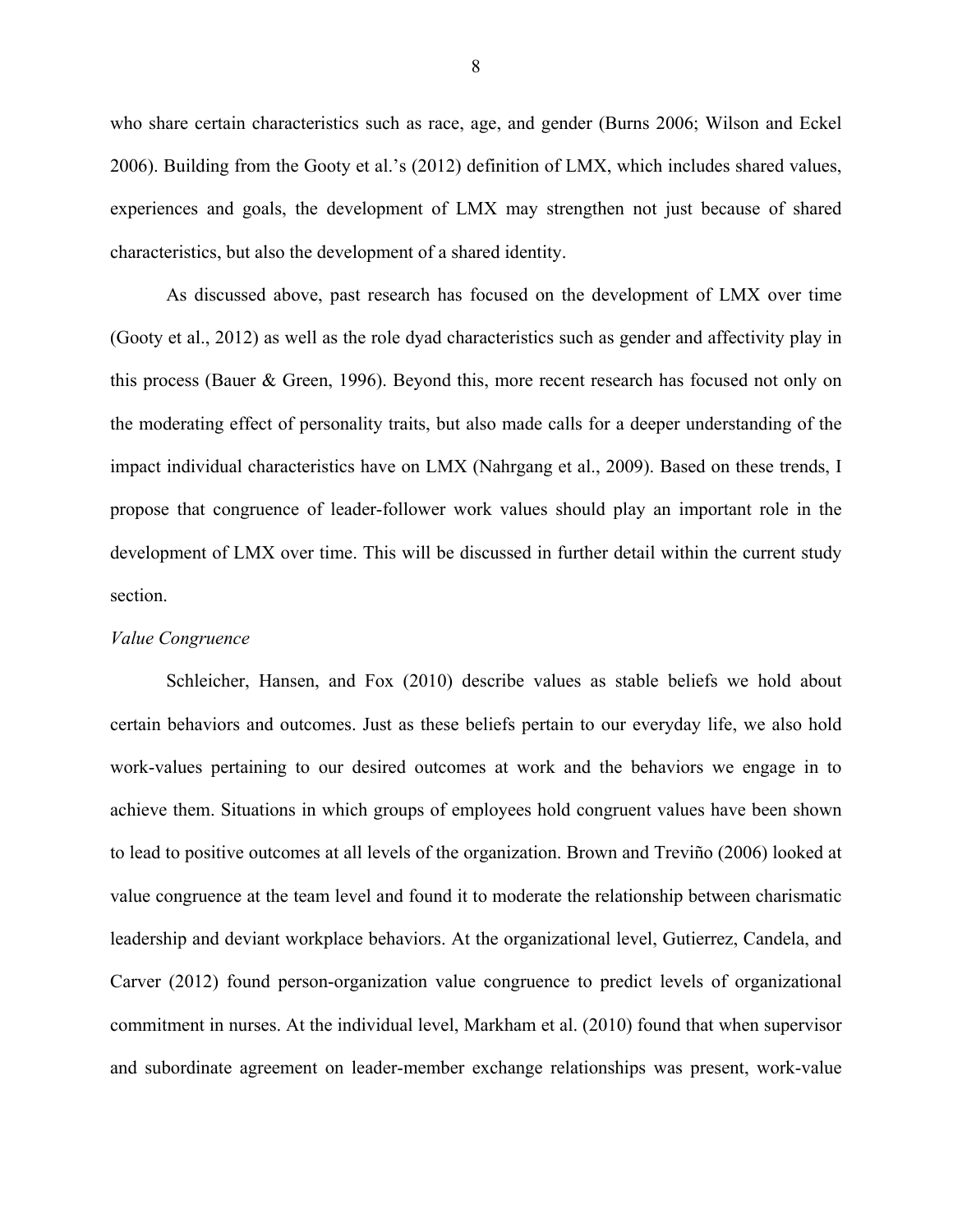who share certain characteristics such as race, age, and gender (Burns 2006; Wilson and Eckel 2006). Building from the Gooty et al.'s (2012) definition of LMX, which includes shared values, experiences and goals, the development of LMX may strengthen not just because of shared characteristics, but also the development of a shared identity.

As discussed above, past research has focused on the development of LMX over time (Gooty et al., 2012) as well as the role dyad characteristics such as gender and affectivity play in this process (Bauer & Green, 1996). Beyond this, more recent research has focused not only on the moderating effect of personality traits, but also made calls for a deeper understanding of the impact individual characteristics have on LMX (Nahrgang et al., 2009). Based on these trends, I propose that congruence of leader-follower work values should play an important role in the development of LMX over time. This will be discussed in further detail within the current study section.

#### *Value Congruence*

Schleicher, Hansen, and Fox (2010) describe values as stable beliefs we hold about certain behaviors and outcomes. Just as these beliefs pertain to our everyday life, we also hold work-values pertaining to our desired outcomes at work and the behaviors we engage in to achieve them. Situations in which groups of employees hold congruent values have been shown to lead to positive outcomes at all levels of the organization. Brown and Treviño (2006) looked at value congruence at the team level and found it to moderate the relationship between charismatic leadership and deviant workplace behaviors. At the organizational level, Gutierrez, Candela, and Carver (2012) found person-organization value congruence to predict levels of organizational commitment in nurses. At the individual level, Markham et al. (2010) found that when supervisor and subordinate agreement on leader-member exchange relationships was present, work-value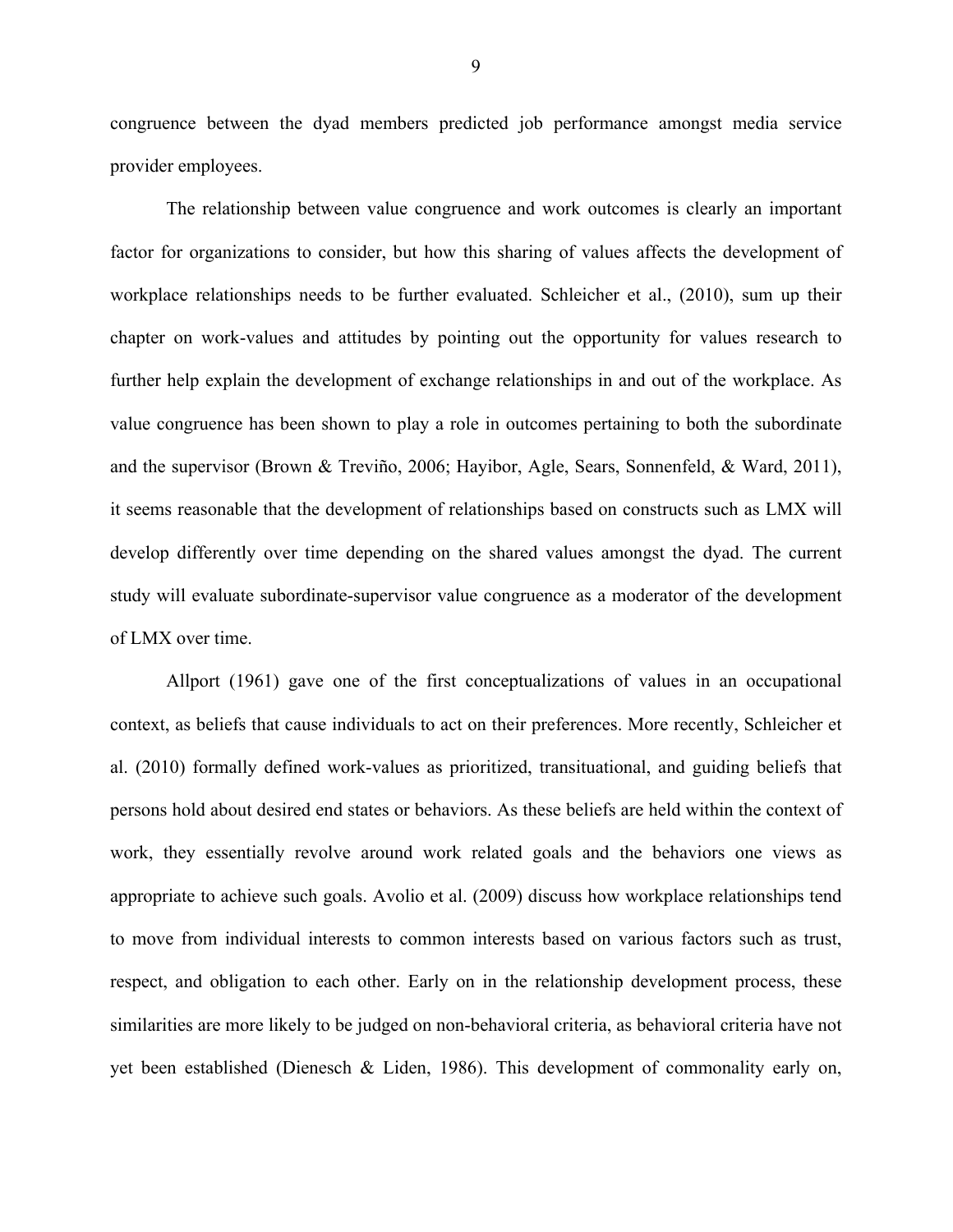congruence between the dyad members predicted job performance amongst media service provider employees.

The relationship between value congruence and work outcomes is clearly an important factor for organizations to consider, but how this sharing of values affects the development of workplace relationships needs to be further evaluated. Schleicher et al., (2010), sum up their chapter on work-values and attitudes by pointing out the opportunity for values research to further help explain the development of exchange relationships in and out of the workplace. As value congruence has been shown to play a role in outcomes pertaining to both the subordinate and the supervisor (Brown & Treviño, 2006; Hayibor, Agle, Sears, Sonnenfeld, & Ward, 2011), it seems reasonable that the development of relationships based on constructs such as LMX will develop differently over time depending on the shared values amongst the dyad. The current study will evaluate subordinate-supervisor value congruence as a moderator of the development of LMX over time.

Allport (1961) gave one of the first conceptualizations of values in an occupational context, as beliefs that cause individuals to act on their preferences. More recently, Schleicher et al. (2010) formally defined work-values as prioritized, transituational, and guiding beliefs that persons hold about desired end states or behaviors. As these beliefs are held within the context of work, they essentially revolve around work related goals and the behaviors one views as appropriate to achieve such goals. Avolio et al. (2009) discuss how workplace relationships tend to move from individual interests to common interests based on various factors such as trust, respect, and obligation to each other. Early on in the relationship development process, these similarities are more likely to be judged on non-behavioral criteria, as behavioral criteria have not yet been established (Dienesch & Liden, 1986). This development of commonality early on,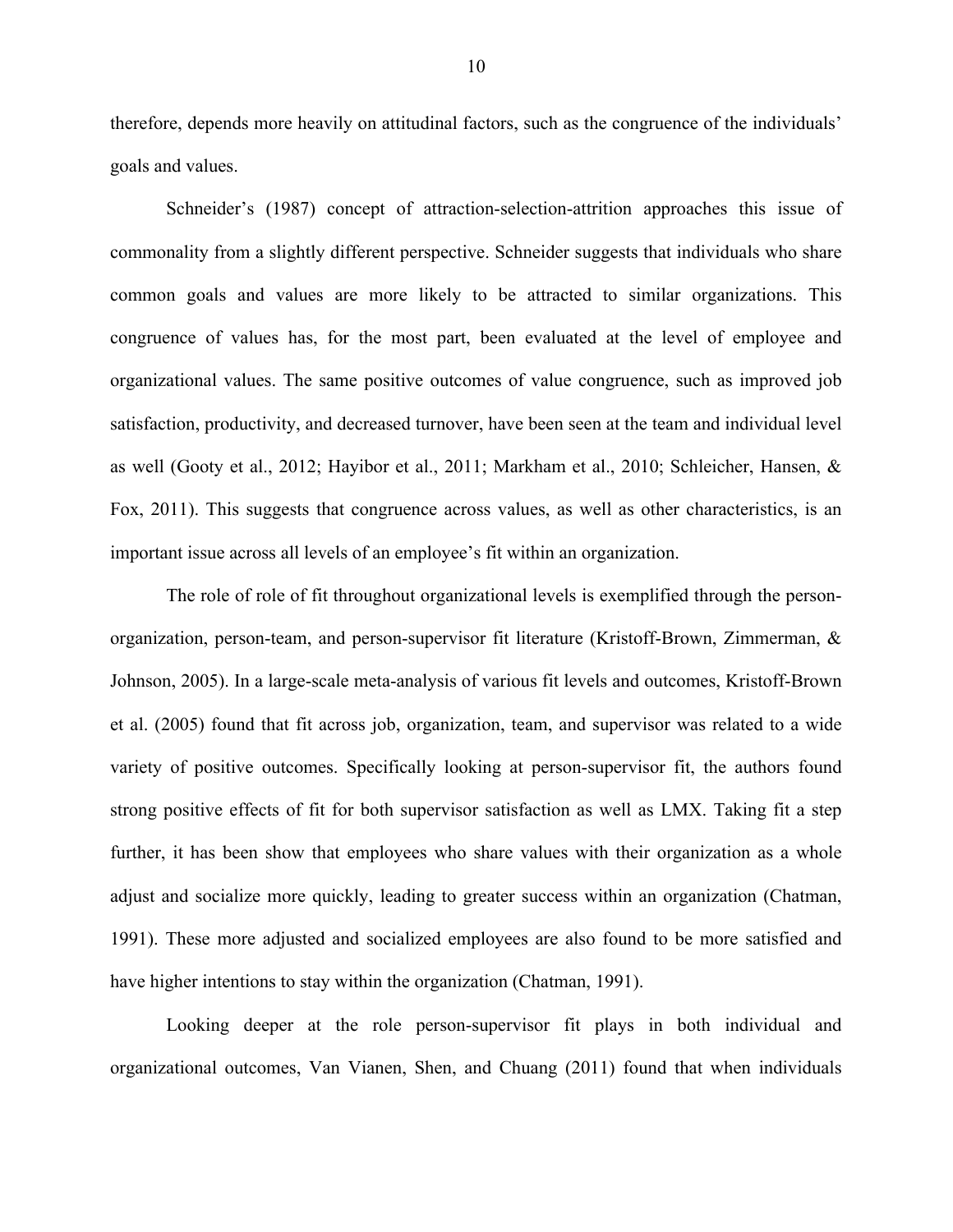therefore, depends more heavily on attitudinal factors, such as the congruence of the individuals' goals and values.

Schneider's (1987) concept of attraction-selection-attrition approaches this issue of commonality from a slightly different perspective. Schneider suggests that individuals who share common goals and values are more likely to be attracted to similar organizations. This congruence of values has, for the most part, been evaluated at the level of employee and organizational values. The same positive outcomes of value congruence, such as improved job satisfaction, productivity, and decreased turnover, have been seen at the team and individual level as well (Gooty et al., 2012; Hayibor et al., 2011; Markham et al., 2010; Schleicher, Hansen, & Fox, 2011). This suggests that congruence across values, as well as other characteristics, is an important issue across all levels of an employee's fit within an organization.

The role of role of fit throughout organizational levels is exemplified through the personorganization, person-team, and person-supervisor fit literature (Kristoff-Brown, Zimmerman, & Johnson, 2005). In a large-scale meta-analysis of various fit levels and outcomes, Kristoff-Brown et al. (2005) found that fit across job, organization, team, and supervisor was related to a wide variety of positive outcomes. Specifically looking at person-supervisor fit, the authors found strong positive effects of fit for both supervisor satisfaction as well as LMX. Taking fit a step further, it has been show that employees who share values with their organization as a whole adjust and socialize more quickly, leading to greater success within an organization (Chatman, 1991). These more adjusted and socialized employees are also found to be more satisfied and have higher intentions to stay within the organization (Chatman, 1991).

Looking deeper at the role person-supervisor fit plays in both individual and organizational outcomes, Van Vianen, Shen, and Chuang (2011) found that when individuals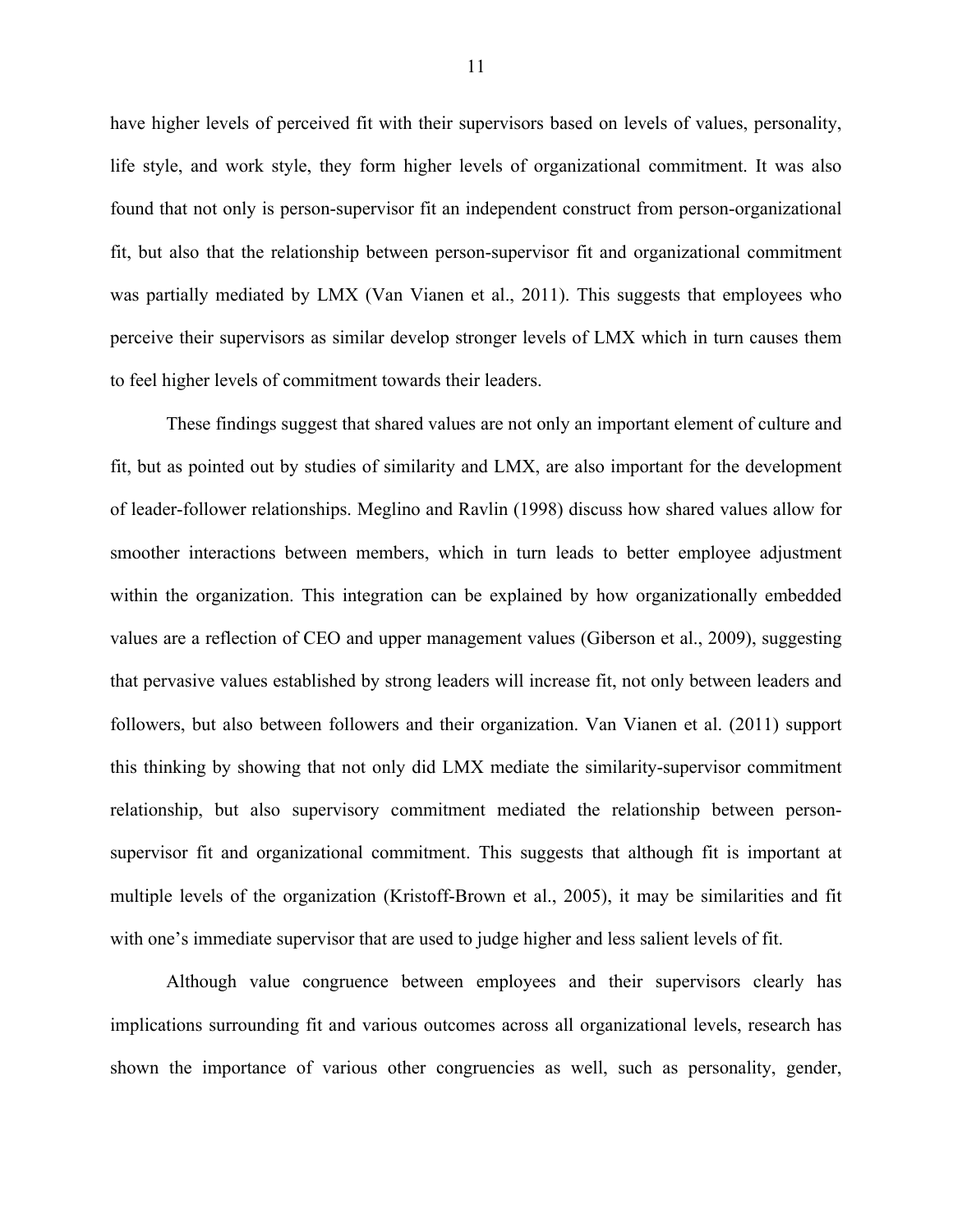have higher levels of perceived fit with their supervisors based on levels of values, personality, life style, and work style, they form higher levels of organizational commitment. It was also found that not only is person-supervisor fit an independent construct from person-organizational fit, but also that the relationship between person-supervisor fit and organizational commitment was partially mediated by LMX (Van Vianen et al., 2011). This suggests that employees who perceive their supervisors as similar develop stronger levels of LMX which in turn causes them to feel higher levels of commitment towards their leaders.

These findings suggest that shared values are not only an important element of culture and fit, but as pointed out by studies of similarity and LMX, are also important for the development of leader-follower relationships. Meglino and Ravlin (1998) discuss how shared values allow for smoother interactions between members, which in turn leads to better employee adjustment within the organization. This integration can be explained by how organizationally embedded values are a reflection of CEO and upper management values (Giberson et al., 2009), suggesting that pervasive values established by strong leaders will increase fit, not only between leaders and followers, but also between followers and their organization. Van Vianen et al. (2011) support this thinking by showing that not only did LMX mediate the similarity-supervisor commitment relationship, but also supervisory commitment mediated the relationship between personsupervisor fit and organizational commitment. This suggests that although fit is important at multiple levels of the organization (Kristoff-Brown et al., 2005), it may be similarities and fit with one's immediate supervisor that are used to judge higher and less salient levels of fit.

Although value congruence between employees and their supervisors clearly has implications surrounding fit and various outcomes across all organizational levels, research has shown the importance of various other congruencies as well, such as personality, gender,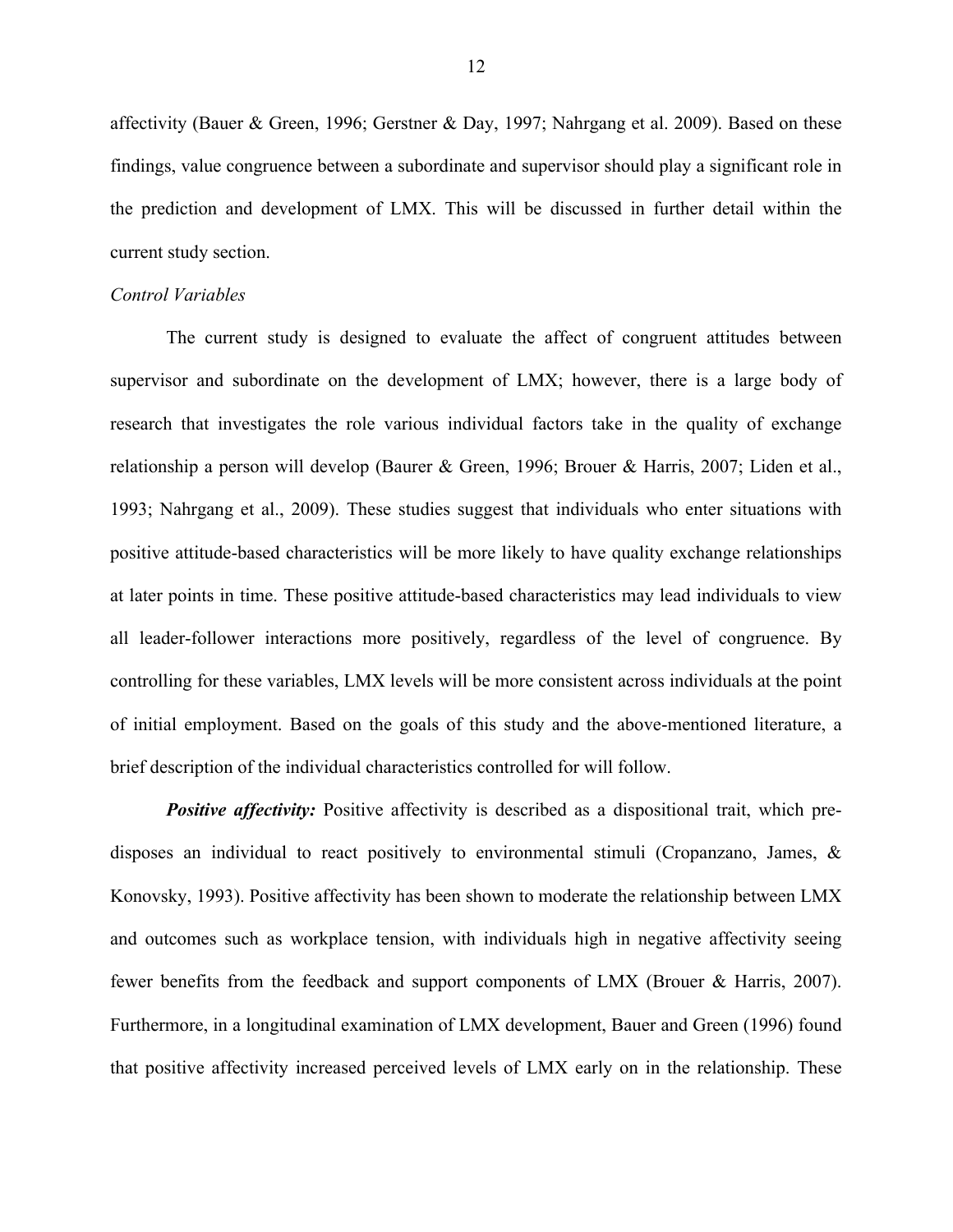affectivity (Bauer & Green, 1996; Gerstner & Day, 1997; Nahrgang et al. 2009). Based on these findings, value congruence between a subordinate and supervisor should play a significant role in the prediction and development of LMX. This will be discussed in further detail within the current study section.

#### *Control Variables*

The current study is designed to evaluate the affect of congruent attitudes between supervisor and subordinate on the development of LMX; however, there is a large body of research that investigates the role various individual factors take in the quality of exchange relationship a person will develop (Baurer & Green, 1996; Brouer & Harris, 2007; Liden et al., 1993; Nahrgang et al., 2009). These studies suggest that individuals who enter situations with positive attitude-based characteristics will be more likely to have quality exchange relationships at later points in time. These positive attitude-based characteristics may lead individuals to view all leader-follower interactions more positively, regardless of the level of congruence. By controlling for these variables, LMX levels will be more consistent across individuals at the point of initial employment. Based on the goals of this study and the above-mentioned literature, a brief description of the individual characteristics controlled for will follow.

**Positive affectivity:** Positive affectivity is described as a dispositional trait, which predisposes an individual to react positively to environmental stimuli (Cropanzano, James, & Konovsky, 1993). Positive affectivity has been shown to moderate the relationship between LMX and outcomes such as workplace tension, with individuals high in negative affectivity seeing fewer benefits from the feedback and support components of LMX (Brouer & Harris, 2007). Furthermore, in a longitudinal examination of LMX development, Bauer and Green (1996) found that positive affectivity increased perceived levels of LMX early on in the relationship. These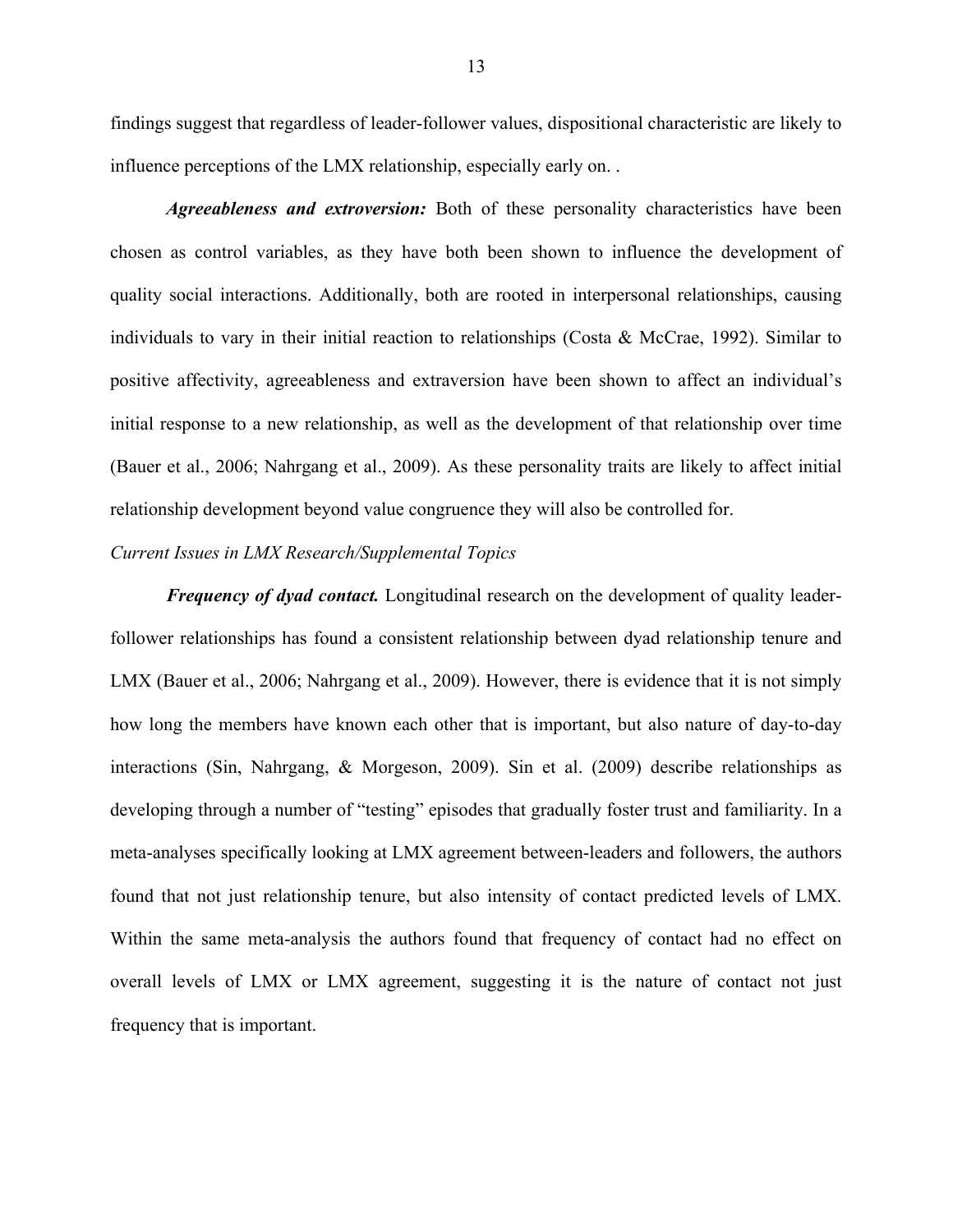findings suggest that regardless of leader-follower values, dispositional characteristic are likely to influence perceptions of the LMX relationship, especially early on. .

*Agreeableness and extroversion:* Both of these personality characteristics have been chosen as control variables, as they have both been shown to influence the development of quality social interactions. Additionally, both are rooted in interpersonal relationships, causing individuals to vary in their initial reaction to relationships (Costa  $\&$  McCrae, 1992). Similar to positive affectivity, agreeableness and extraversion have been shown to affect an individual's initial response to a new relationship, as well as the development of that relationship over time (Bauer et al., 2006; Nahrgang et al., 2009). As these personality traits are likely to affect initial relationship development beyond value congruence they will also be controlled for.

#### *Current Issues in LMX Research/Supplemental Topics*

*Frequency of dyad contact.* Longitudinal research on the development of quality leaderfollower relationships has found a consistent relationship between dyad relationship tenure and LMX (Bauer et al., 2006; Nahrgang et al., 2009). However, there is evidence that it is not simply how long the members have known each other that is important, but also nature of day-to-day interactions (Sin, Nahrgang, & Morgeson, 2009). Sin et al. (2009) describe relationships as developing through a number of "testing" episodes that gradually foster trust and familiarity. In a meta-analyses specifically looking at LMX agreement between-leaders and followers, the authors found that not just relationship tenure, but also intensity of contact predicted levels of LMX. Within the same meta-analysis the authors found that frequency of contact had no effect on overall levels of LMX or LMX agreement, suggesting it is the nature of contact not just frequency that is important.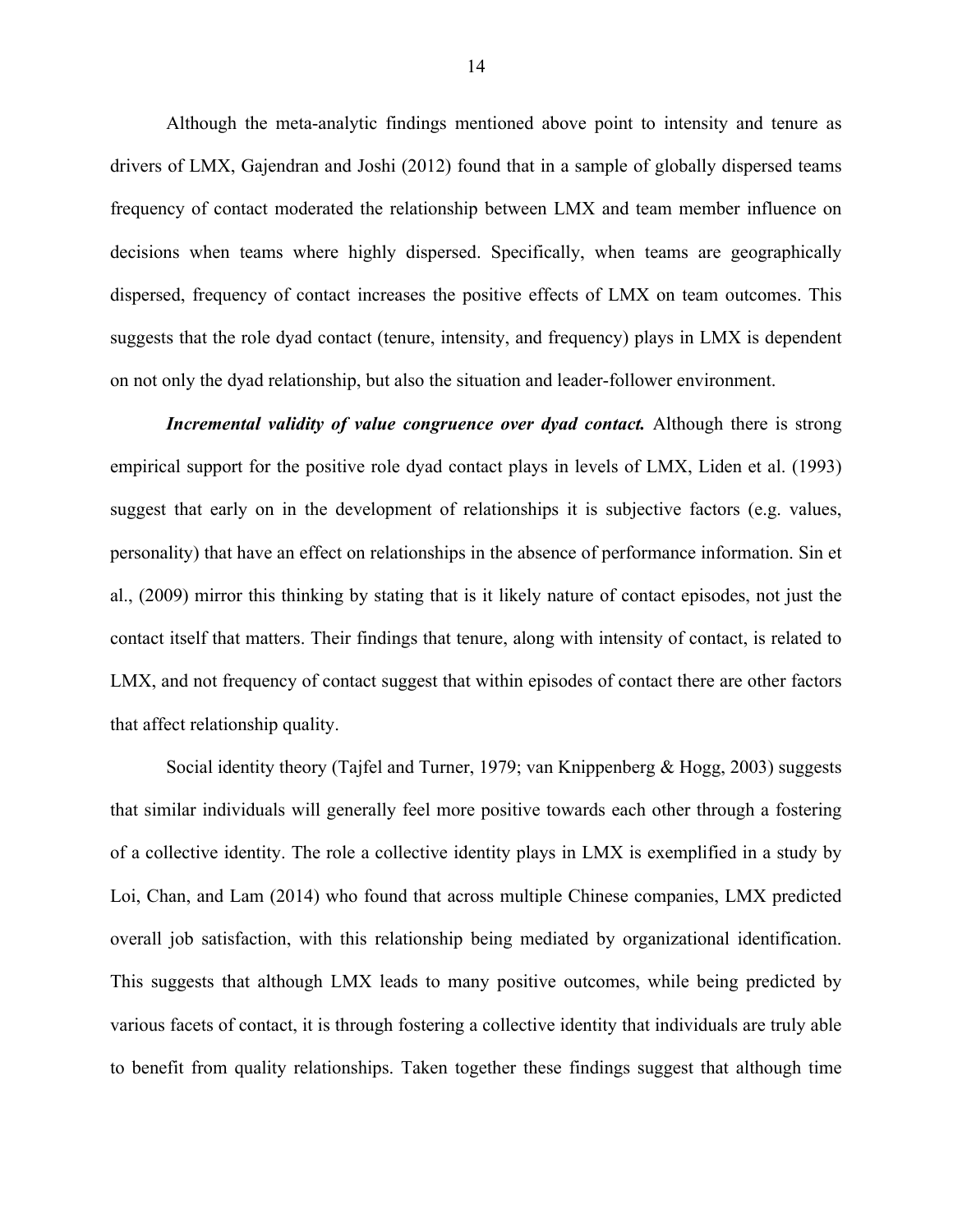Although the meta-analytic findings mentioned above point to intensity and tenure as drivers of LMX, Gajendran and Joshi (2012) found that in a sample of globally dispersed teams frequency of contact moderated the relationship between LMX and team member influence on decisions when teams where highly dispersed. Specifically, when teams are geographically dispersed, frequency of contact increases the positive effects of LMX on team outcomes. This suggests that the role dyad contact (tenure, intensity, and frequency) plays in LMX is dependent on not only the dyad relationship, but also the situation and leader-follower environment.

*Incremental validity of value congruence over dyad contact.* Although there is strong empirical support for the positive role dyad contact plays in levels of LMX, Liden et al. (1993) suggest that early on in the development of relationships it is subjective factors (e.g. values, personality) that have an effect on relationships in the absence of performance information. Sin et al., (2009) mirror this thinking by stating that is it likely nature of contact episodes, not just the contact itself that matters. Their findings that tenure, along with intensity of contact, is related to LMX, and not frequency of contact suggest that within episodes of contact there are other factors that affect relationship quality.

Social identity theory (Tajfel and Turner, 1979; van Knippenberg & Hogg, 2003) suggests that similar individuals will generally feel more positive towards each other through a fostering of a collective identity. The role a collective identity plays in LMX is exemplified in a study by Loi, Chan, and Lam (2014) who found that across multiple Chinese companies, LMX predicted overall job satisfaction, with this relationship being mediated by organizational identification. This suggests that although LMX leads to many positive outcomes, while being predicted by various facets of contact, it is through fostering a collective identity that individuals are truly able to benefit from quality relationships. Taken together these findings suggest that although time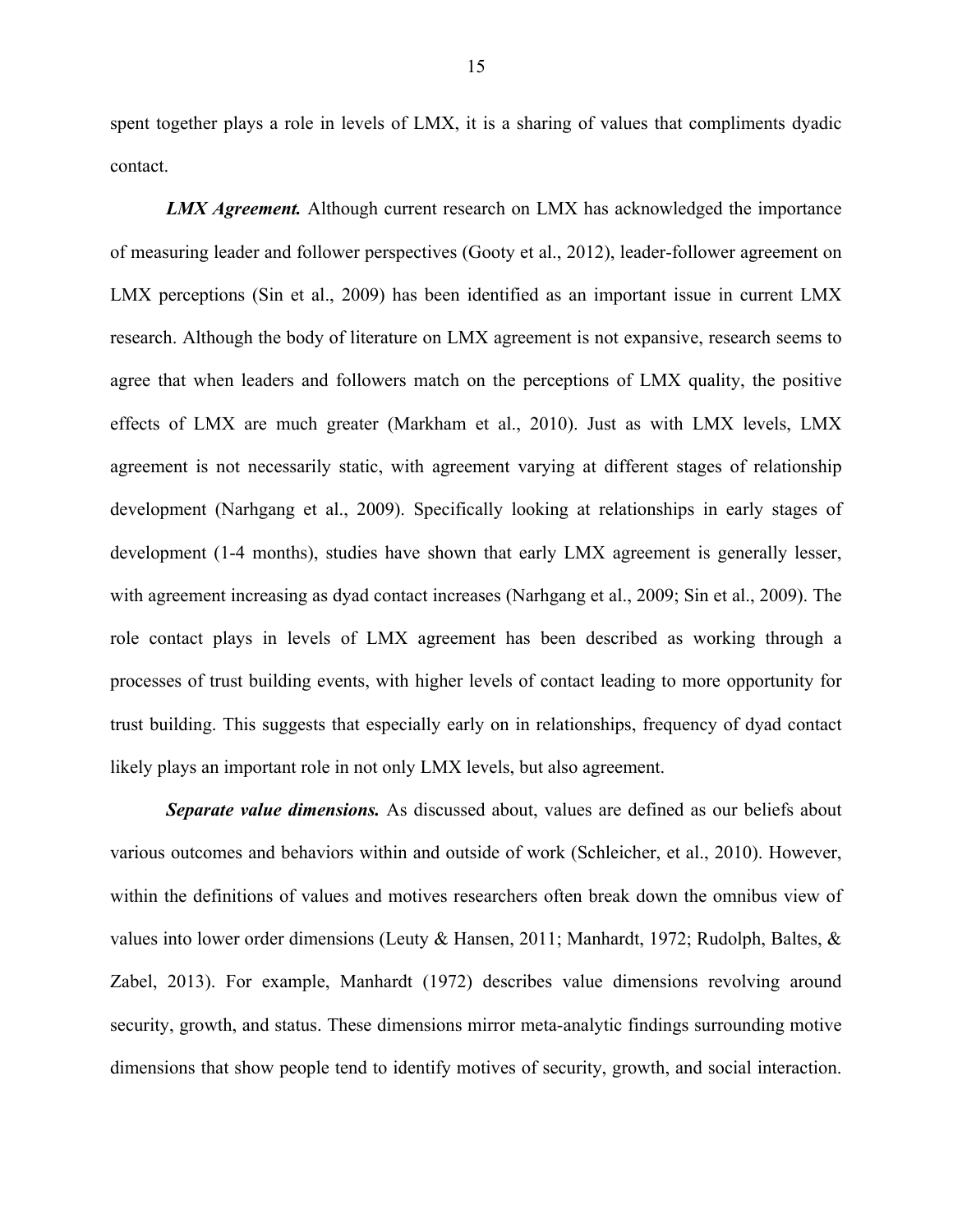spent together plays a role in levels of LMX, it is a sharing of values that compliments dyadic contact.

*LMX Agreement.* Although current research on LMX has acknowledged the importance of measuring leader and follower perspectives (Gooty et al., 2012), leader-follower agreement on LMX perceptions (Sin et al., 2009) has been identified as an important issue in current LMX research. Although the body of literature on LMX agreement is not expansive, research seems to agree that when leaders and followers match on the perceptions of LMX quality, the positive effects of LMX are much greater (Markham et al., 2010). Just as with LMX levels, LMX agreement is not necessarily static, with agreement varying at different stages of relationship development (Narhgang et al., 2009). Specifically looking at relationships in early stages of development (1-4 months), studies have shown that early LMX agreement is generally lesser, with agreement increasing as dyad contact increases (Narhgang et al., 2009; Sin et al., 2009). The role contact plays in levels of LMX agreement has been described as working through a processes of trust building events, with higher levels of contact leading to more opportunity for trust building. This suggests that especially early on in relationships, frequency of dyad contact likely plays an important role in not only LMX levels, but also agreement.

*Separate value dimensions.* As discussed about, values are defined as our beliefs about various outcomes and behaviors within and outside of work (Schleicher, et al., 2010). However, within the definitions of values and motives researchers often break down the omnibus view of values into lower order dimensions (Leuty & Hansen, 2011; Manhardt, 1972; Rudolph, Baltes, & Zabel, 2013). For example, Manhardt (1972) describes value dimensions revolving around security, growth, and status. These dimensions mirror meta-analytic findings surrounding motive dimensions that show people tend to identify motives of security, growth, and social interaction.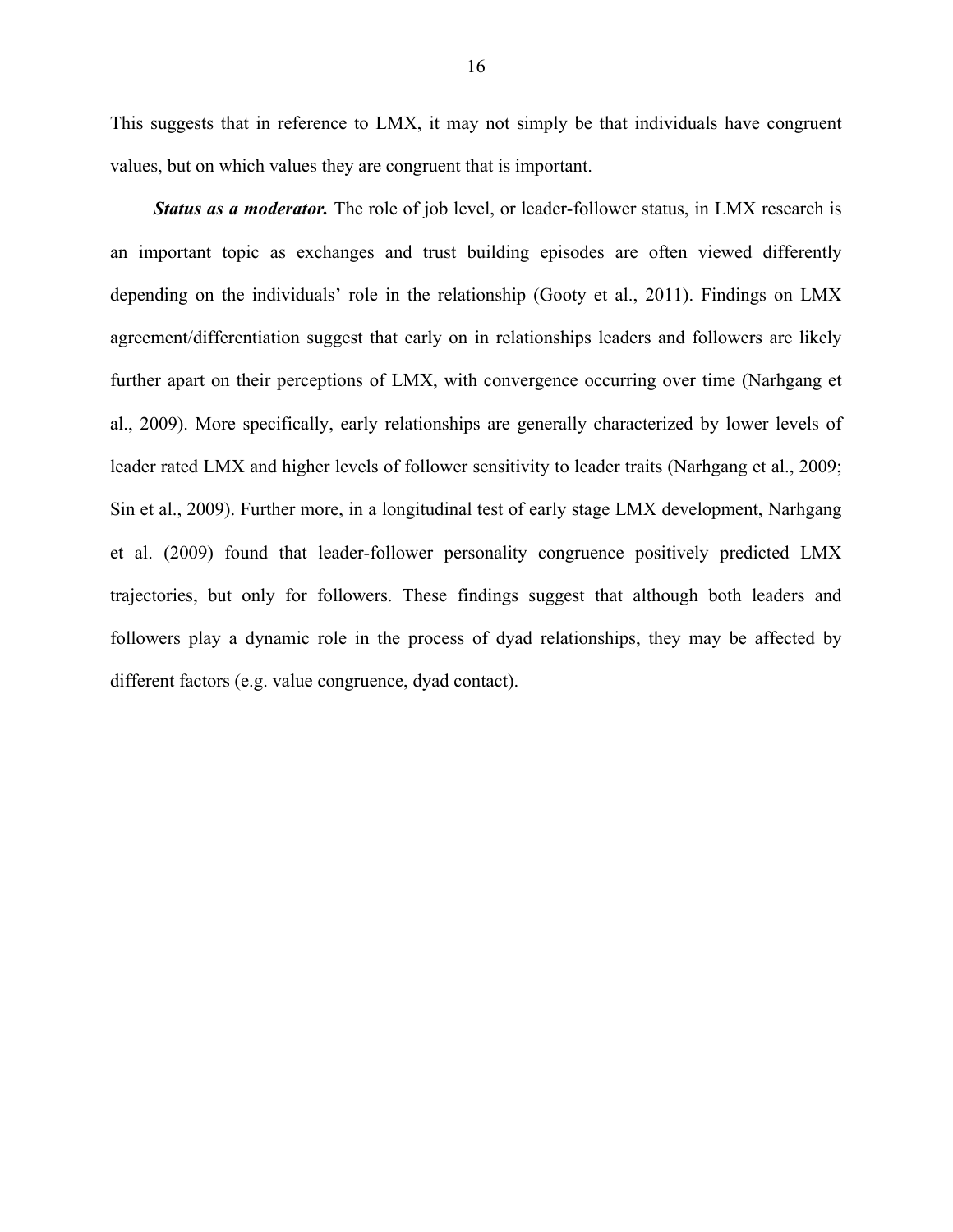This suggests that in reference to LMX, it may not simply be that individuals have congruent values, but on which values they are congruent that is important.

*Status as a moderator.* The role of job level, or leader-follower status, in LMX research is an important topic as exchanges and trust building episodes are often viewed differently depending on the individuals' role in the relationship (Gooty et al., 2011). Findings on LMX agreement/differentiation suggest that early on in relationships leaders and followers are likely further apart on their perceptions of LMX, with convergence occurring over time (Narhgang et al., 2009). More specifically, early relationships are generally characterized by lower levels of leader rated LMX and higher levels of follower sensitivity to leader traits (Narhgang et al., 2009; Sin et al., 2009). Further more, in a longitudinal test of early stage LMX development, Narhgang et al. (2009) found that leader-follower personality congruence positively predicted LMX trajectories, but only for followers. These findings suggest that although both leaders and followers play a dynamic role in the process of dyad relationships, they may be affected by different factors (e.g. value congruence, dyad contact).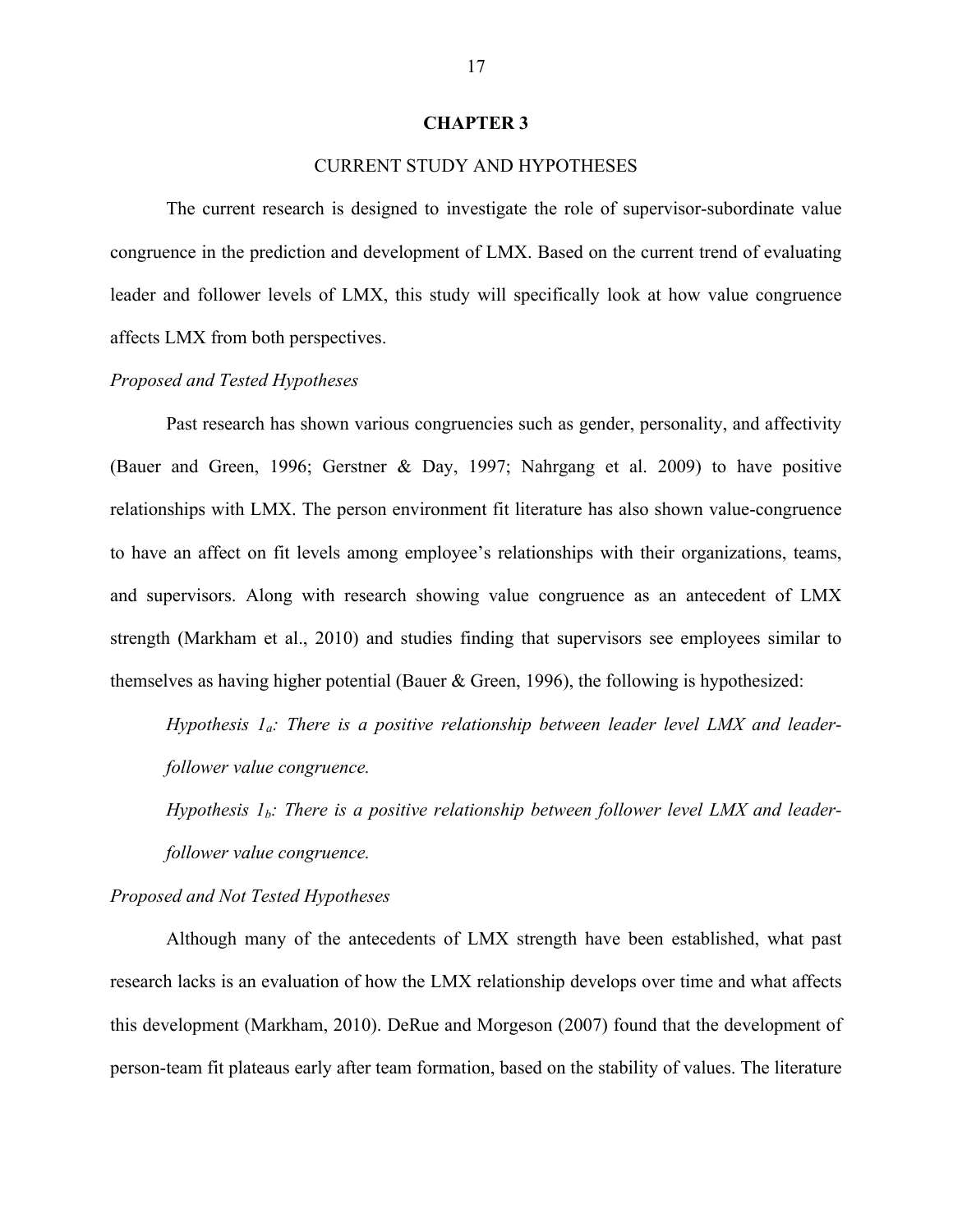#### **CHAPTER 3**

#### CURRENT STUDY AND HYPOTHESES

The current research is designed to investigate the role of supervisor-subordinate value congruence in the prediction and development of LMX. Based on the current trend of evaluating leader and follower levels of LMX, this study will specifically look at how value congruence affects LMX from both perspectives.

#### *Proposed and Tested Hypotheses*

Past research has shown various congruencies such as gender, personality, and affectivity (Bauer and Green, 1996; Gerstner & Day, 1997; Nahrgang et al. 2009) to have positive relationships with LMX. The person environment fit literature has also shown value-congruence to have an affect on fit levels among employee's relationships with their organizations, teams, and supervisors. Along with research showing value congruence as an antecedent of LMX strength (Markham et al., 2010) and studies finding that supervisors see employees similar to themselves as having higher potential (Bauer & Green, 1996), the following is hypothesized:

*Hypothesis 1a: There is a positive relationship between leader level LMX and leaderfollower value congruence.*

*Hypothesis 1<sub>b</sub>: There is a positive relationship between follower level LMX and leaderfollower value congruence.*

#### *Proposed and Not Tested Hypotheses*

Although many of the antecedents of LMX strength have been established, what past research lacks is an evaluation of how the LMX relationship develops over time and what affects this development (Markham, 2010). DeRue and Morgeson (2007) found that the development of person-team fit plateaus early after team formation, based on the stability of values. The literature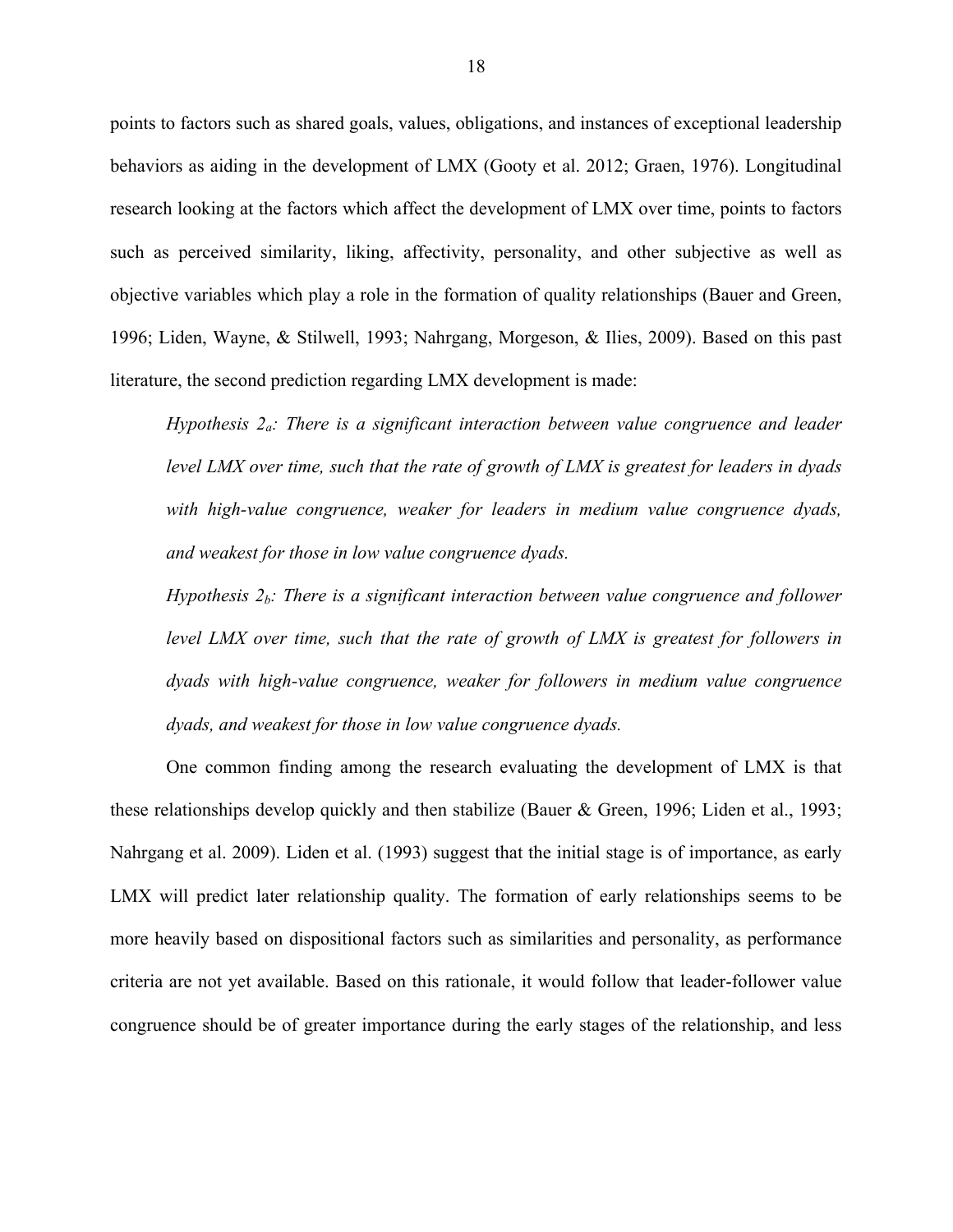points to factors such as shared goals, values, obligations, and instances of exceptional leadership behaviors as aiding in the development of LMX (Gooty et al. 2012; Graen, 1976). Longitudinal research looking at the factors which affect the development of LMX over time, points to factors such as perceived similarity, liking, affectivity, personality, and other subjective as well as objective variables which play a role in the formation of quality relationships (Bauer and Green, 1996; Liden, Wayne, & Stilwell, 1993; Nahrgang, Morgeson, & Ilies, 2009). Based on this past literature, the second prediction regarding LMX development is made:

*Hypothesis 2a: There is a significant interaction between value congruence and leader level LMX over time, such that the rate of growth of LMX is greatest for leaders in dyads with high-value congruence, weaker for leaders in medium value congruence dyads, and weakest for those in low value congruence dyads.*

*Hypothesis 2b: There is a significant interaction between value congruence and follower level LMX over time, such that the rate of growth of LMX is greatest for followers in dyads with high-value congruence, weaker for followers in medium value congruence dyads, and weakest for those in low value congruence dyads.*

One common finding among the research evaluating the development of LMX is that these relationships develop quickly and then stabilize (Bauer & Green, 1996; Liden et al., 1993; Nahrgang et al. 2009). Liden et al. (1993) suggest that the initial stage is of importance, as early LMX will predict later relationship quality. The formation of early relationships seems to be more heavily based on dispositional factors such as similarities and personality, as performance criteria are not yet available. Based on this rationale, it would follow that leader-follower value congruence should be of greater importance during the early stages of the relationship, and less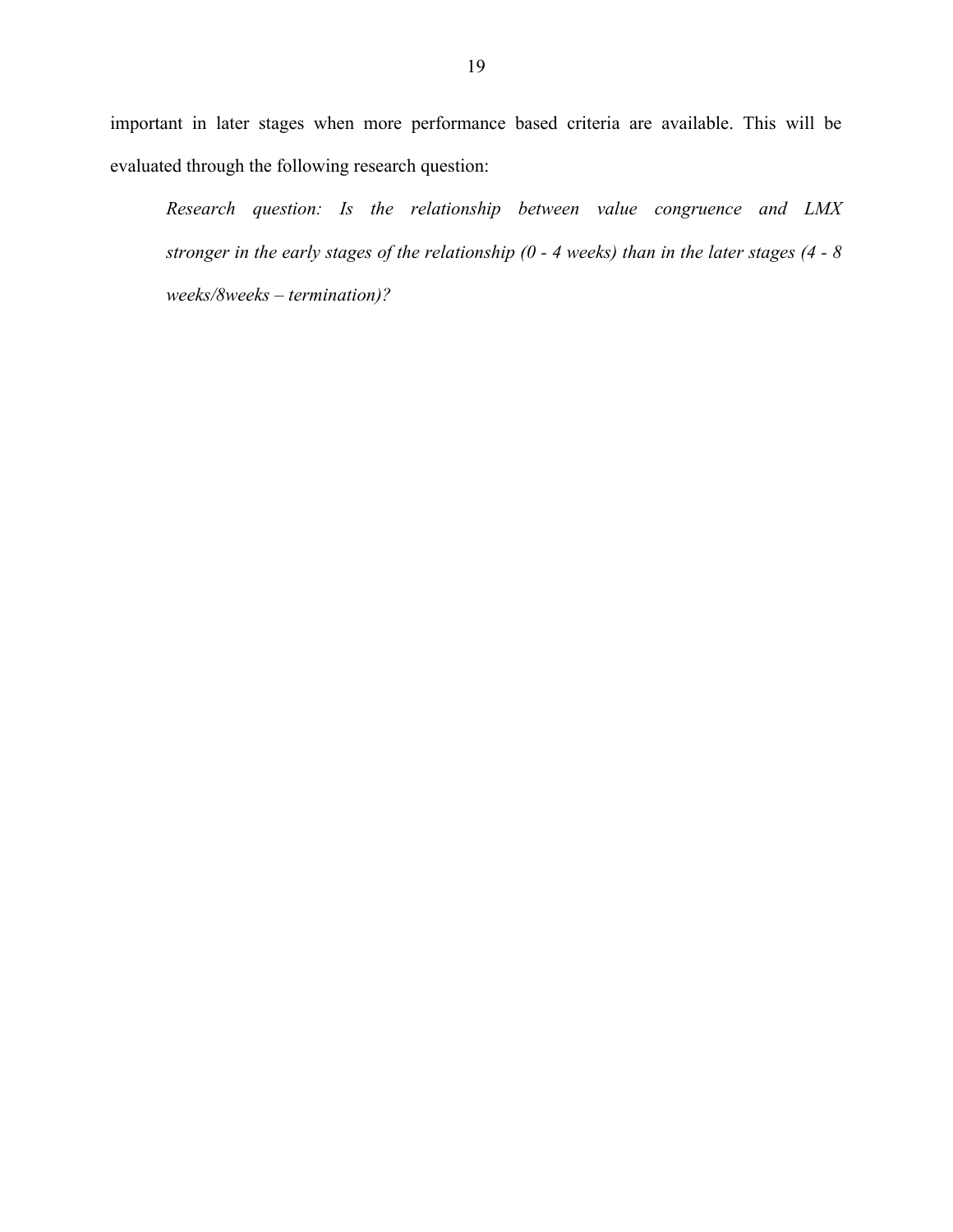important in later stages when more performance based criteria are available. This will be evaluated through the following research question:

*Research question: Is the relationship between value congruence and LMX stronger in the early stages of the relationship (0 - 4 weeks) than in the later stages (4 - 8 weeks/8weeks – termination)?*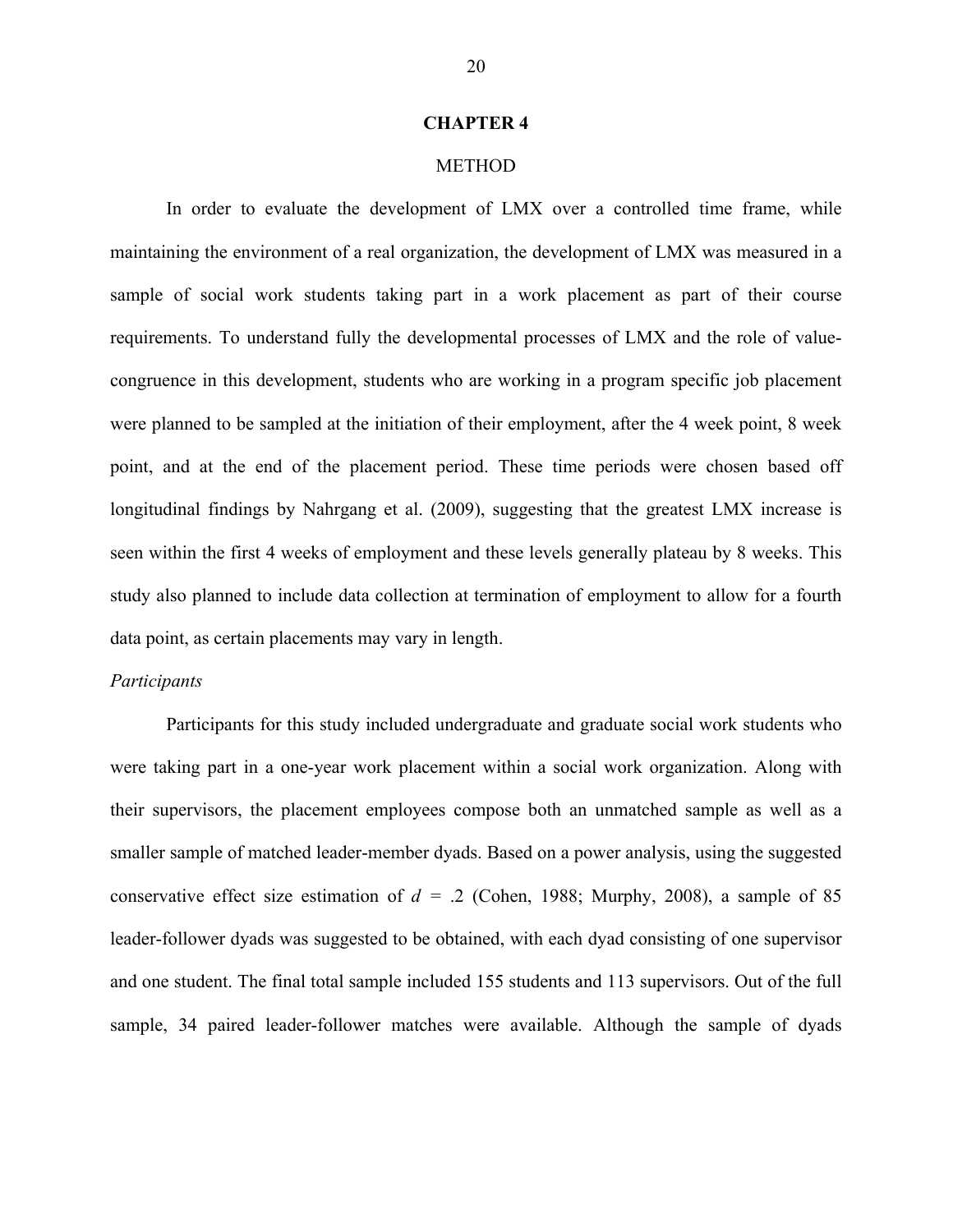#### **CHAPTER 4**

#### METHOD

In order to evaluate the development of LMX over a controlled time frame, while maintaining the environment of a real organization, the development of LMX was measured in a sample of social work students taking part in a work placement as part of their course requirements. To understand fully the developmental processes of LMX and the role of valuecongruence in this development, students who are working in a program specific job placement were planned to be sampled at the initiation of their employment, after the 4 week point, 8 week point, and at the end of the placement period. These time periods were chosen based off longitudinal findings by Nahrgang et al. (2009), suggesting that the greatest LMX increase is seen within the first 4 weeks of employment and these levels generally plateau by 8 weeks. This study also planned to include data collection at termination of employment to allow for a fourth data point, as certain placements may vary in length.

#### *Participants*

Participants for this study included undergraduate and graduate social work students who were taking part in a one-year work placement within a social work organization. Along with their supervisors, the placement employees compose both an unmatched sample as well as a smaller sample of matched leader-member dyads. Based on a power analysis, using the suggested conservative effect size estimation of  $d = .2$  (Cohen, 1988; Murphy, 2008), a sample of 85 leader-follower dyads was suggested to be obtained, with each dyad consisting of one supervisor and one student. The final total sample included 155 students and 113 supervisors. Out of the full sample, 34 paired leader-follower matches were available. Although the sample of dyads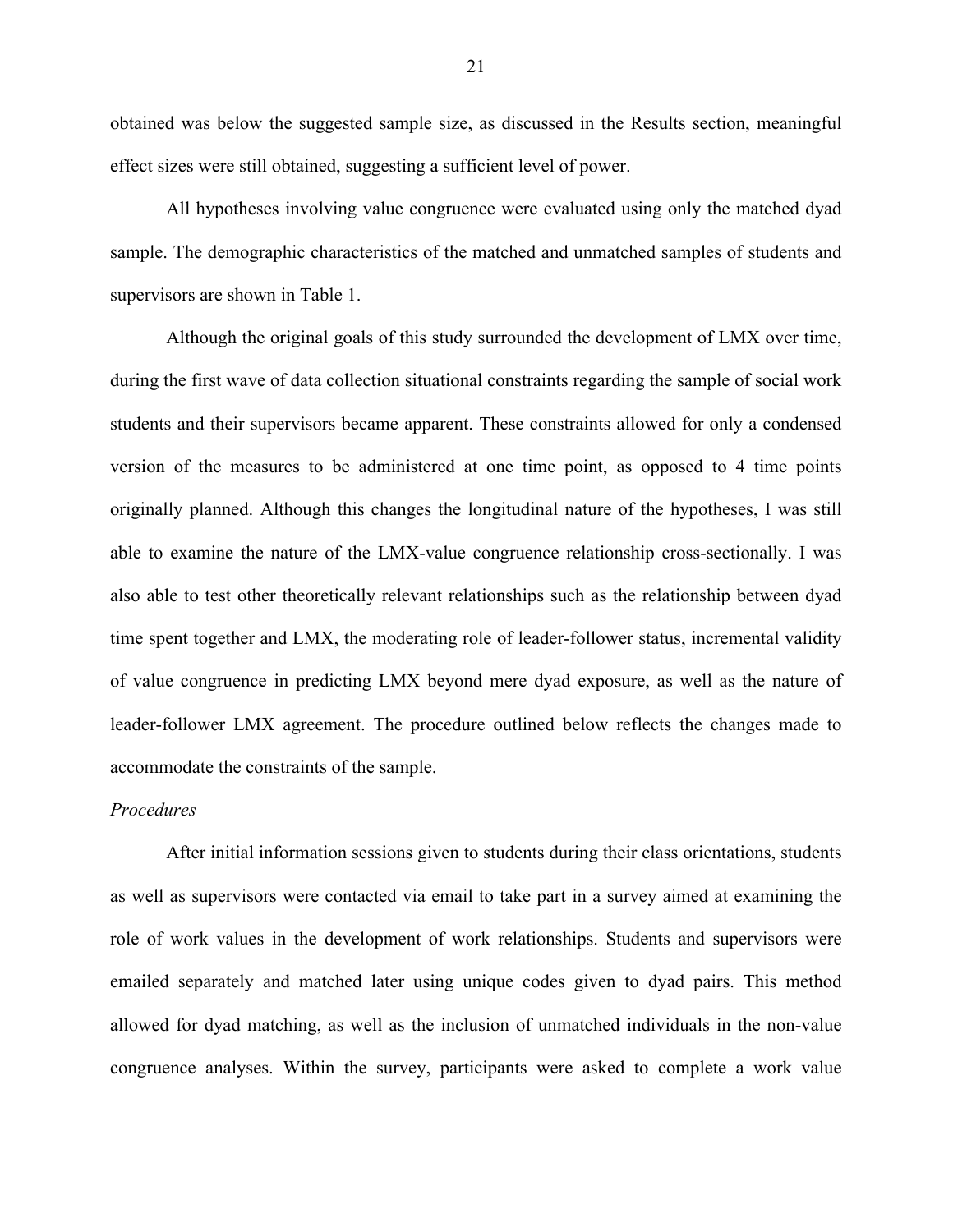obtained was below the suggested sample size, as discussed in the Results section, meaningful effect sizes were still obtained, suggesting a sufficient level of power.

All hypotheses involving value congruence were evaluated using only the matched dyad sample. The demographic characteristics of the matched and unmatched samples of students and supervisors are shown in Table 1.

Although the original goals of this study surrounded the development of LMX over time, during the first wave of data collection situational constraints regarding the sample of social work students and their supervisors became apparent. These constraints allowed for only a condensed version of the measures to be administered at one time point, as opposed to 4 time points originally planned. Although this changes the longitudinal nature of the hypotheses, I was still able to examine the nature of the LMX-value congruence relationship cross-sectionally. I was also able to test other theoretically relevant relationships such as the relationship between dyad time spent together and LMX, the moderating role of leader-follower status, incremental validity of value congruence in predicting LMX beyond mere dyad exposure, as well as the nature of leader-follower LMX agreement. The procedure outlined below reflects the changes made to accommodate the constraints of the sample.

#### *Procedures*

After initial information sessions given to students during their class orientations, students as well as supervisors were contacted via email to take part in a survey aimed at examining the role of work values in the development of work relationships. Students and supervisors were emailed separately and matched later using unique codes given to dyad pairs. This method allowed for dyad matching, as well as the inclusion of unmatched individuals in the non-value congruence analyses. Within the survey, participants were asked to complete a work value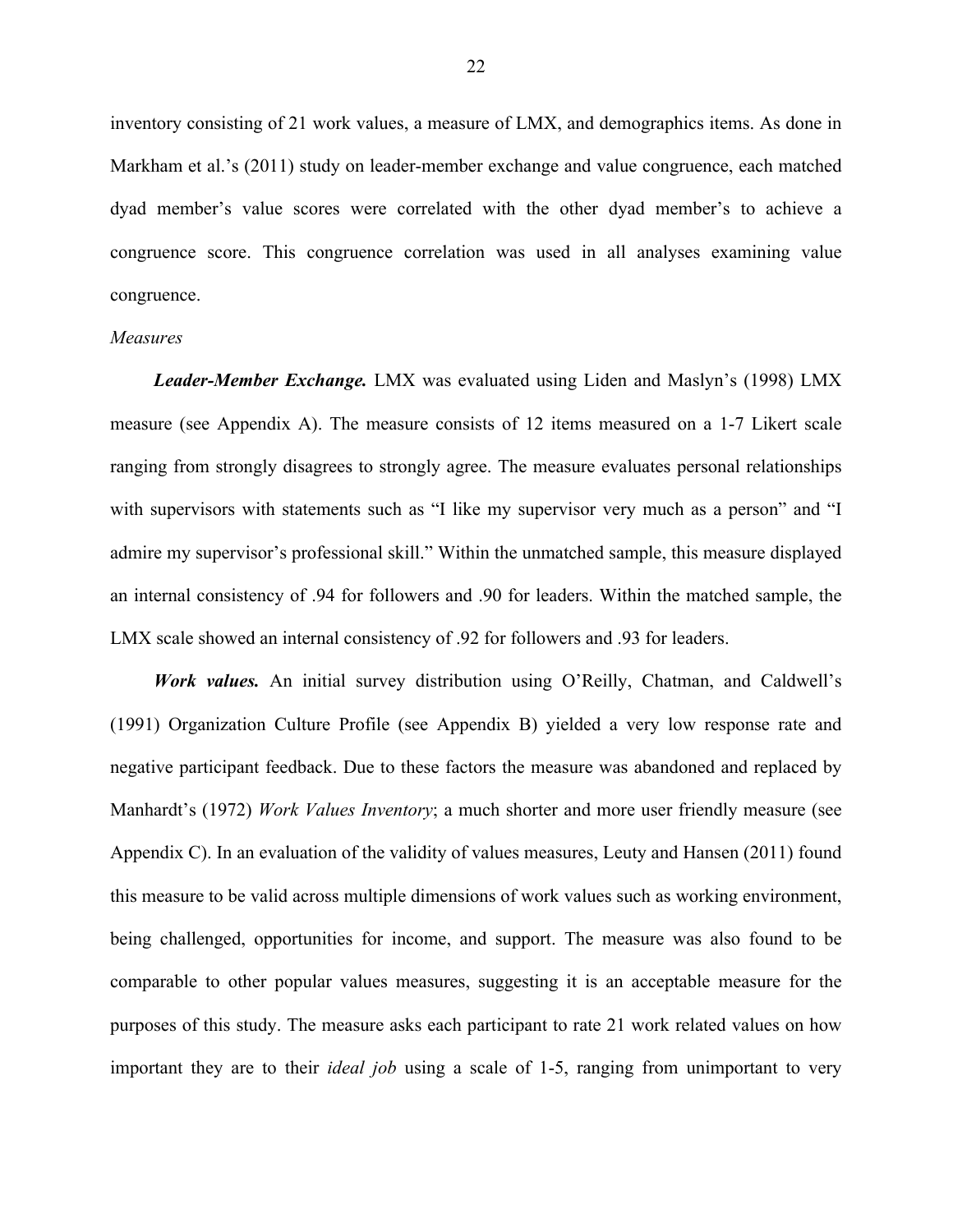inventory consisting of 21 work values, a measure of LMX, and demographics items. As done in Markham et al.'s (2011) study on leader-member exchange and value congruence, each matched dyad member's value scores were correlated with the other dyad member's to achieve a congruence score. This congruence correlation was used in all analyses examining value congruence.

#### *Measures*

*Leader-Member Exchange.* LMX was evaluated using Liden and Maslyn's (1998) LMX measure (see Appendix A). The measure consists of 12 items measured on a 1-7 Likert scale ranging from strongly disagrees to strongly agree. The measure evaluates personal relationships with supervisors with statements such as "I like my supervisor very much as a person" and "I admire my supervisor's professional skill." Within the unmatched sample, this measure displayed an internal consistency of .94 for followers and .90 for leaders. Within the matched sample, the LMX scale showed an internal consistency of .92 for followers and .93 for leaders.

*Work values.* An initial survey distribution using O'Reilly, Chatman, and Caldwell's (1991) Organization Culture Profile (see Appendix B) yielded a very low response rate and negative participant feedback. Due to these factors the measure was abandoned and replaced by Manhardt's (1972) *Work Values Inventory*; a much shorter and more user friendly measure (see Appendix C). In an evaluation of the validity of values measures, Leuty and Hansen (2011) found this measure to be valid across multiple dimensions of work values such as working environment, being challenged, opportunities for income, and support. The measure was also found to be comparable to other popular values measures, suggesting it is an acceptable measure for the purposes of this study. The measure asks each participant to rate 21 work related values on how important they are to their *ideal job* using a scale of 1-5, ranging from unimportant to very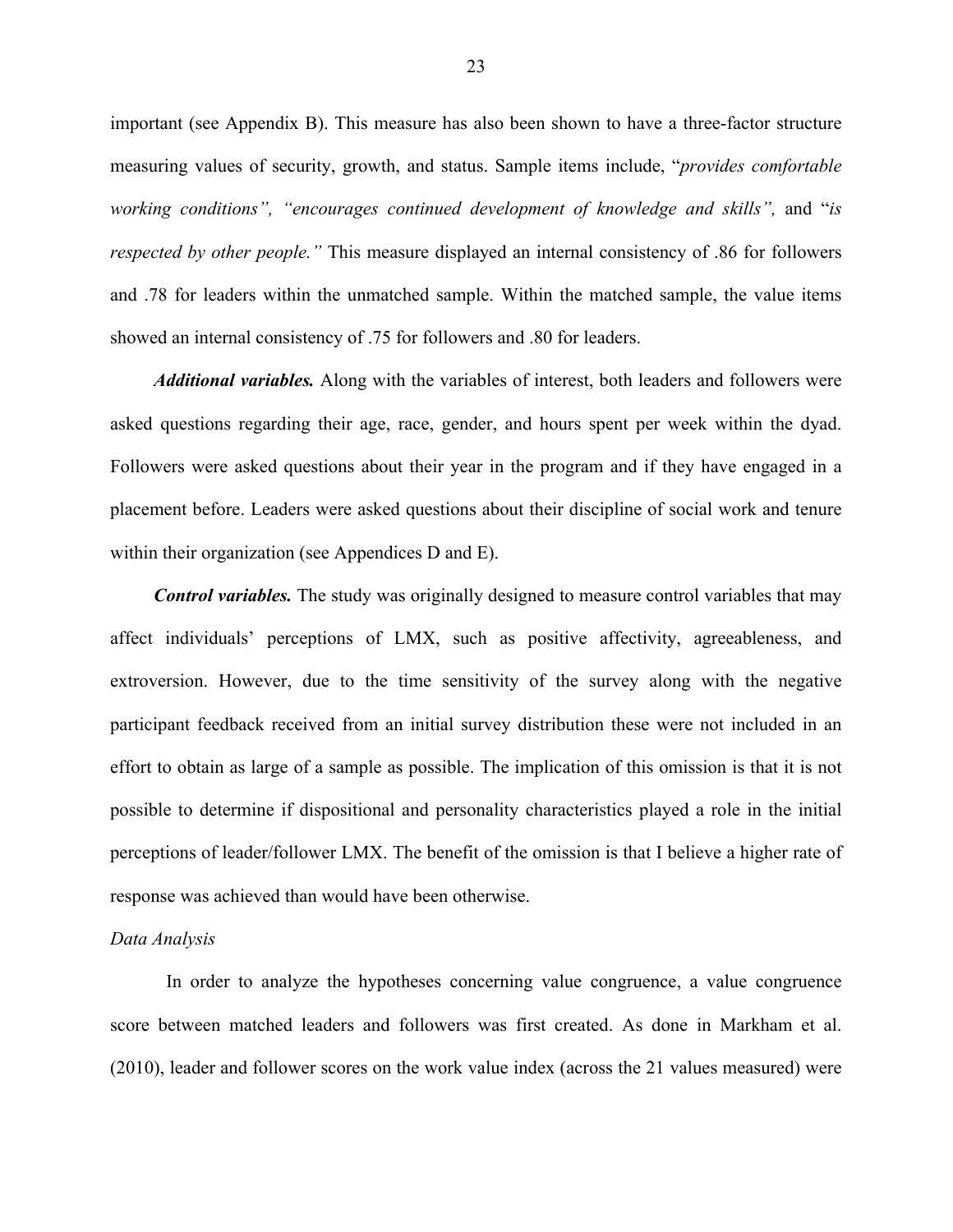important (see Appendix B). This measure has also been shown to have a three-factor structure measuring values of security, growth, and status. Sample items include, "*provides comfortable working conditions", "encourages continued development of knowledge and skills",* and "*is respected by other people."* This measure displayed an internal consistency of .86 for followers and .78 for leaders within the unmatched sample. Within the matched sample, the value items showed an internal consistency of .75 for followers and .80 for leaders.

*Additional variables.* Along with the variables of interest, both leaders and followers were asked questions regarding their age, race, gender, and hours spent per week within the dyad. Followers were asked questions about their year in the program and if they have engaged in a placement before. Leaders were asked questions about their discipline of social work and tenure within their organization (see Appendices D and E).

*Control variables.* The study was originally designed to measure control variables that may affect individuals' perceptions of LMX, such as positive affectivity, agreeableness, and extroversion. However, due to the time sensitivity of the survey along with the negative participant feedback received from an initial survey distribution these were not included in an effort to obtain as large of a sample as possible. The implication of this omission is that it is not possible to determine if dispositional and personality characteristics played a role in the initial perceptions of leader/follower LMX. The benefit of the omission is that I believe a higher rate of response was achieved than would have been otherwise.

#### *Data Analysis*

In order to analyze the hypotheses concerning value congruence, a value congruence score between matched leaders and followers was first created. As done in Markham et al. (2010), leader and follower scores on the work value index (across the 21 values measured) were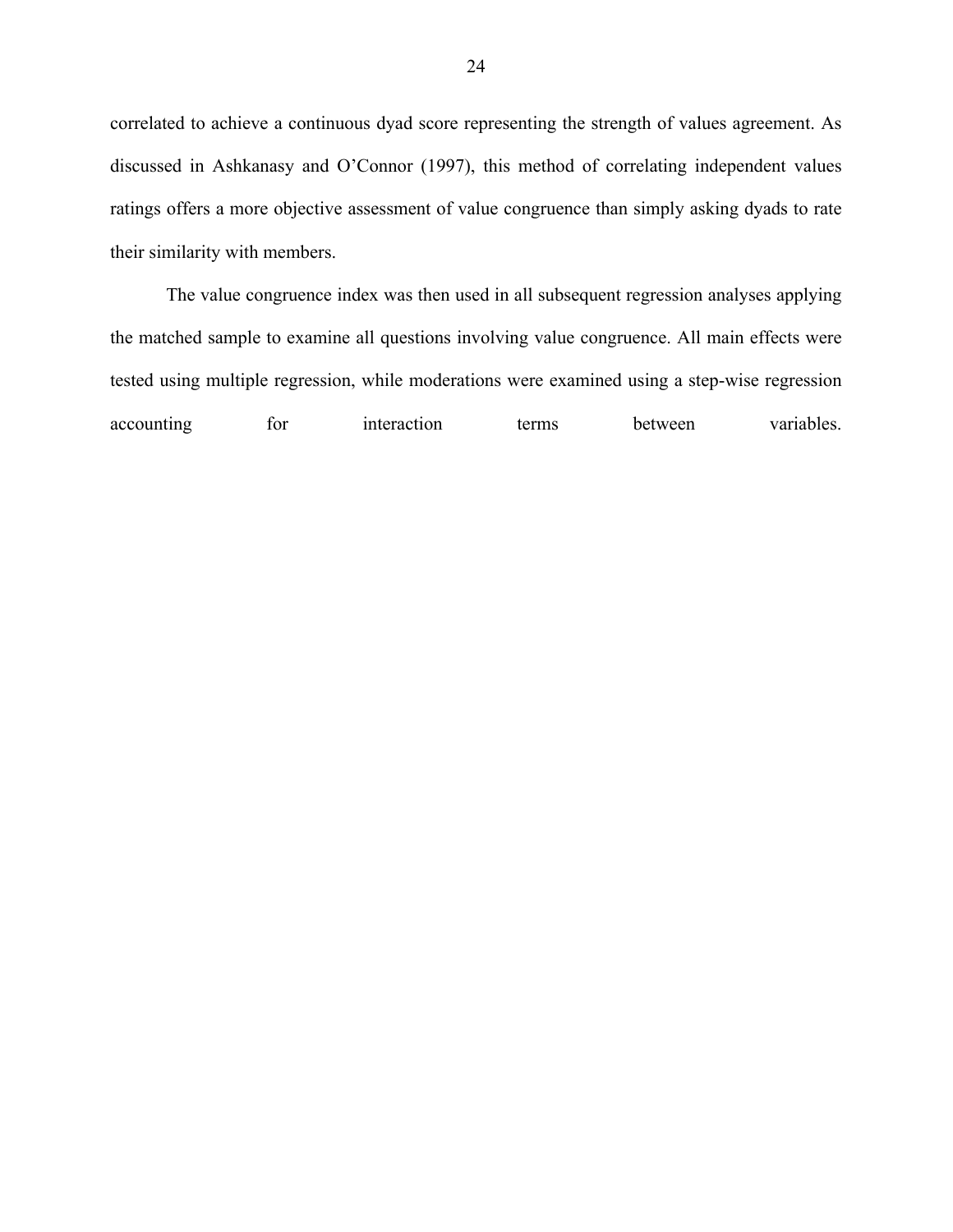correlated to achieve a continuous dyad score representing the strength of values agreement. As discussed in Ashkanasy and O'Connor (1997), this method of correlating independent values ratings offers a more objective assessment of value congruence than simply asking dyads to rate their similarity with members.

The value congruence index was then used in all subsequent regression analyses applying the matched sample to examine all questions involving value congruence. All main effects were tested using multiple regression, while moderations were examined using a step-wise regression accounting for interaction terms between variables.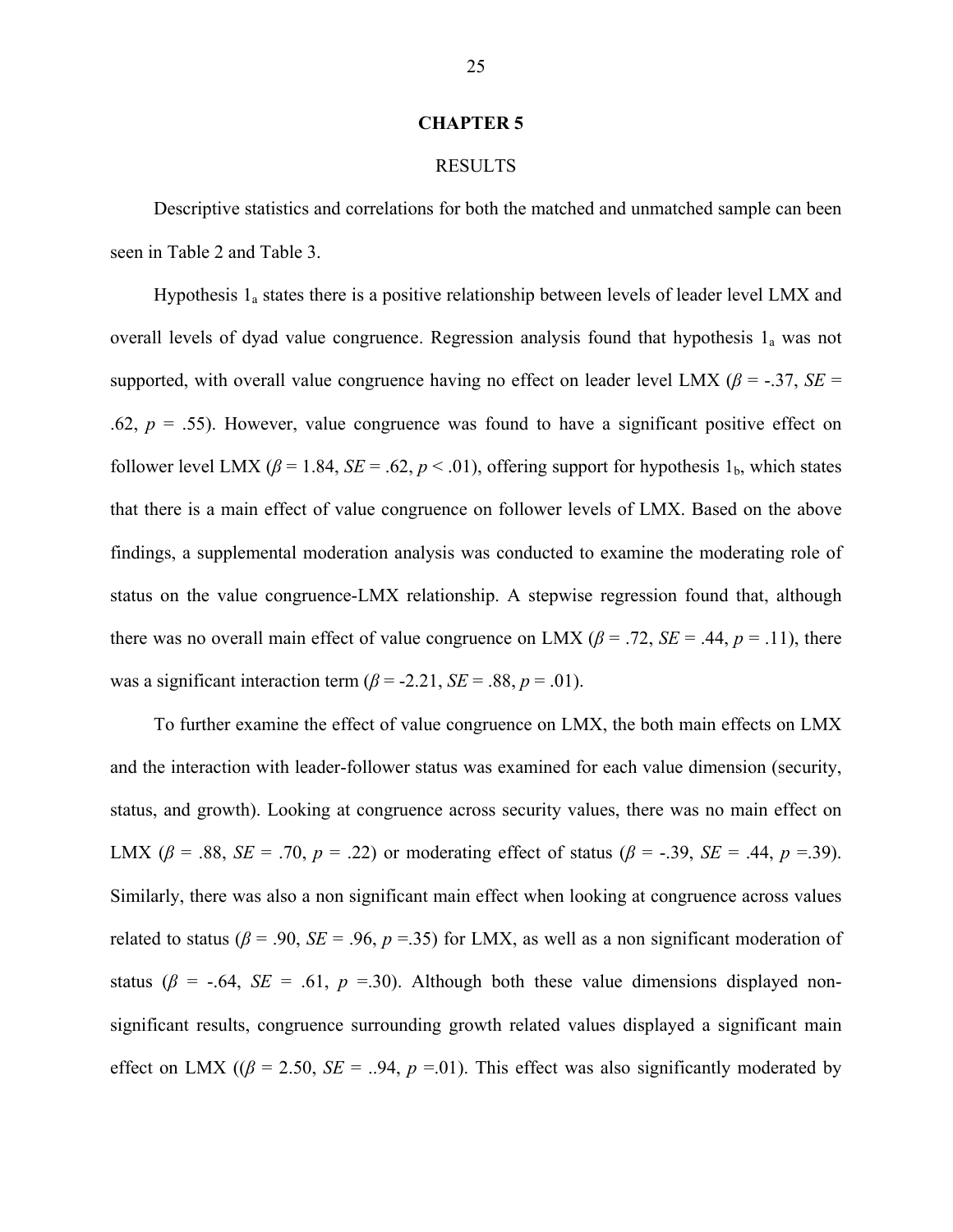#### **CHAPTER 5**

#### RESULTS

Descriptive statistics and correlations for both the matched and unmatched sample can been seen in Table 2 and Table 3.

Hypothesis  $1_a$  states there is a positive relationship between levels of leader level LMX and overall levels of dyad value congruence. Regression analysis found that hypothesis  $1_a$  was not supported, with overall value congruence having no effect on leader level LMX ( $\beta$  = -.37, *SE* = .62,  $p = 0.55$ ). However, value congruence was found to have a significant positive effect on follower level LMX ( $\beta$  = 1.84, *SE* = .62,  $p$  < .01), offering support for hypothesis 1<sub>b</sub>, which states that there is a main effect of value congruence on follower levels of LMX. Based on the above findings, a supplemental moderation analysis was conducted to examine the moderating role of status on the value congruence-LMX relationship. A stepwise regression found that, although there was no overall main effect of value congruence on LMX ( $\beta$  = .72, *SE* = .44,  $p$  = .11), there was a significant interaction term  $(\beta = -2.21, SE = .88, p = .01)$ .

To further examine the effect of value congruence on LMX, the both main effects on LMX and the interaction with leader-follower status was examined for each value dimension (security, status, and growth). Looking at congruence across security values, there was no main effect on LMX (β = .88, *SE* = .70,  $p = .22$ ) or moderating effect of status (β = -.39, *SE* = .44,  $p = .39$ ). Similarly, there was also a non significant main effect when looking at congruence across values related to status ( $\beta$  = .90, *SE* = .96,  $p$  = .35) for LMX, as well as a non significant moderation of status ( $\beta$  = -.64, *SE* = .61,  $p$  =.30). Although both these value dimensions displayed nonsignificant results, congruence surrounding growth related values displayed a significant main effect on LMX ( $(\beta = 2.50, SE = .94, p = .01)$ ). This effect was also significantly moderated by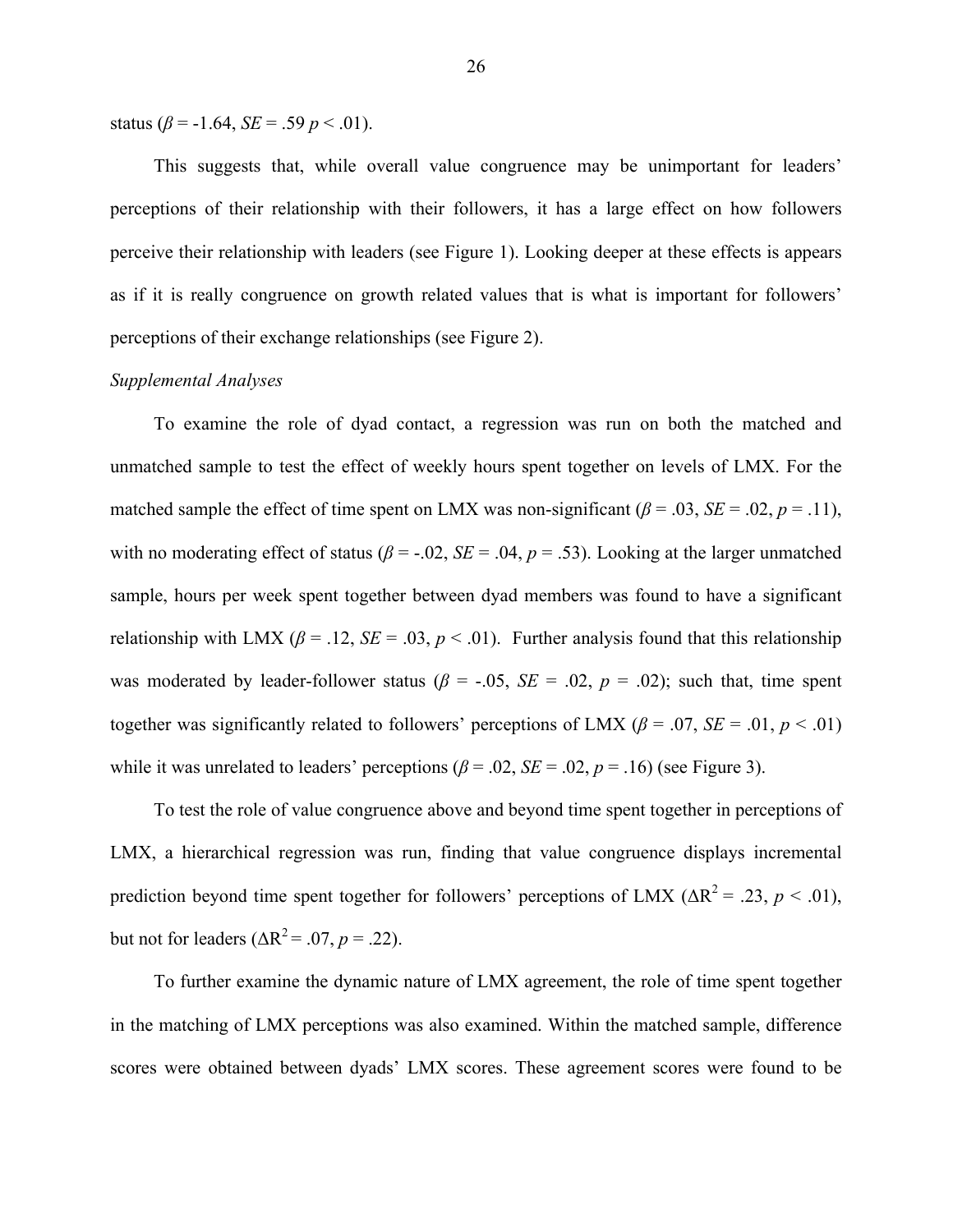status ( $\beta$  = -1.64, *SE* = .59 *p* < .01).

This suggests that, while overall value congruence may be unimportant for leaders' perceptions of their relationship with their followers, it has a large effect on how followers perceive their relationship with leaders (see Figure 1). Looking deeper at these effects is appears as if it is really congruence on growth related values that is what is important for followers' perceptions of their exchange relationships (see Figure 2).

#### *Supplemental Analyses*

To examine the role of dyad contact, a regression was run on both the matched and unmatched sample to test the effect of weekly hours spent together on levels of LMX. For the matched sample the effect of time spent on LMX was non-significant ( $\beta$  = .03, *SE* = .02, *p* = .11), with no moderating effect of status ( $\beta$  = -.02, *SE* = .04,  $p$  = .53). Looking at the larger unmatched sample, hours per week spent together between dyad members was found to have a significant relationship with LMX ( $\beta$  = .12, *SE* = .03,  $p$  < .01). Further analysis found that this relationship was moderated by leader-follower status ( $\beta$  = -.05, *SE* = .02,  $p$  = .02); such that, time spent together was significantly related to followers' perceptions of LMX ( $\beta$  = .07, *SE* = .01, *p* < .01) while it was unrelated to leaders' perceptions  $(\beta = .02, SE = .02, p = .16)$  (see Figure 3).

To test the role of value congruence above and beyond time spent together in perceptions of LMX, a hierarchical regression was run, finding that value congruence displays incremental prediction beyond time spent together for followers' perceptions of LMX ( $\Delta R^2 = .23$ ,  $p < .01$ ), but not for leaders  $(\Delta R^2 = .07, p = .22)$ .

To further examine the dynamic nature of LMX agreement, the role of time spent together in the matching of LMX perceptions was also examined. Within the matched sample, difference scores were obtained between dyads' LMX scores. These agreement scores were found to be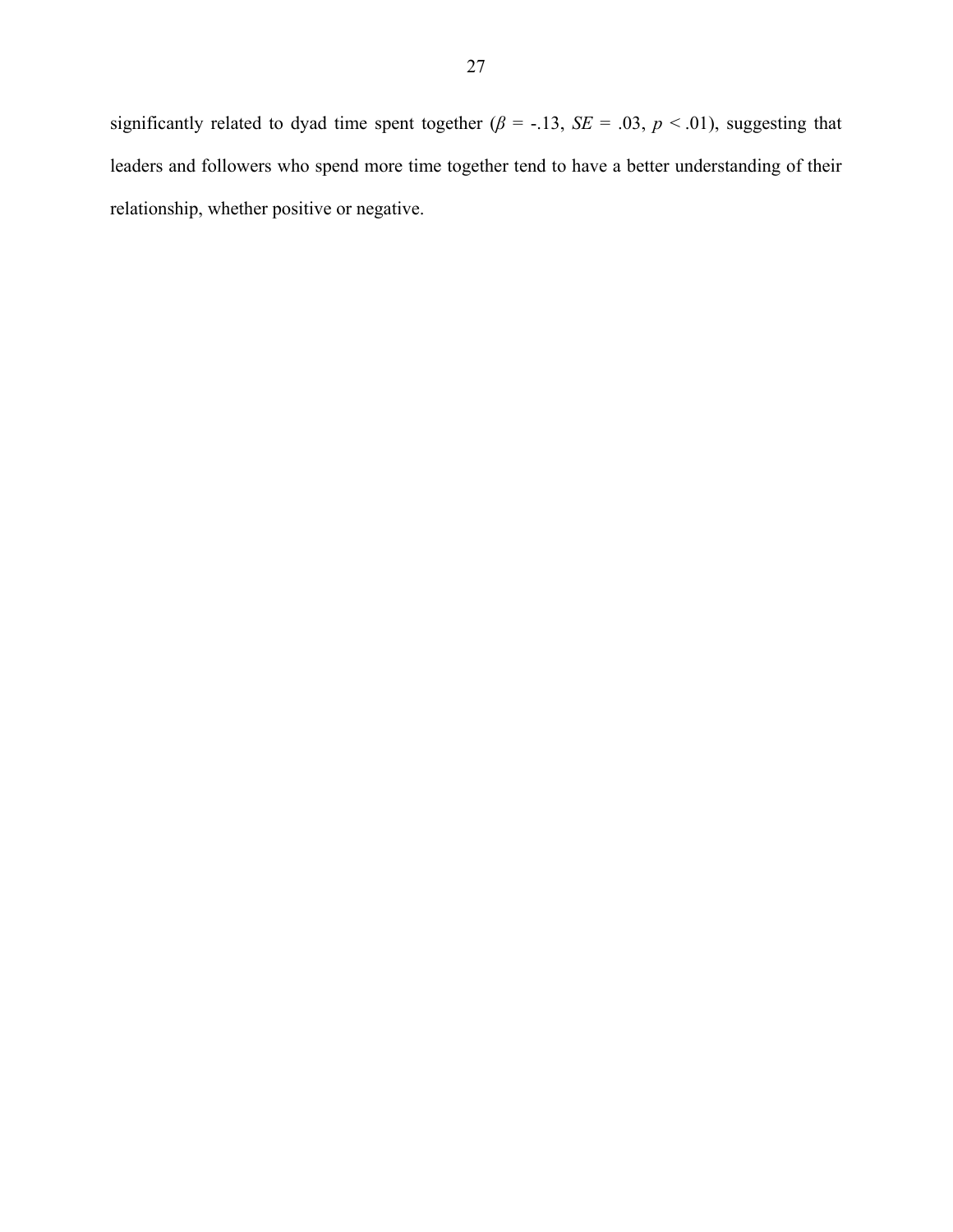significantly related to dyad time spent together ( $\beta$  = -.13, *SE* = .03,  $p$  < .01), suggesting that leaders and followers who spend more time together tend to have a better understanding of their relationship, whether positive or negative.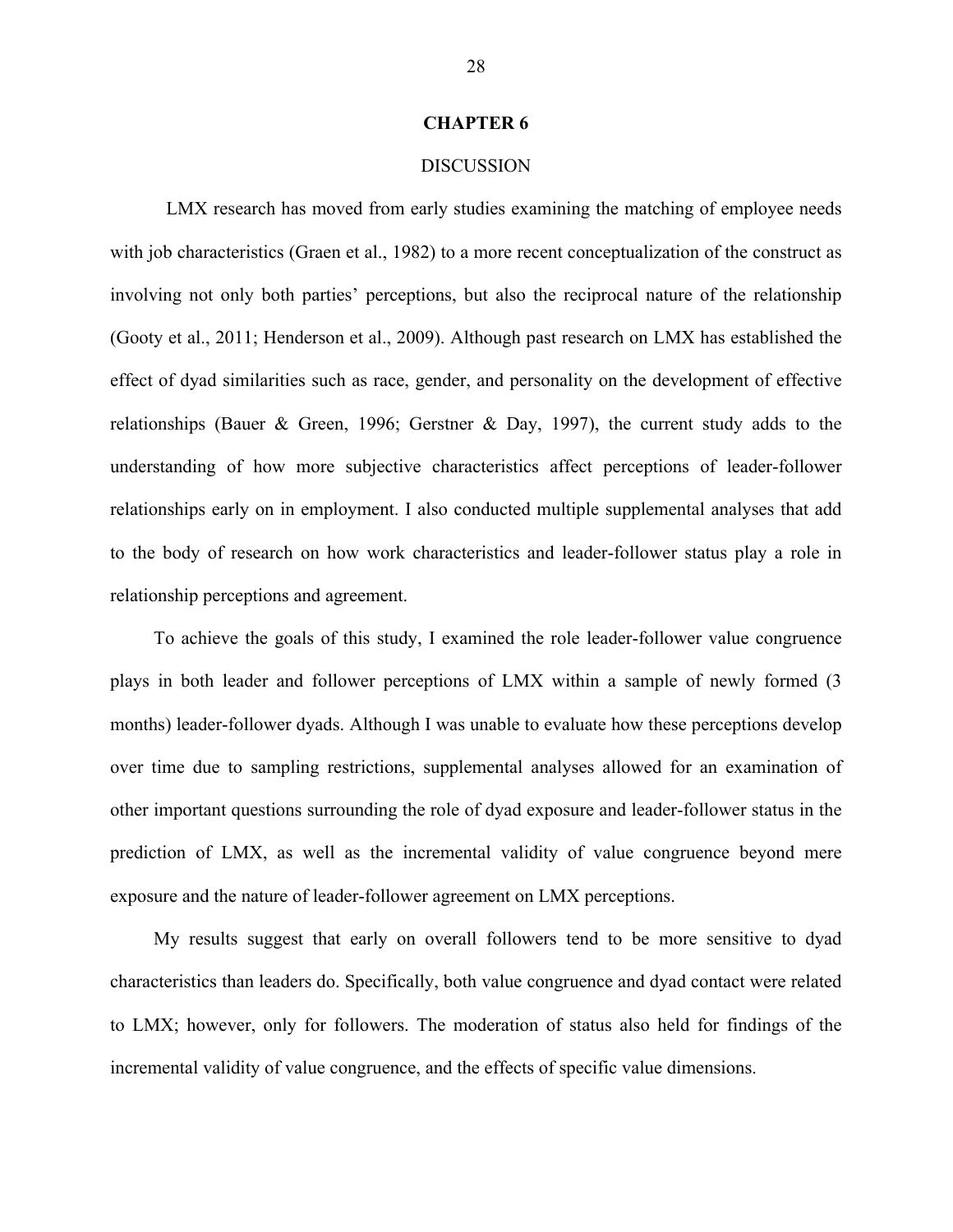#### **CHAPTER 6**

#### **DISCUSSION**

LMX research has moved from early studies examining the matching of employee needs with job characteristics (Graen et al., 1982) to a more recent conceptualization of the construct as involving not only both parties' perceptions, but also the reciprocal nature of the relationship (Gooty et al., 2011; Henderson et al., 2009). Although past research on LMX has established the effect of dyad similarities such as race, gender, and personality on the development of effective relationships (Bauer & Green, 1996; Gerstner & Day, 1997), the current study adds to the understanding of how more subjective characteristics affect perceptions of leader-follower relationships early on in employment. I also conducted multiple supplemental analyses that add to the body of research on how work characteristics and leader-follower status play a role in relationship perceptions and agreement.

To achieve the goals of this study, I examined the role leader-follower value congruence plays in both leader and follower perceptions of LMX within a sample of newly formed (3 months) leader-follower dyads. Although I was unable to evaluate how these perceptions develop over time due to sampling restrictions, supplemental analyses allowed for an examination of other important questions surrounding the role of dyad exposure and leader-follower status in the prediction of LMX, as well as the incremental validity of value congruence beyond mere exposure and the nature of leader-follower agreement on LMX perceptions.

My results suggest that early on overall followers tend to be more sensitive to dyad characteristics than leaders do. Specifically, both value congruence and dyad contact were related to LMX; however, only for followers. The moderation of status also held for findings of the incremental validity of value congruence, and the effects of specific value dimensions.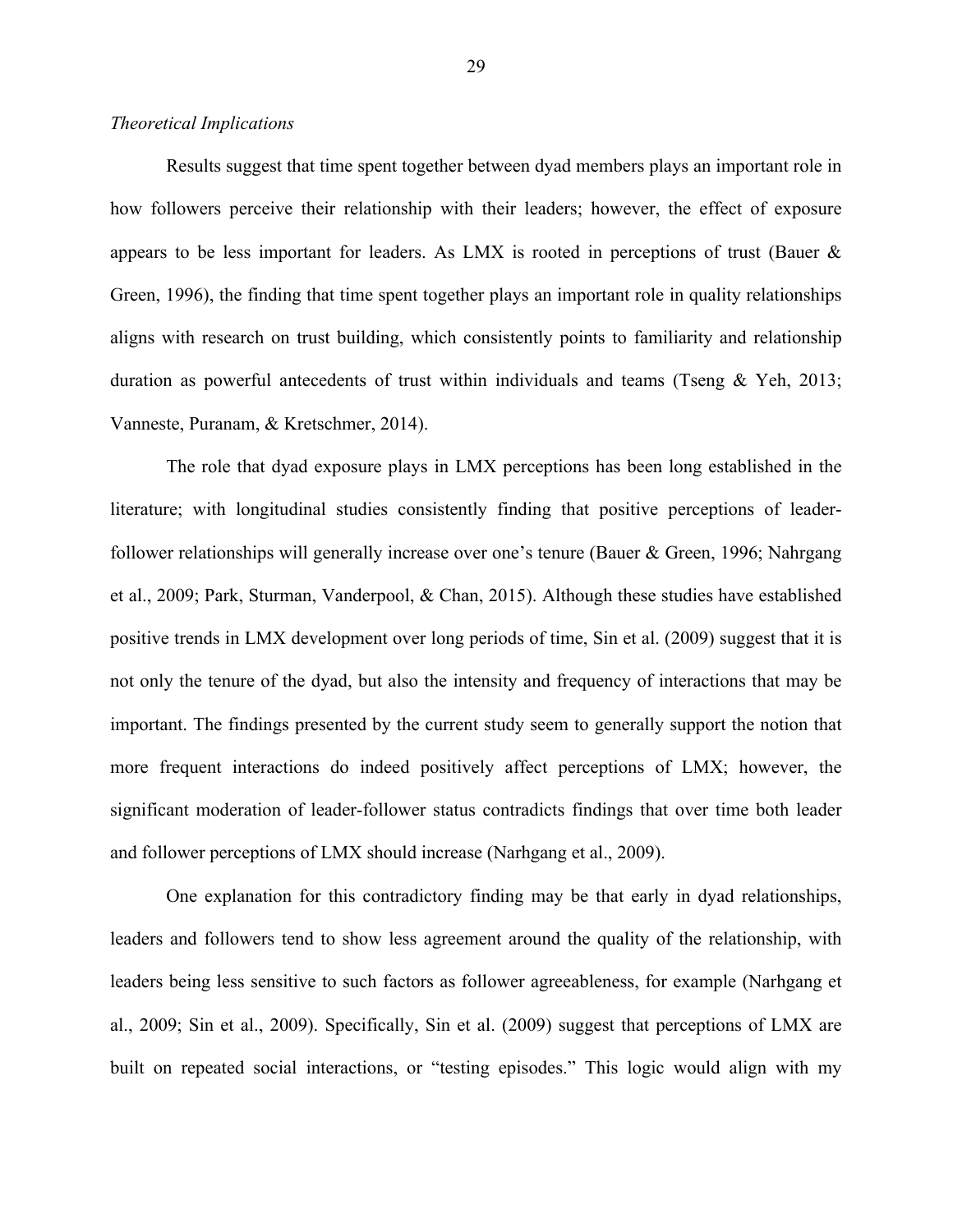#### *Theoretical Implications*

Results suggest that time spent together between dyad members plays an important role in how followers perceive their relationship with their leaders; however, the effect of exposure appears to be less important for leaders. As LMX is rooted in perceptions of trust (Bauer & Green, 1996), the finding that time spent together plays an important role in quality relationships aligns with research on trust building, which consistently points to familiarity and relationship duration as powerful antecedents of trust within individuals and teams (Tseng & Yeh, 2013; Vanneste, Puranam, & Kretschmer, 2014).

The role that dyad exposure plays in LMX perceptions has been long established in the literature; with longitudinal studies consistently finding that positive perceptions of leaderfollower relationships will generally increase over one's tenure (Bauer & Green, 1996; Nahrgang et al., 2009; Park, Sturman, Vanderpool, & Chan, 2015). Although these studies have established positive trends in LMX development over long periods of time, Sin et al. (2009) suggest that it is not only the tenure of the dyad, but also the intensity and frequency of interactions that may be important. The findings presented by the current study seem to generally support the notion that more frequent interactions do indeed positively affect perceptions of LMX; however, the significant moderation of leader-follower status contradicts findings that over time both leader and follower perceptions of LMX should increase (Narhgang et al., 2009).

One explanation for this contradictory finding may be that early in dyad relationships, leaders and followers tend to show less agreement around the quality of the relationship, with leaders being less sensitive to such factors as follower agreeableness, for example (Narhgang et al., 2009; Sin et al., 2009). Specifically, Sin et al. (2009) suggest that perceptions of LMX are built on repeated social interactions, or "testing episodes." This logic would align with my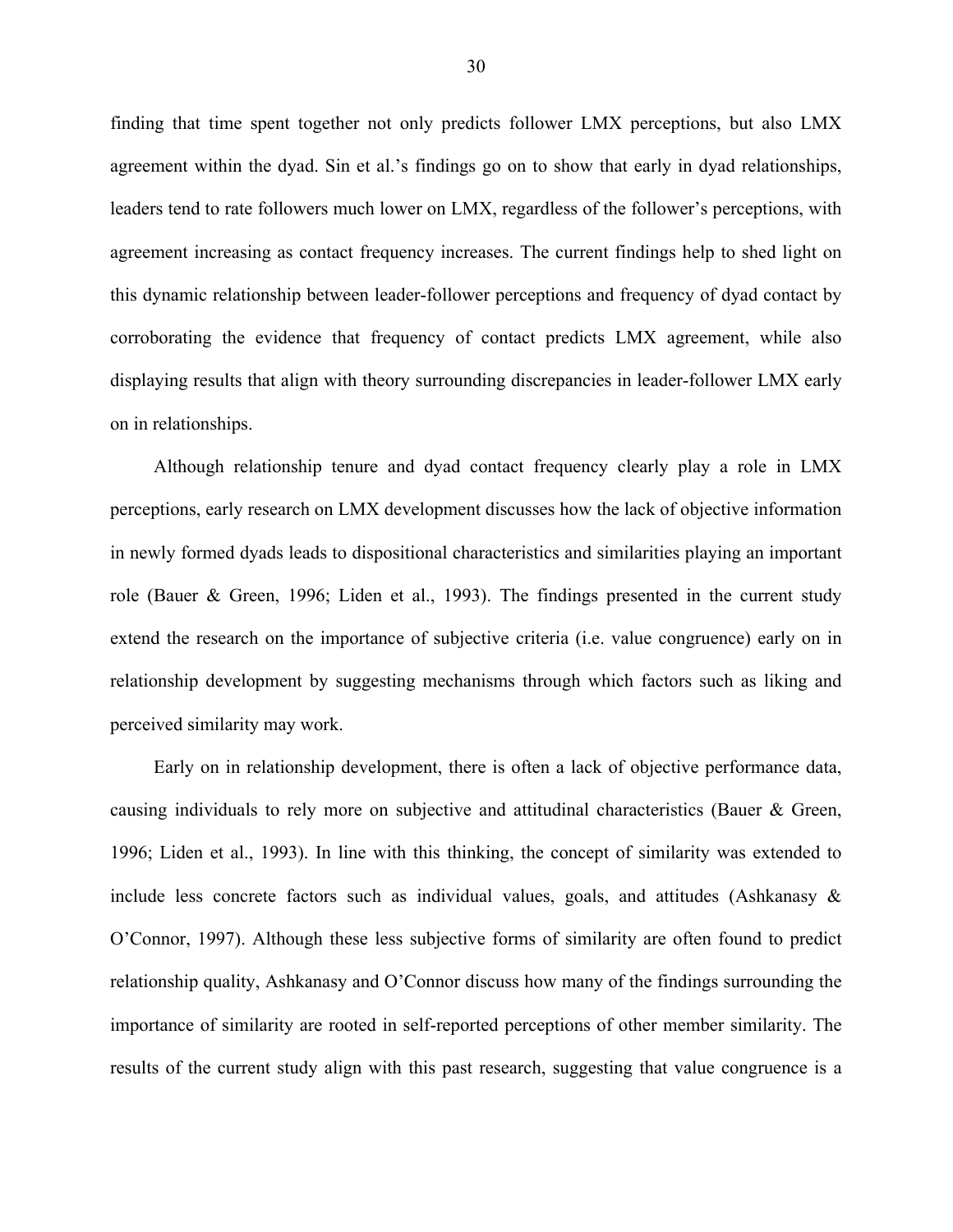finding that time spent together not only predicts follower LMX perceptions, but also LMX agreement within the dyad. Sin et al.'s findings go on to show that early in dyad relationships, leaders tend to rate followers much lower on LMX, regardless of the follower's perceptions, with agreement increasing as contact frequency increases. The current findings help to shed light on this dynamic relationship between leader-follower perceptions and frequency of dyad contact by corroborating the evidence that frequency of contact predicts LMX agreement, while also displaying results that align with theory surrounding discrepancies in leader-follower LMX early on in relationships.

Although relationship tenure and dyad contact frequency clearly play a role in LMX perceptions, early research on LMX development discusses how the lack of objective information in newly formed dyads leads to dispositional characteristics and similarities playing an important role (Bauer & Green, 1996; Liden et al., 1993). The findings presented in the current study extend the research on the importance of subjective criteria (i.e. value congruence) early on in relationship development by suggesting mechanisms through which factors such as liking and perceived similarity may work.

Early on in relationship development, there is often a lack of objective performance data, causing individuals to rely more on subjective and attitudinal characteristics (Bauer & Green, 1996; Liden et al., 1993). In line with this thinking, the concept of similarity was extended to include less concrete factors such as individual values, goals, and attitudes (Ashkanasy  $\&$ O'Connor, 1997). Although these less subjective forms of similarity are often found to predict relationship quality, Ashkanasy and O'Connor discuss how many of the findings surrounding the importance of similarity are rooted in self-reported perceptions of other member similarity. The results of the current study align with this past research, suggesting that value congruence is a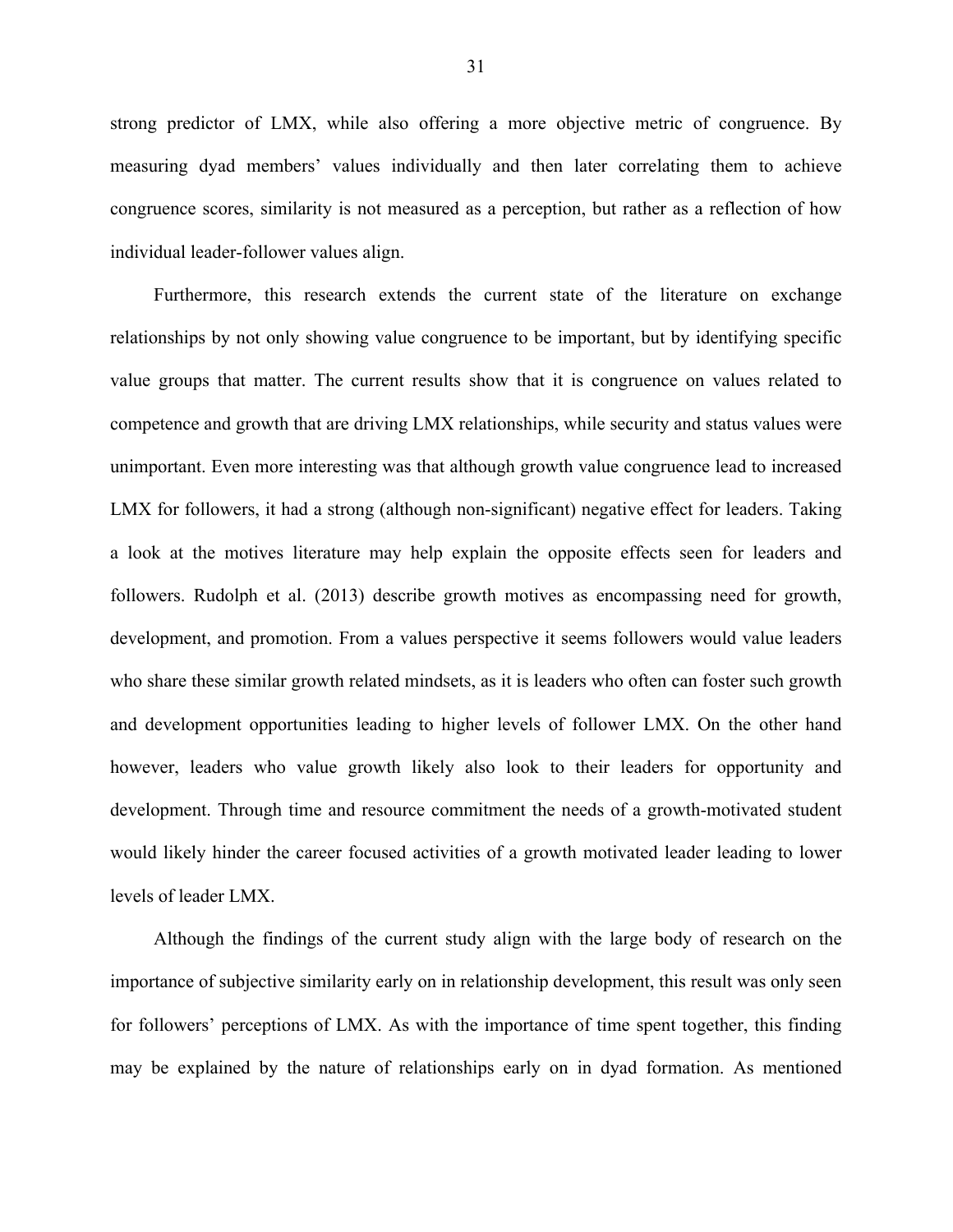strong predictor of LMX, while also offering a more objective metric of congruence. By measuring dyad members' values individually and then later correlating them to achieve congruence scores, similarity is not measured as a perception, but rather as a reflection of how individual leader-follower values align.

Furthermore, this research extends the current state of the literature on exchange relationships by not only showing value congruence to be important, but by identifying specific value groups that matter. The current results show that it is congruence on values related to competence and growth that are driving LMX relationships, while security and status values were unimportant. Even more interesting was that although growth value congruence lead to increased LMX for followers, it had a strong (although non-significant) negative effect for leaders. Taking a look at the motives literature may help explain the opposite effects seen for leaders and followers. Rudolph et al. (2013) describe growth motives as encompassing need for growth, development, and promotion. From a values perspective it seems followers would value leaders who share these similar growth related mindsets, as it is leaders who often can foster such growth and development opportunities leading to higher levels of follower LMX. On the other hand however, leaders who value growth likely also look to their leaders for opportunity and development. Through time and resource commitment the needs of a growth-motivated student would likely hinder the career focused activities of a growth motivated leader leading to lower levels of leader LMX.

Although the findings of the current study align with the large body of research on the importance of subjective similarity early on in relationship development, this result was only seen for followers' perceptions of LMX. As with the importance of time spent together, this finding may be explained by the nature of relationships early on in dyad formation. As mentioned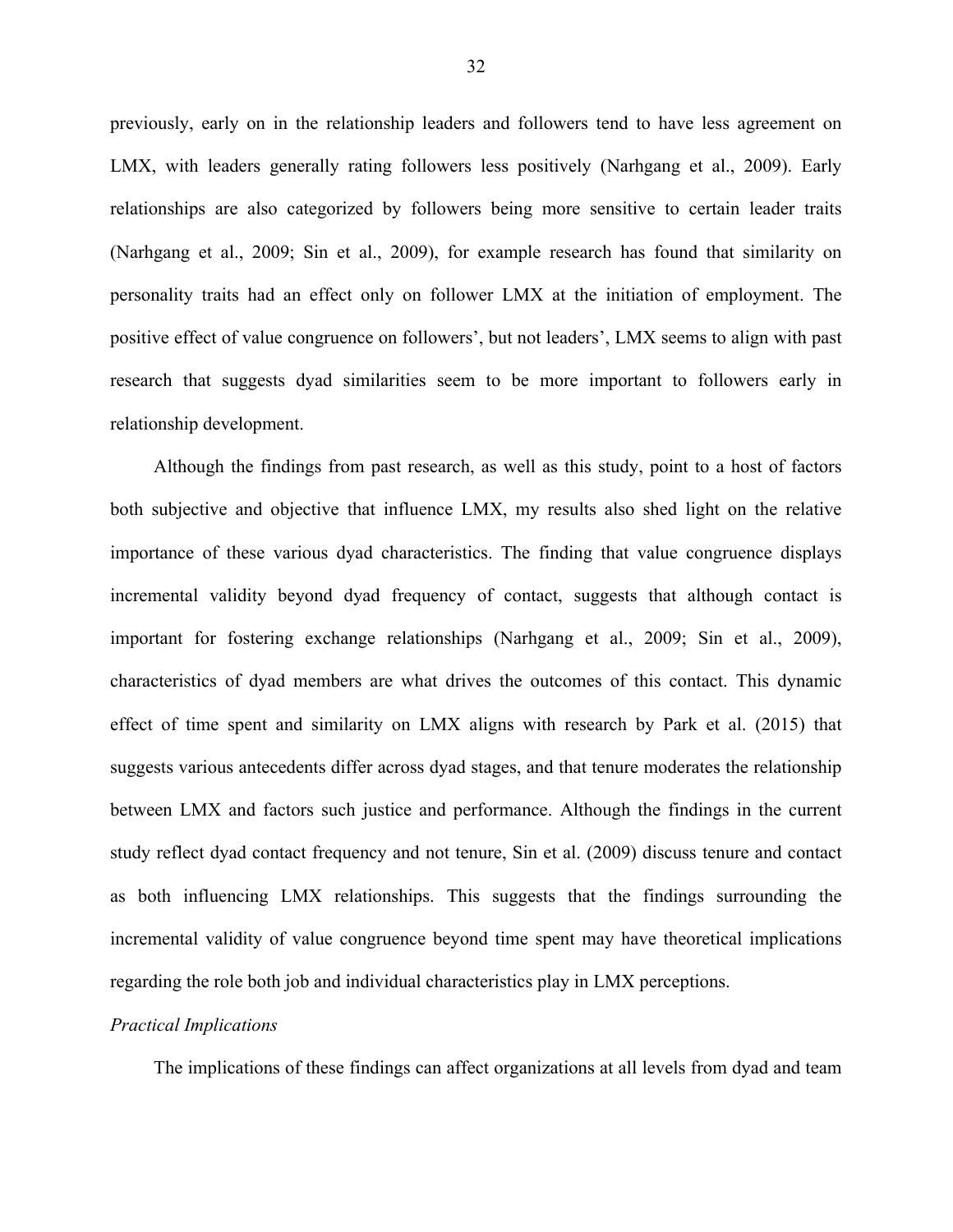previously, early on in the relationship leaders and followers tend to have less agreement on LMX, with leaders generally rating followers less positively (Narhgang et al., 2009). Early relationships are also categorized by followers being more sensitive to certain leader traits (Narhgang et al., 2009; Sin et al., 2009), for example research has found that similarity on personality traits had an effect only on follower LMX at the initiation of employment. The positive effect of value congruence on followers', but not leaders', LMX seems to align with past research that suggests dyad similarities seem to be more important to followers early in relationship development.

Although the findings from past research, as well as this study, point to a host of factors both subjective and objective that influence LMX, my results also shed light on the relative importance of these various dyad characteristics. The finding that value congruence displays incremental validity beyond dyad frequency of contact, suggests that although contact is important for fostering exchange relationships (Narhgang et al., 2009; Sin et al., 2009), characteristics of dyad members are what drives the outcomes of this contact. This dynamic effect of time spent and similarity on LMX aligns with research by Park et al. (2015) that suggests various antecedents differ across dyad stages, and that tenure moderates the relationship between LMX and factors such justice and performance. Although the findings in the current study reflect dyad contact frequency and not tenure, Sin et al. (2009) discuss tenure and contact as both influencing LMX relationships. This suggests that the findings surrounding the incremental validity of value congruence beyond time spent may have theoretical implications regarding the role both job and individual characteristics play in LMX perceptions.

#### *Practical Implications*

The implications of these findings can affect organizations at all levels from dyad and team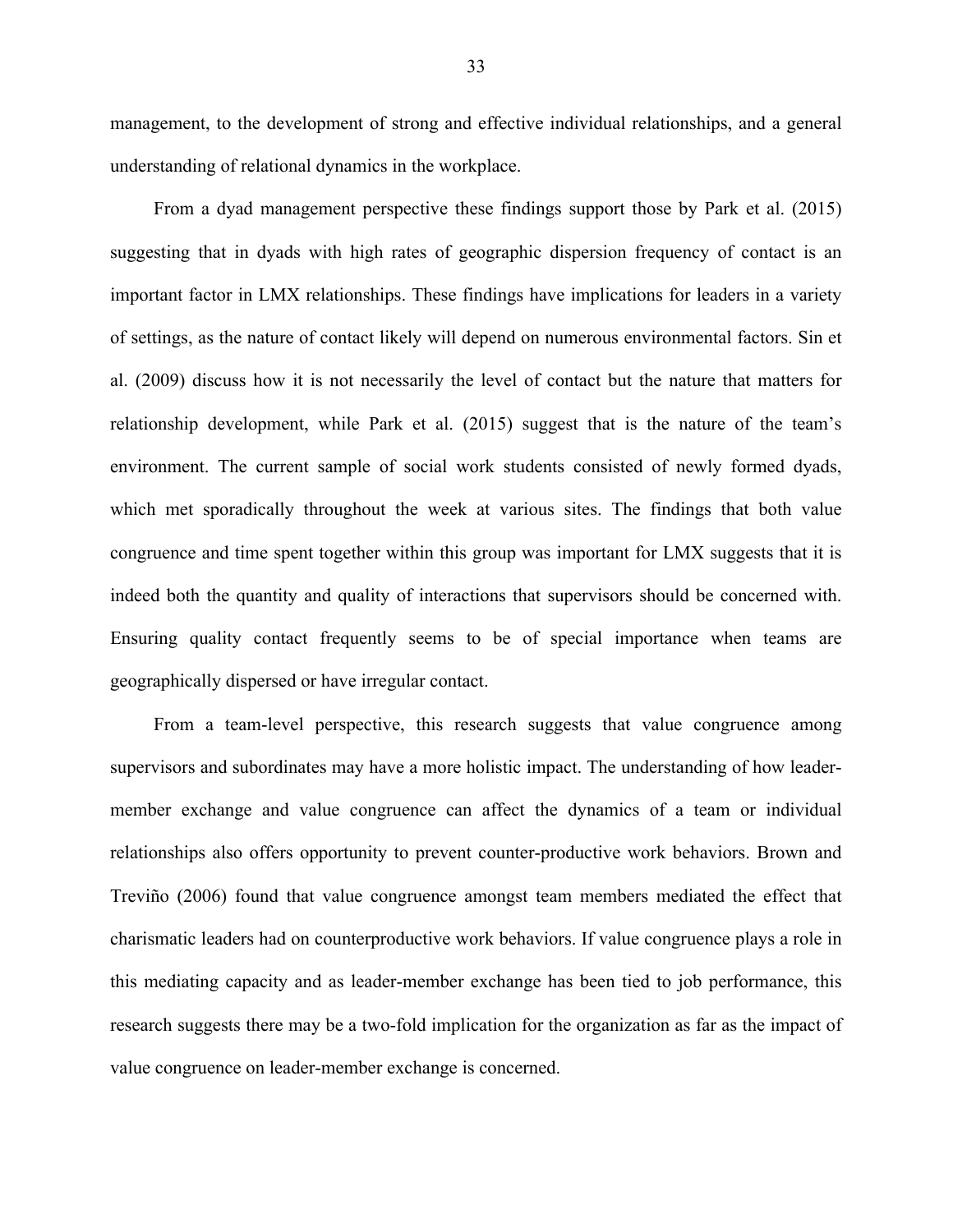management, to the development of strong and effective individual relationships, and a general understanding of relational dynamics in the workplace.

From a dyad management perspective these findings support those by Park et al. (2015) suggesting that in dyads with high rates of geographic dispersion frequency of contact is an important factor in LMX relationships. These findings have implications for leaders in a variety of settings, as the nature of contact likely will depend on numerous environmental factors. Sin et al. (2009) discuss how it is not necessarily the level of contact but the nature that matters for relationship development, while Park et al. (2015) suggest that is the nature of the team's environment. The current sample of social work students consisted of newly formed dyads, which met sporadically throughout the week at various sites. The findings that both value congruence and time spent together within this group was important for LMX suggests that it is indeed both the quantity and quality of interactions that supervisors should be concerned with. Ensuring quality contact frequently seems to be of special importance when teams are geographically dispersed or have irregular contact.

From a team-level perspective, this research suggests that value congruence among supervisors and subordinates may have a more holistic impact. The understanding of how leadermember exchange and value congruence can affect the dynamics of a team or individual relationships also offers opportunity to prevent counter-productive work behaviors. Brown and Treviño (2006) found that value congruence amongst team members mediated the effect that charismatic leaders had on counterproductive work behaviors. If value congruence plays a role in this mediating capacity and as leader-member exchange has been tied to job performance, this research suggests there may be a two-fold implication for the organization as far as the impact of value congruence on leader-member exchange is concerned.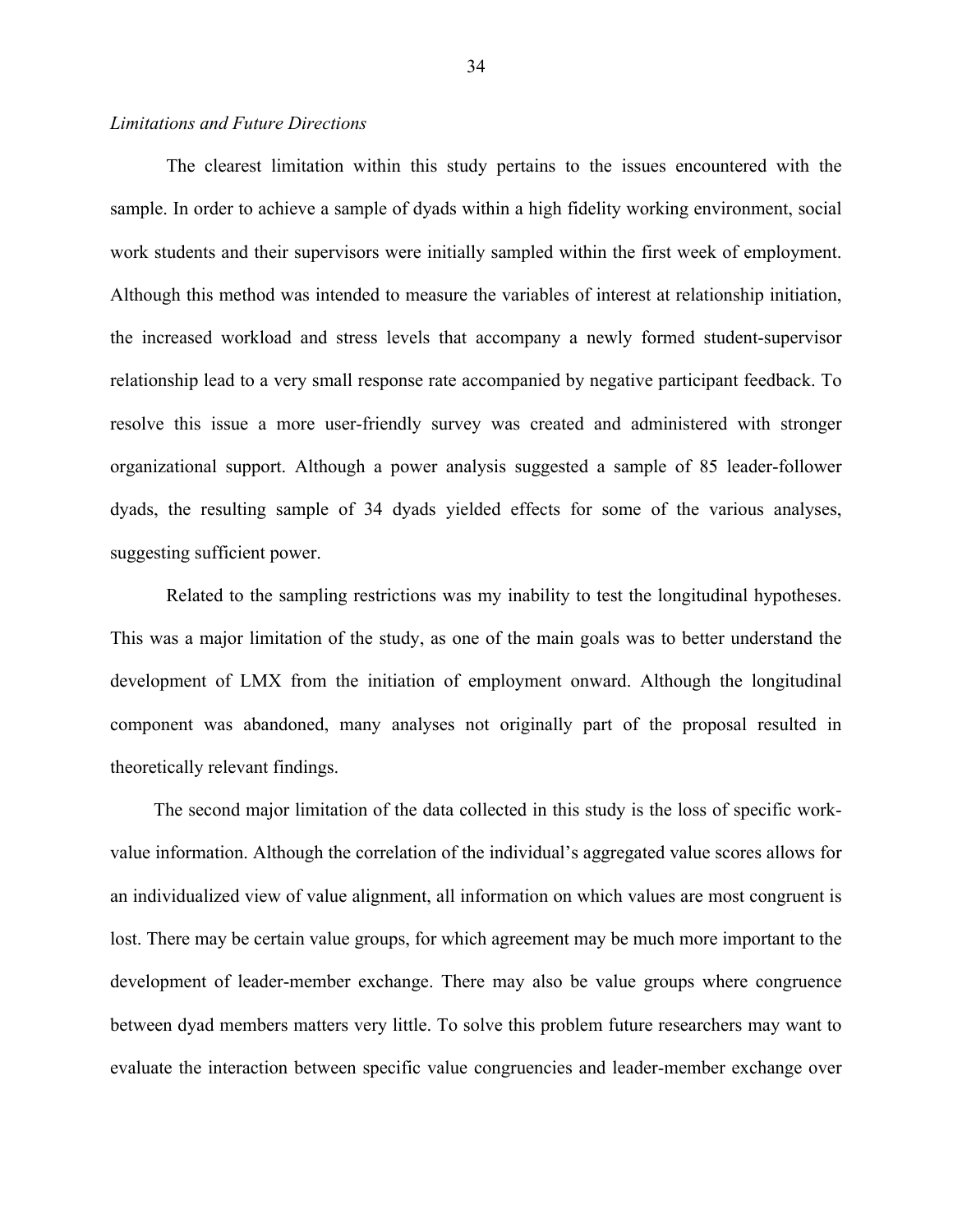#### *Limitations and Future Directions*

The clearest limitation within this study pertains to the issues encountered with the sample. In order to achieve a sample of dyads within a high fidelity working environment, social work students and their supervisors were initially sampled within the first week of employment. Although this method was intended to measure the variables of interest at relationship initiation, the increased workload and stress levels that accompany a newly formed student-supervisor relationship lead to a very small response rate accompanied by negative participant feedback. To resolve this issue a more user-friendly survey was created and administered with stronger organizational support. Although a power analysis suggested a sample of 85 leader-follower dyads, the resulting sample of 34 dyads yielded effects for some of the various analyses, suggesting sufficient power.

Related to the sampling restrictions was my inability to test the longitudinal hypotheses. This was a major limitation of the study, as one of the main goals was to better understand the development of LMX from the initiation of employment onward. Although the longitudinal component was abandoned, many analyses not originally part of the proposal resulted in theoretically relevant findings.

The second major limitation of the data collected in this study is the loss of specific workvalue information. Although the correlation of the individual's aggregated value scores allows for an individualized view of value alignment, all information on which values are most congruent is lost. There may be certain value groups, for which agreement may be much more important to the development of leader-member exchange. There may also be value groups where congruence between dyad members matters very little. To solve this problem future researchers may want to evaluate the interaction between specific value congruencies and leader-member exchange over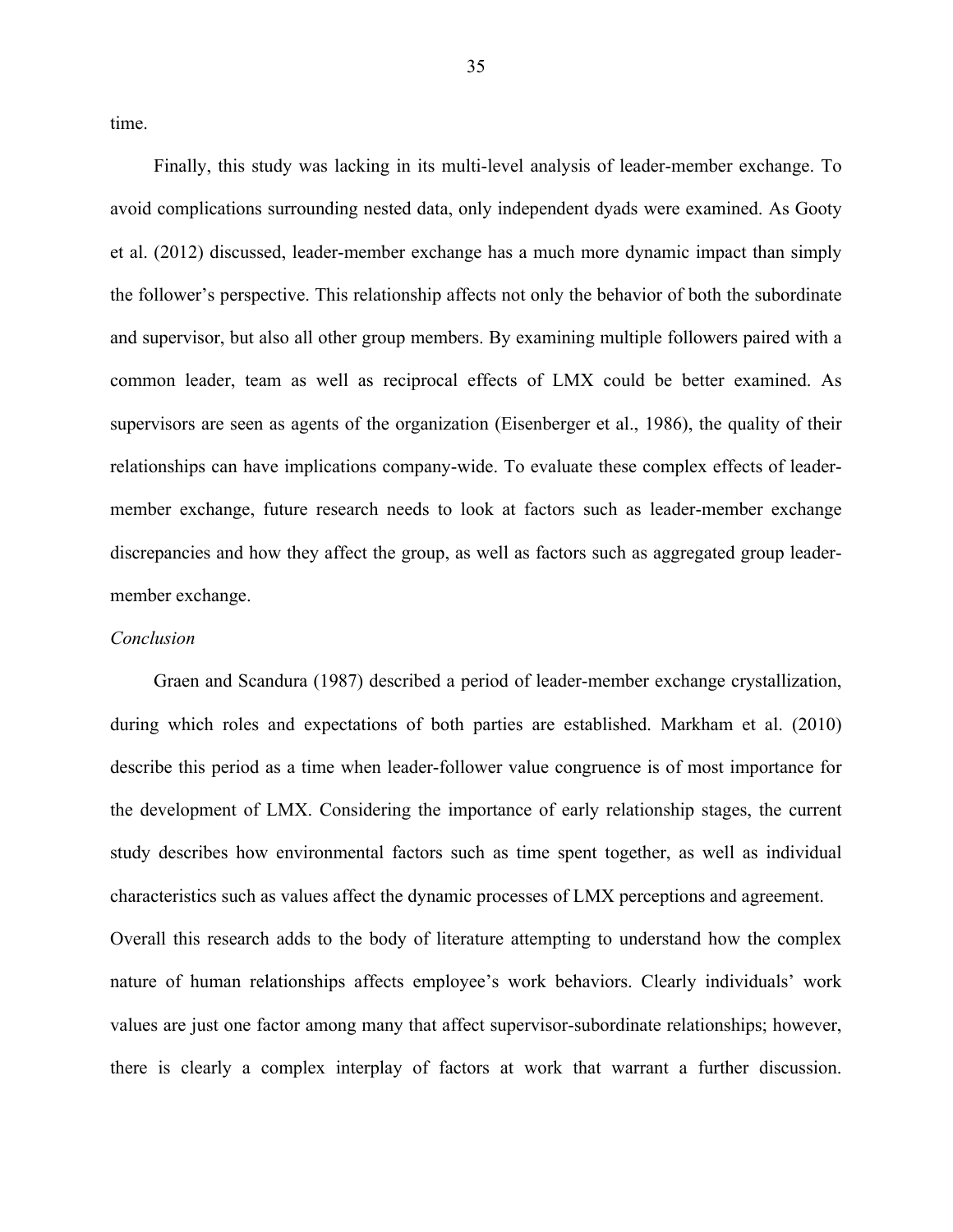time.

Finally, this study was lacking in its multi-level analysis of leader-member exchange. To avoid complications surrounding nested data, only independent dyads were examined. As Gooty et al. (2012) discussed, leader-member exchange has a much more dynamic impact than simply the follower's perspective. This relationship affects not only the behavior of both the subordinate and supervisor, but also all other group members. By examining multiple followers paired with a common leader, team as well as reciprocal effects of LMX could be better examined. As supervisors are seen as agents of the organization (Eisenberger et al., 1986), the quality of their relationships can have implications company-wide. To evaluate these complex effects of leadermember exchange, future research needs to look at factors such as leader-member exchange discrepancies and how they affect the group, as well as factors such as aggregated group leadermember exchange.

#### *Conclusion*

Graen and Scandura (1987) described a period of leader-member exchange crystallization, during which roles and expectations of both parties are established. Markham et al. (2010) describe this period as a time when leader-follower value congruence is of most importance for the development of LMX. Considering the importance of early relationship stages, the current study describes how environmental factors such as time spent together, as well as individual characteristics such as values affect the dynamic processes of LMX perceptions and agreement. Overall this research adds to the body of literature attempting to understand how the complex nature of human relationships affects employee's work behaviors. Clearly individuals' work values are just one factor among many that affect supervisor-subordinate relationships; however, there is clearly a complex interplay of factors at work that warrant a further discussion.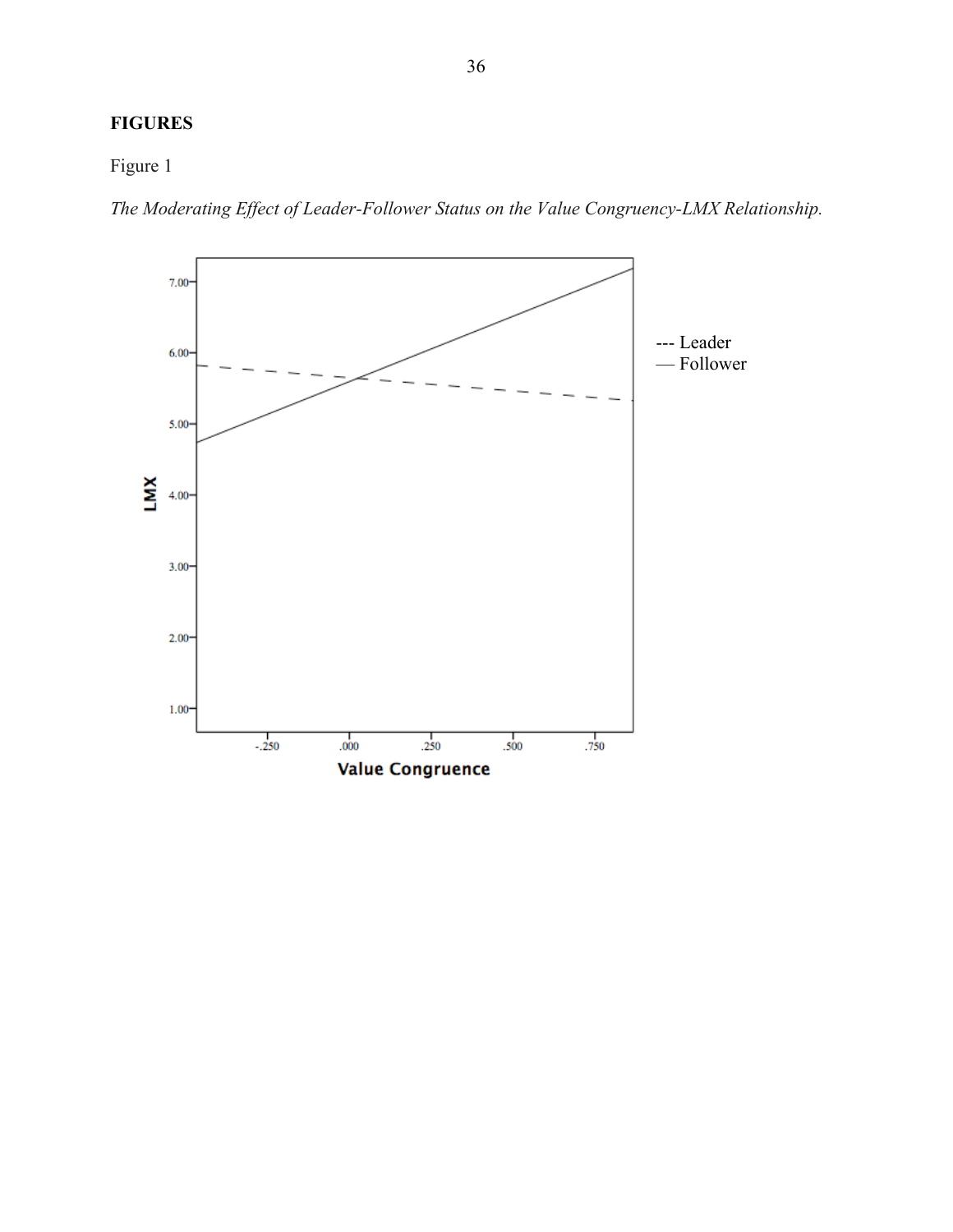## **FIGURES**

Figure 1

*The Moderating Effect of Leader-Follower Status on the Value Congruency-LMX Relationship.*

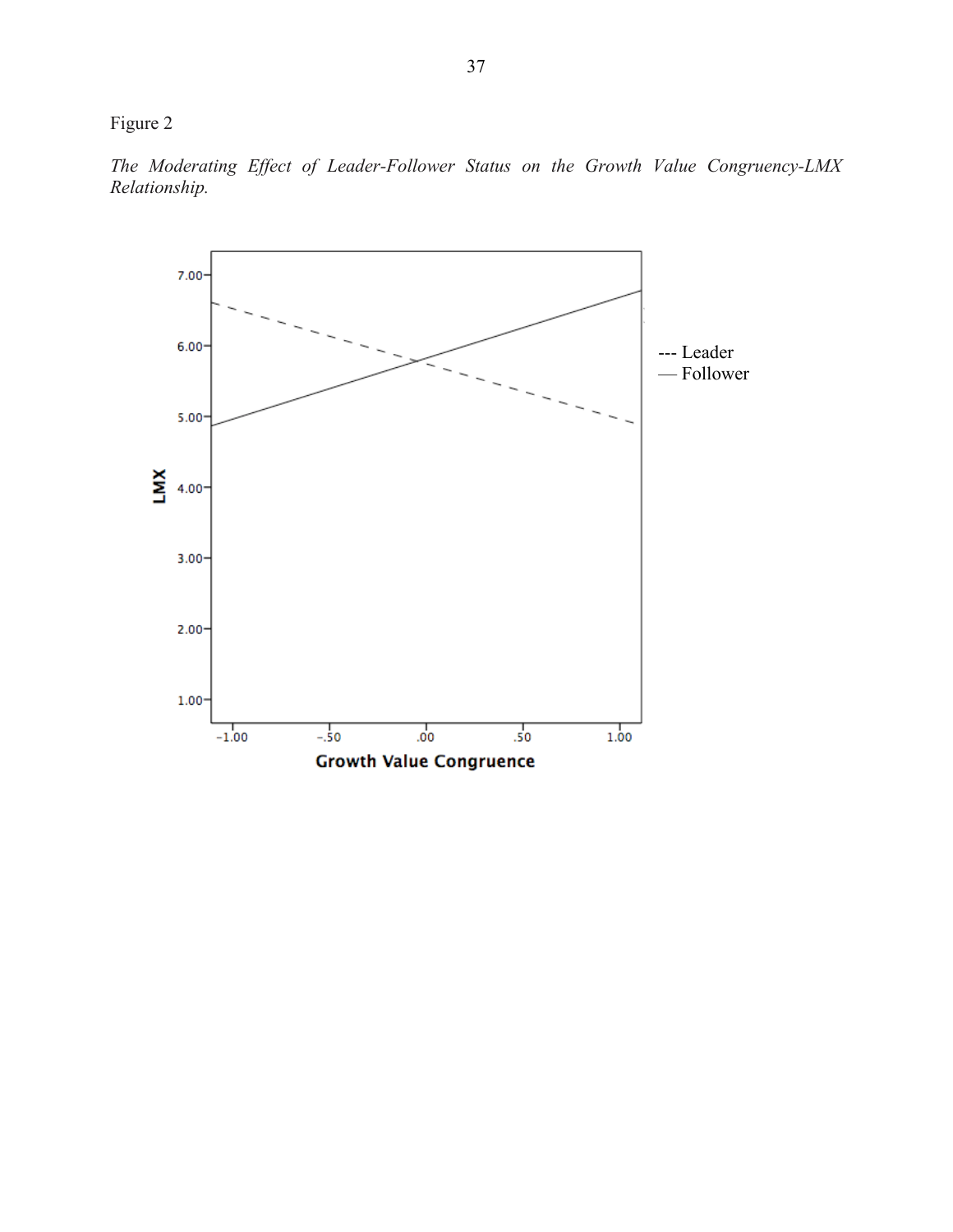Figure 2

*The Moderating Effect of Leader-Follower Status on the Growth Value Congruency-LMX Relationship.*

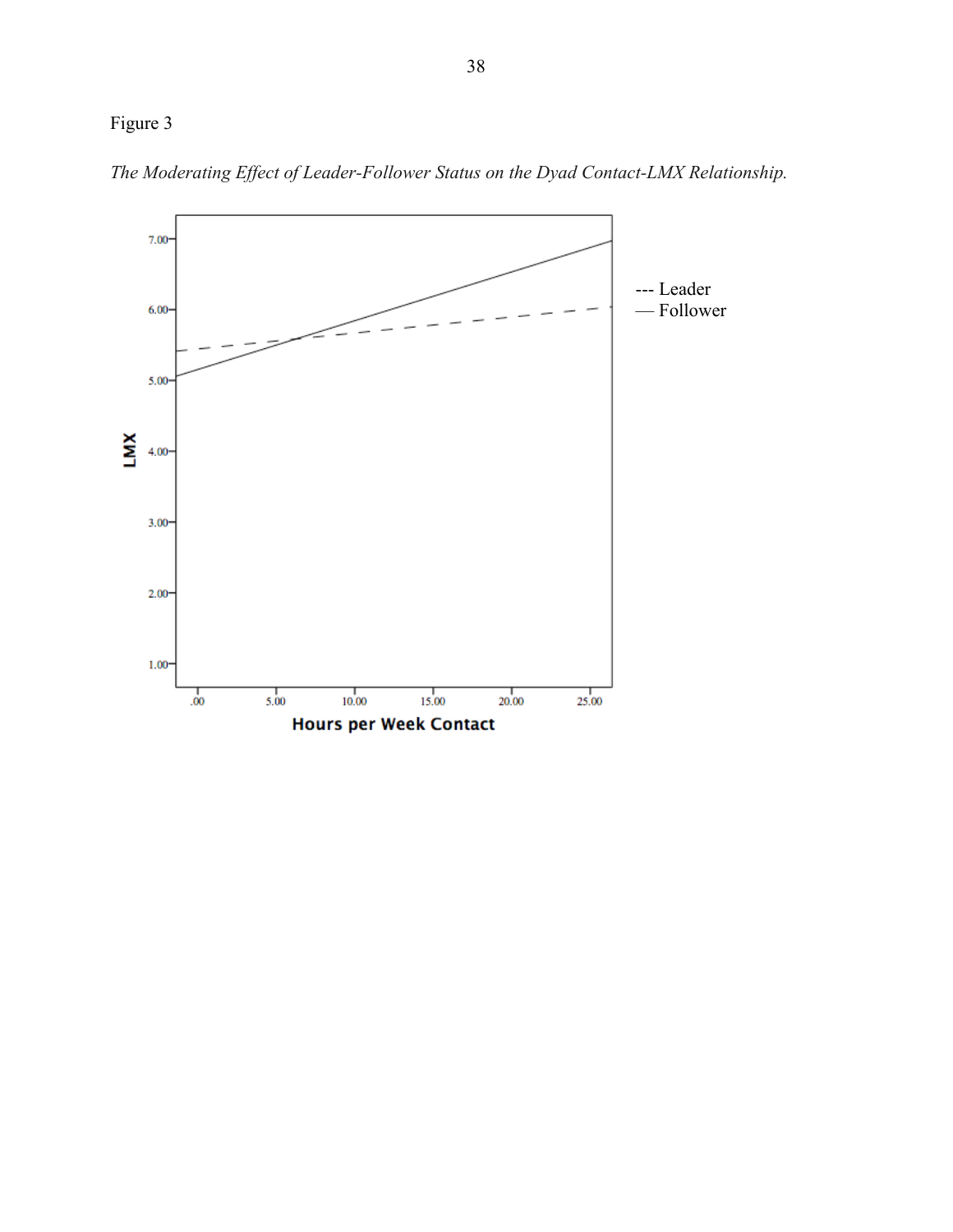## Figure 3



*The Moderating Effect of Leader-Follower Status on the Dyad Contact-LMX Relationship.*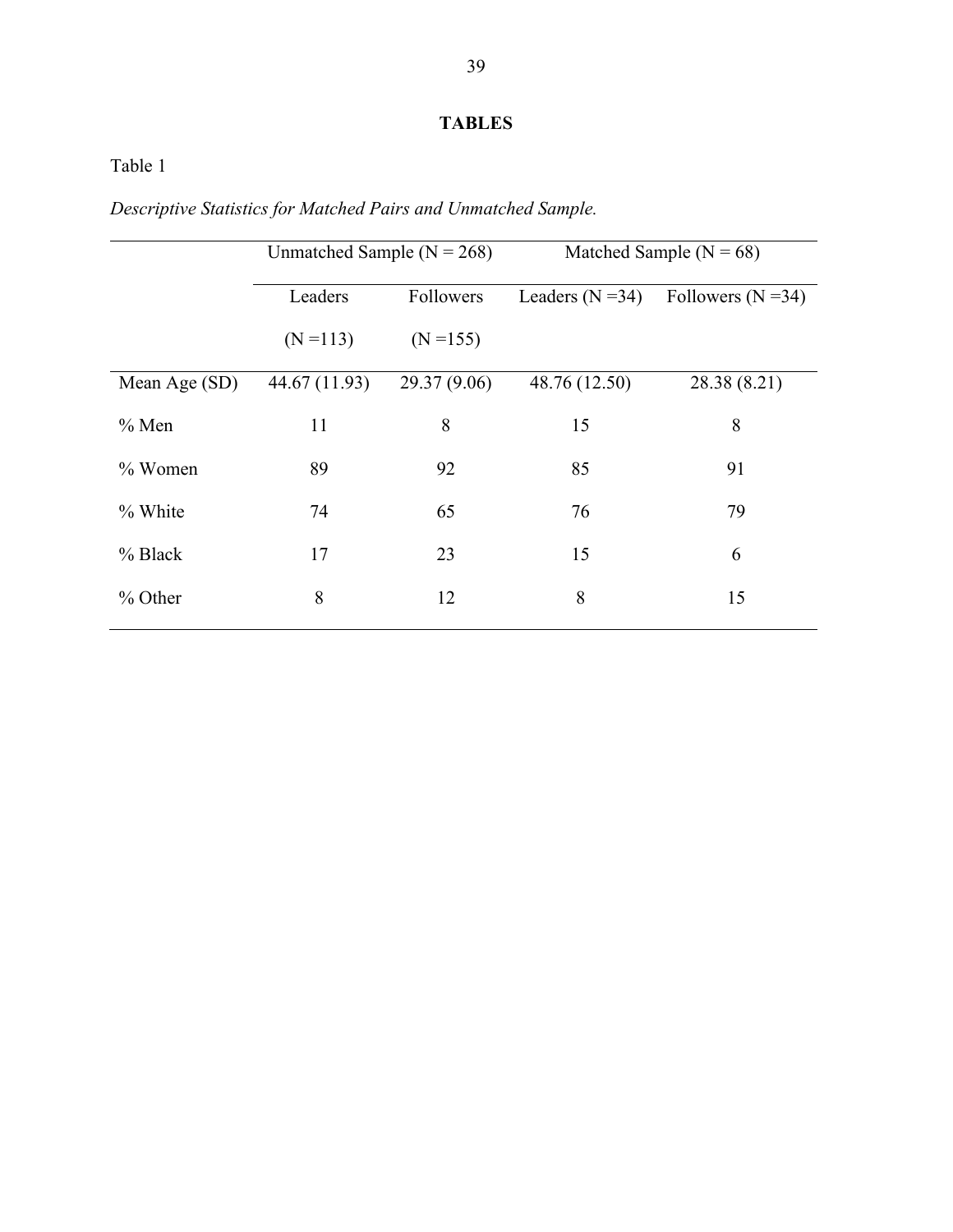## **TABLES**

Table 1

*Descriptive Statistics for Matched Pairs and Unmatched Sample.* 

|               | Unmatched Sample ( $N = 268$ ) |              | Matched Sample ( $N = 68$ ) |                        |  |  |  |
|---------------|--------------------------------|--------------|-----------------------------|------------------------|--|--|--|
|               | Leaders                        | Followers    | Leaders $(N=34)$            | Followers ( $N = 34$ ) |  |  |  |
|               | $(N = 113)$                    | $(N = 155)$  |                             |                        |  |  |  |
| Mean Age (SD) | 44.67 (11.93)                  | 29.37 (9.06) | 48.76 (12.50)               | 28.38 (8.21)           |  |  |  |
| $%$ Men       | 11                             | 8            | 15                          | 8                      |  |  |  |
| $%$ Women     | 89                             | 92           | 85                          | 91                     |  |  |  |
| % White       | 74                             | 65           | 76                          | 79                     |  |  |  |
| $%$ Black     | 17                             | 23           | 15                          | 6                      |  |  |  |
| % Other       | 8                              | 12           | 8                           | 15                     |  |  |  |
|               |                                |              |                             |                        |  |  |  |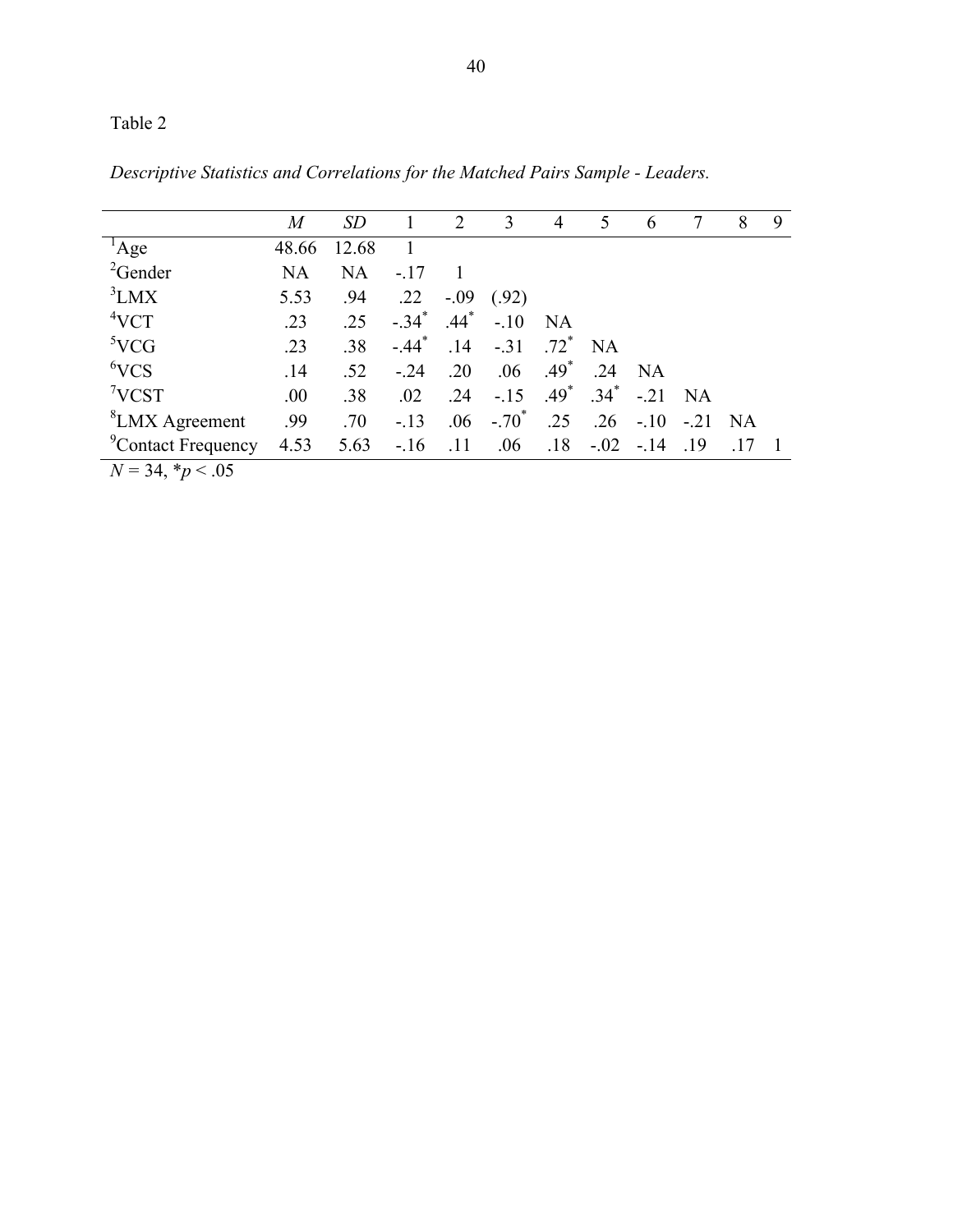|                                           | $\boldsymbol{M}$ | <i>SD</i> |                     | 2      | 3        | $\overline{4}$     | 5         | 6          | 7         | 8    | 9 |
|-------------------------------------------|------------------|-----------|---------------------|--------|----------|--------------------|-----------|------------|-----------|------|---|
| $^1$ Age                                  | 48.66            | 12.68     |                     |        |          |                    |           |            |           |      |   |
| ${}^{2}$ Gender                           | NA               | <b>NA</b> | $-.17$              |        |          |                    |           |            |           |      |   |
| ${}^{3}LMX$                               | 5.53             | .94       | .22                 | $-.09$ | (.92)    |                    |           |            |           |      |   |
| 4VCT                                      | .23              | .25       | $-.34$ <sup>*</sup> | $.44*$ | $-.10$   | <b>NA</b>          |           |            |           |      |   |
| 5VCG                                      | .23              | .38       | $-44$ <sup>*</sup>  | .14    | $-.31$   | $.72$ <sup>*</sup> | <b>NA</b> |            |           |      |   |
| 6VCS                                      | .14              | .52       | $-.24$              | .20    | .06      | $.49*$             | .24       | NA         |           |      |   |
| 7VCST                                     | .00              | .38       | .02                 | .24    | $-.15$   | $.49*$             | $.34^{*}$ | $-.21$     | <b>NA</b> |      |   |
| <sup>8</sup> LMX Agreement                | .99              | .70       | $-13$               | .06    | $-.70^*$ | .25                | .26       | $-.10$     | $-21$     | - NA |   |
| <sup>9</sup> Contact Frequency            | 4.53             | 5.63      | $-16$               | .11    | .06      | .18                |           | $-.02-.14$ | .19       |      |   |
| $\overline{M} = 24$ * $\sim \overline{M}$ |                  |           |                     |        |          |                    |           |            |           |      |   |

*Descriptive Statistics and Correlations for the Matched Pairs Sample - Leaders.*

 $N = 34, *p < .05$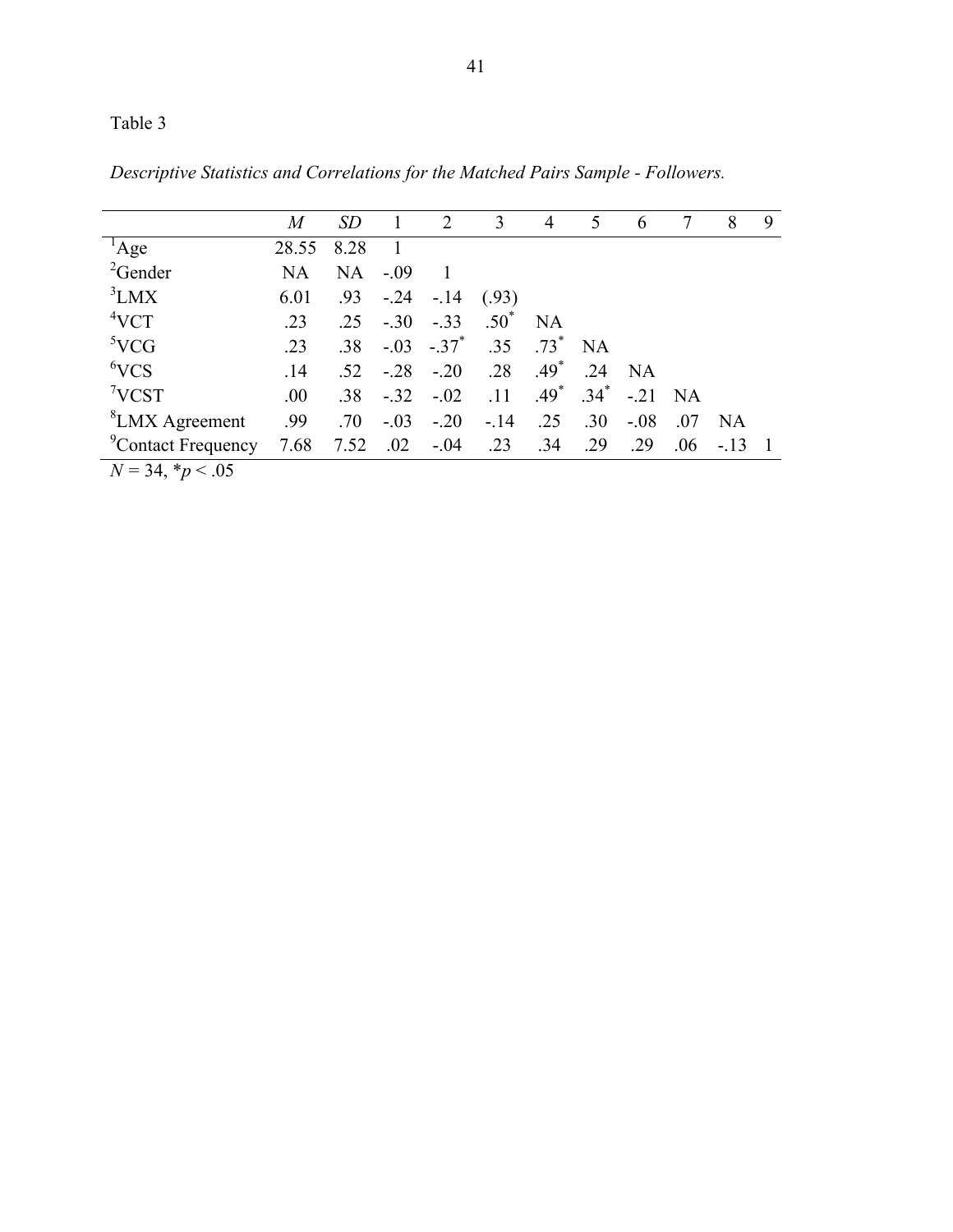|                                                                  | $\boldsymbol{M}$ | SD                          | -1                               | 2          | 3               | 4         | 5         | $\mathfrak b$ | 7   | 8      | 9 |
|------------------------------------------------------------------|------------------|-----------------------------|----------------------------------|------------|-----------------|-----------|-----------|---------------|-----|--------|---|
| $^1$ Age                                                         | 28.55            | 8.28                        | $\begin{array}{c} 1 \end{array}$ |            |                 |           |           |               |     |        |   |
| ${}^{2}$ Gender                                                  | NA               | NA                          | $-.09$                           |            |                 |           |           |               |     |        |   |
| ${}^{3}LMX$                                                      | 6.01             | .93                         | $-.24$                           | $-14$      | (.93)           |           |           |               |     |        |   |
| 4VCT                                                             | .23              | .25                         | $-.30$                           | $-.33$     | $.50^{\degree}$ | <b>NA</b> |           |               |     |        |   |
| 5VCG                                                             | .23              | .38                         |                                  | $-.03-.37$ | .35             | $.73*$    | <b>NA</b> |               |     |        |   |
| 6VCS                                                             | .14              | .52                         | $-.28$                           | $-.20$     | .28             | $.49*$    | .24       | NA            |     |        |   |
| 7VCST                                                            | .00              | .38                         | $-.32$                           | $-.02$     | .11             | $.49*$    | $.34*$    | $-.21$ NA     |     |        |   |
| <sup>8</sup> LMX Agreement                                       | .99              | .70                         | $-.03$                           | $-.20$     | $-14$           | .25       | .30       | $-.08$        | .07 | NA.    |   |
| <sup>9</sup> Contact Frequency                                   | 7.68             | $7.52 \quad .02 \quad -.04$ |                                  |            | .23             | .34       | .29       | .29           | .06 | $-.13$ |   |
| $\mathbf{r}$ $\mathbf{r}$ $\mathbf{r}$ $\mathbf{r}$ $\mathbf{r}$ |                  |                             |                                  |            |                 |           |           |               |     |        |   |

*Descriptive Statistics and Correlations for the Matched Pairs Sample - Followers.*

 $N = 34, *p < .05$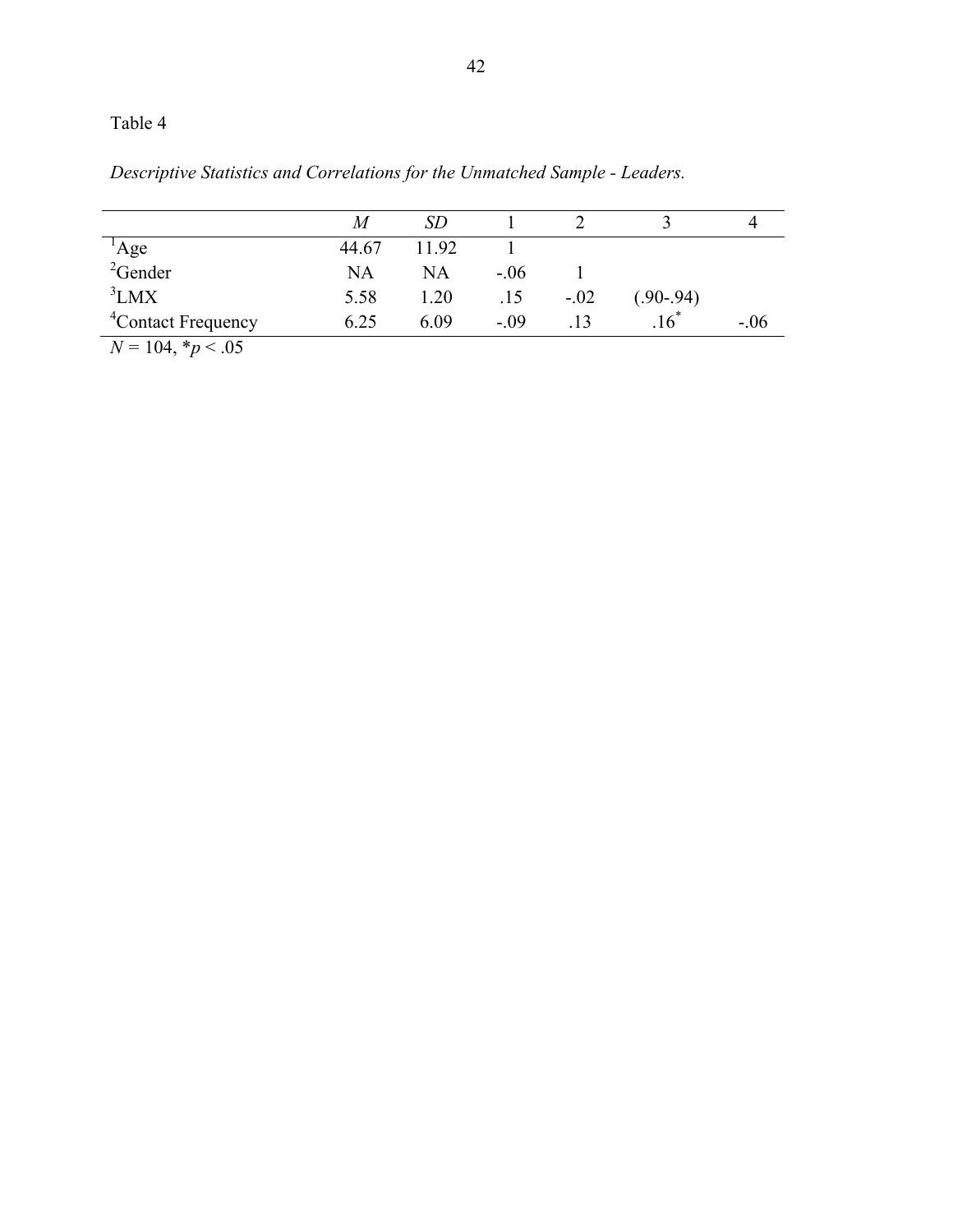| Descriptive Statistics and Correlations for the Unmatched Sample - Leaders. |  |  |
|-----------------------------------------------------------------------------|--|--|
|                                                                             |  |  |

|                                   | M     | SD        |        |                  |                    |        |
|-----------------------------------|-------|-----------|--------|------------------|--------------------|--------|
|                                   | 44.67 | 11.92     |        |                  |                    |        |
| $^{1}$ Age<br><sup>2</sup> Gender | NA    | <b>NA</b> | $-.06$ |                  |                    |        |
| ${}^{3}LMX$                       | 5.58  | 1.20      | .15    | $-.02$           | $(.90-.94)$        |        |
| <sup>4</sup> Contact Frequency    | 6.25  | 6.09      | $-09$  | $\overline{.}13$ | $.16$ <sup>*</sup> | $-.06$ |
| $N = 104, *p < .05$               |       |           |        |                  |                    |        |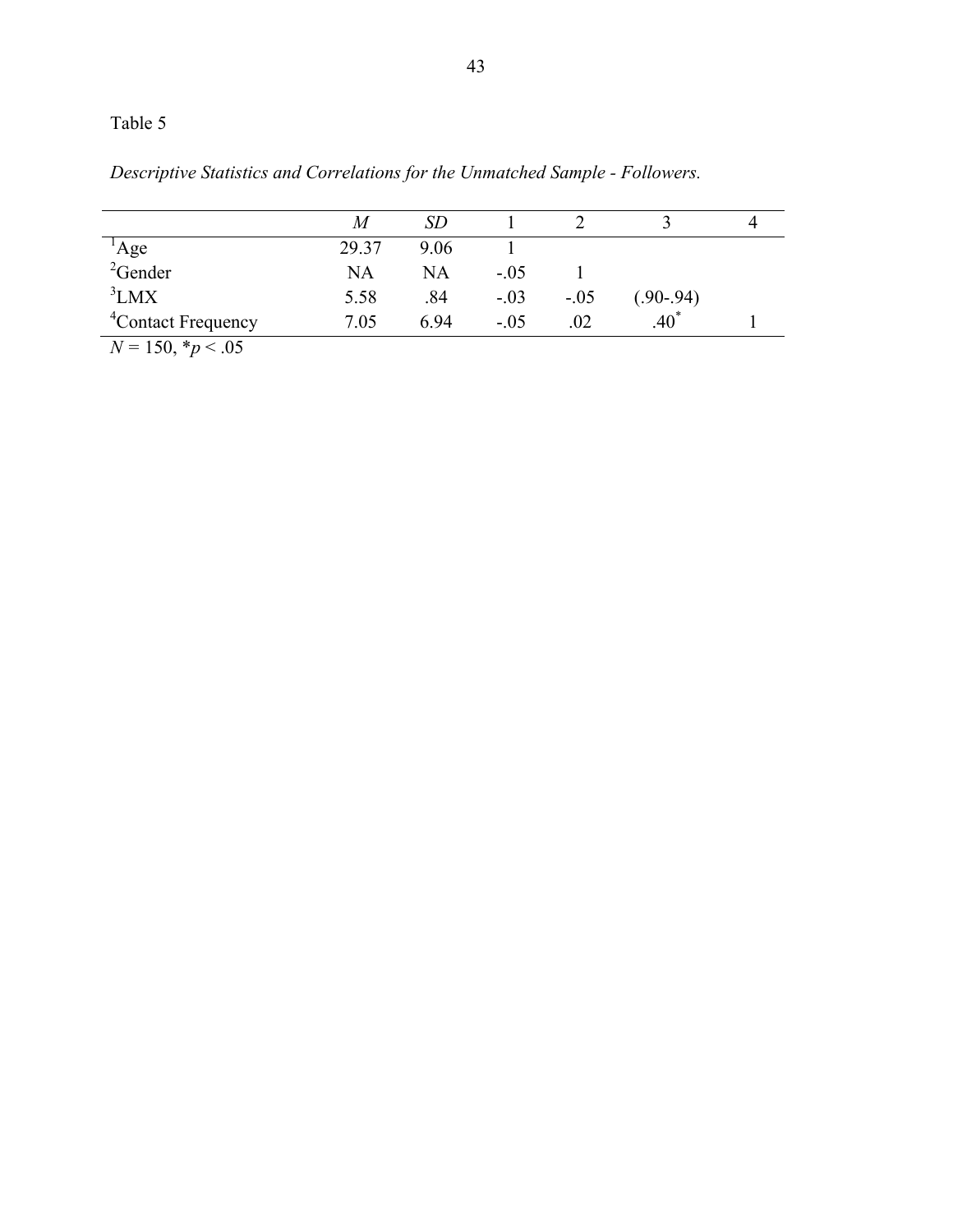|  |  | Descriptive Statistics and Correlations for the Unmatched Sample - Followers. |  |  |  |
|--|--|-------------------------------------------------------------------------------|--|--|--|
|  |  |                                                                               |  |  |  |

|                                   | M     | SЕ        |        |        |             |  |
|-----------------------------------|-------|-----------|--------|--------|-------------|--|
|                                   | 29.37 | 906       |        |        |             |  |
| $^{1}$ Age<br><sup>2</sup> Gender | NA    | <b>NA</b> | $-.05$ |        |             |  |
| ${}^{3}LMX$                       | 5.58  | .84       | $-.03$ | $-.05$ | $(.90-.94)$ |  |
| <sup>4</sup> Contact Frequency    | 7.05  | 694       | $-0.5$ | .02    | $40^*$      |  |
| $N = 150, *p < .05$               |       |           |        |        |             |  |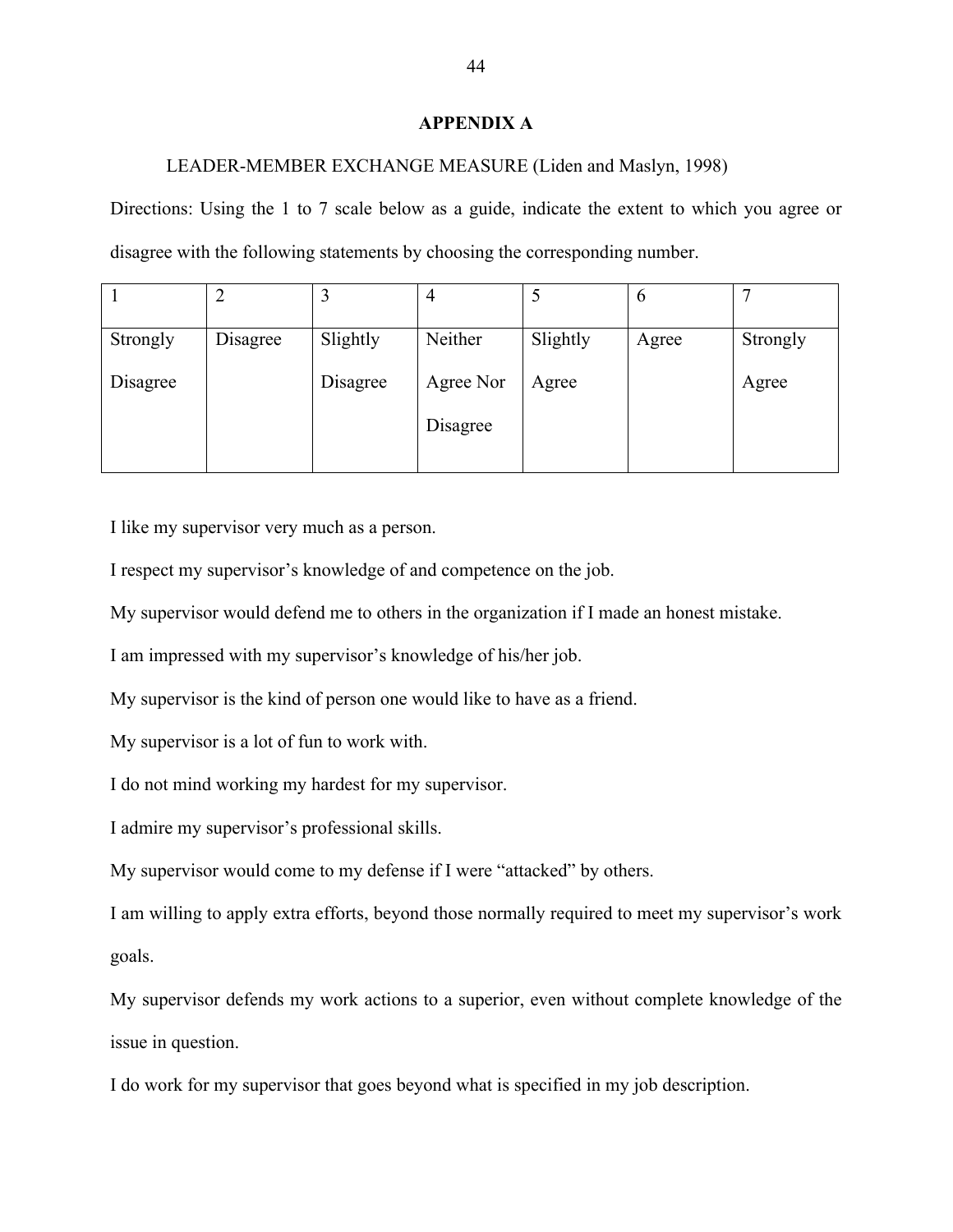#### **APPENDIX A**

#### LEADER-MEMBER EXCHANGE MEASURE (Liden and Maslyn, 1998)

Directions: Using the 1 to 7 scale below as a guide, indicate the extent to which you agree or disagree with the following statements by choosing the corresponding number.

|          |          | ͻ        | 4         |          | $\mathfrak b$ |          |
|----------|----------|----------|-----------|----------|---------------|----------|
| Strongly | Disagree | Slightly | Neither   | Slightly | Agree         | Strongly |
| Disagree |          | Disagree | Agree Nor | Agree    |               | Agree    |
|          |          |          | Disagree  |          |               |          |
|          |          |          |           |          |               |          |

I like my supervisor very much as a person.

I respect my supervisor's knowledge of and competence on the job.

My supervisor would defend me to others in the organization if I made an honest mistake.

I am impressed with my supervisor's knowledge of his/her job.

My supervisor is the kind of person one would like to have as a friend.

My supervisor is a lot of fun to work with.

I do not mind working my hardest for my supervisor.

I admire my supervisor's professional skills.

My supervisor would come to my defense if I were "attacked" by others.

I am willing to apply extra efforts, beyond those normally required to meet my supervisor's work goals.

My supervisor defends my work actions to a superior, even without complete knowledge of the issue in question.

I do work for my supervisor that goes beyond what is specified in my job description.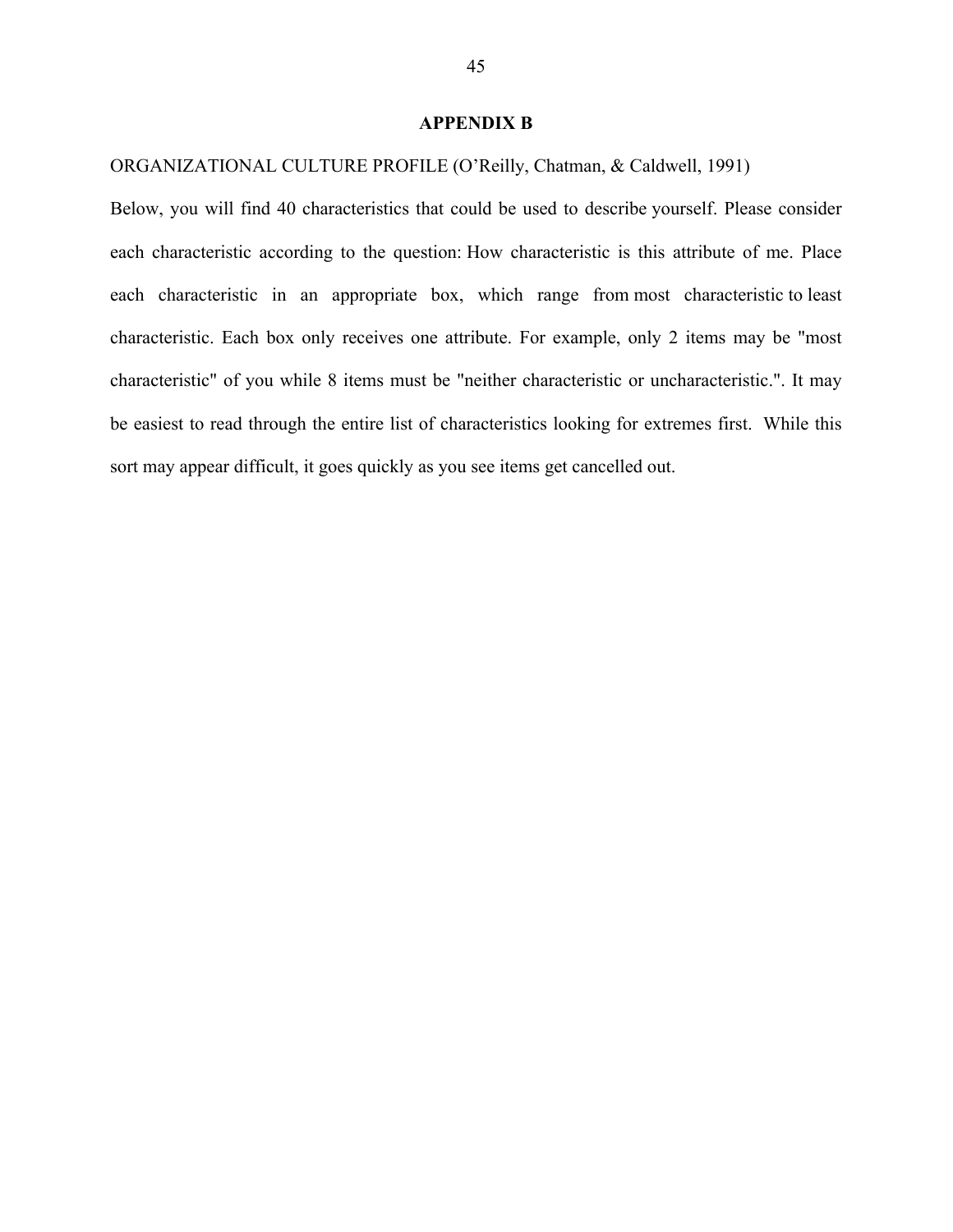#### **APPENDIX B**

ORGANIZATIONAL CULTURE PROFILE (O'Reilly, Chatman, & Caldwell, 1991)

Below, you will find 40 characteristics that could be used to describe yourself. Please consider each characteristic according to the question: How characteristic is this attribute of me. Place each characteristic in an appropriate box, which range from most characteristic to least characteristic. Each box only receives one attribute. For example, only 2 items may be "most characteristic" of you while 8 items must be "neither characteristic or uncharacteristic.". It may be easiest to read through the entire list of characteristics looking for extremes first. While this sort may appear difficult, it goes quickly as you see items get cancelled out.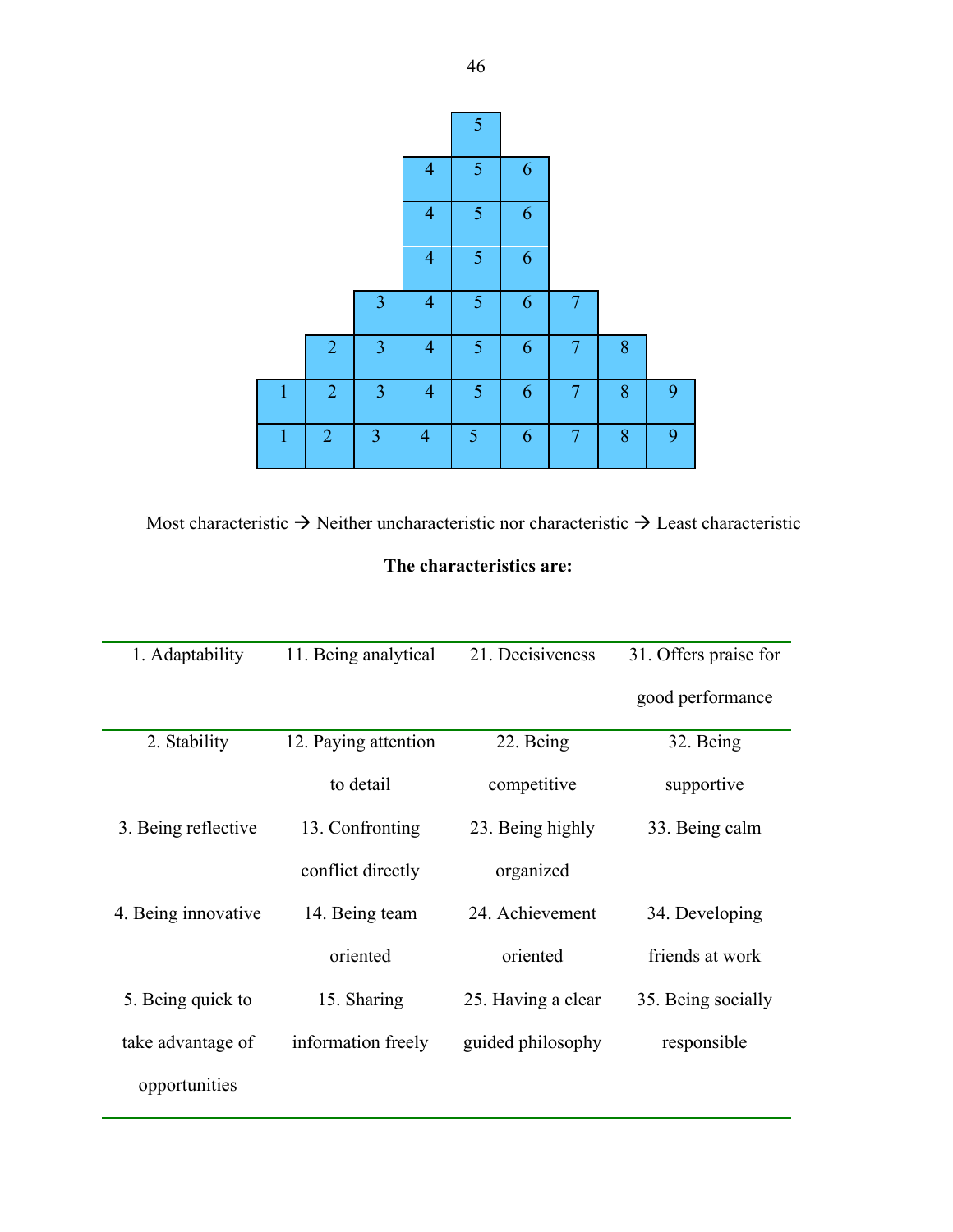|              |                |                |                | 5 |   |                |   |   |
|--------------|----------------|----------------|----------------|---|---|----------------|---|---|
|              |                |                | $\overline{4}$ | 5 | 6 |                |   |   |
|              |                |                | $\overline{4}$ | 5 | 6 |                |   |   |
|              |                |                | $\overline{4}$ | 5 | 6 |                |   |   |
|              |                | 3              | $\overline{4}$ | 5 | 6 | 7              |   |   |
|              | $\overline{2}$ | 3              | $\overline{4}$ | 5 | 6 | 7              | 8 |   |
| $\mathbf{1}$ | $\overline{2}$ | $\overline{3}$ | $\overline{4}$ | 5 | 6 | $\overline{7}$ | 8 | 9 |
| $\mathbf{1}$ | $\overline{2}$ | 3              | $\overline{4}$ | 5 | 6 | $\overline{7}$ | 8 | 9 |

Most characteristic  $\rightarrow$  Neither uncharacteristic nor characteristic  $\rightarrow$  Least characteristic

## **The characteristics are:**

| 1. Adaptability     | 11. Being analytical | 21. Decisiveness   | 31. Offers praise for |  |
|---------------------|----------------------|--------------------|-----------------------|--|
|                     |                      |                    | good performance      |  |
| 2. Stability        | 12. Paying attention | 22. Being          | 32. Being             |  |
|                     | to detail            | competitive        | supportive            |  |
| 3. Being reflective | 13. Confronting      | 23. Being highly   | 33. Being calm        |  |
|                     | conflict directly    | organized          |                       |  |
| 4. Being innovative | 14. Being team       | 24. Achievement    | 34. Developing        |  |
|                     | oriented             | oriented           | friends at work       |  |
| 5. Being quick to   | 15. Sharing          | 25. Having a clear | 35. Being socially    |  |
| take advantage of   | information freely   | guided philosophy  | responsible           |  |
| opportunities       |                      |                    |                       |  |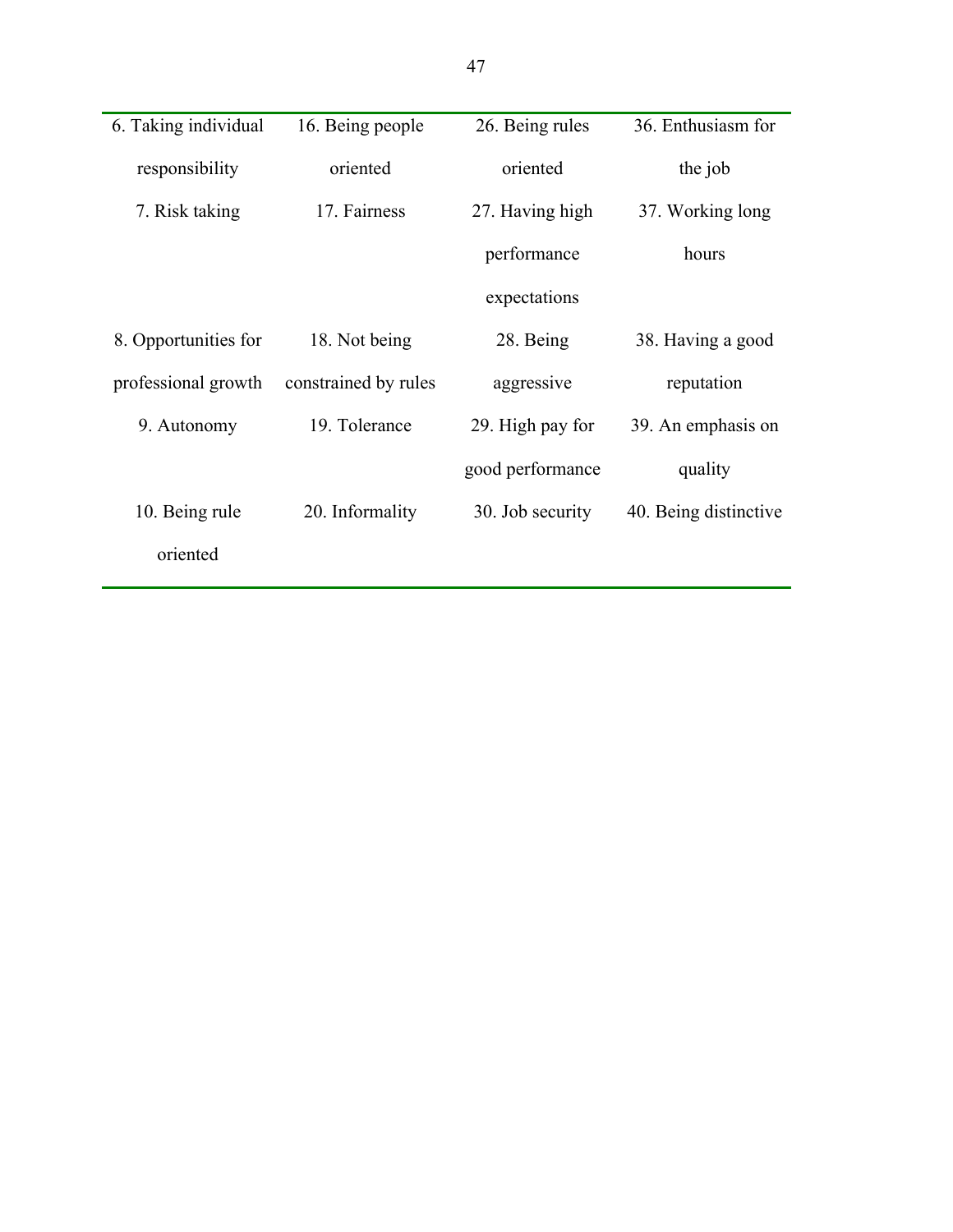| 6. Taking individual | 16. Being people     | 26. Being rules  | 36. Enthusiasm for    |
|----------------------|----------------------|------------------|-----------------------|
| responsibility       | oriented             | oriented         | the job               |
| 7. Risk taking       | 17. Fairness         | 27. Having high  | 37. Working long      |
|                      |                      | performance      | hours                 |
|                      |                      | expectations     |                       |
| 8. Opportunities for | 18. Not being        | 28. Being        | 38. Having a good     |
| professional growth  | constrained by rules | aggressive       | reputation            |
| 9. Autonomy          | 19. Tolerance        | 29. High pay for | 39. An emphasis on    |
|                      |                      | good performance | quality               |
| 10. Being rule       | 20. Informality      | 30. Job security | 40. Being distinctive |
| oriented             |                      |                  |                       |
|                      |                      |                  |                       |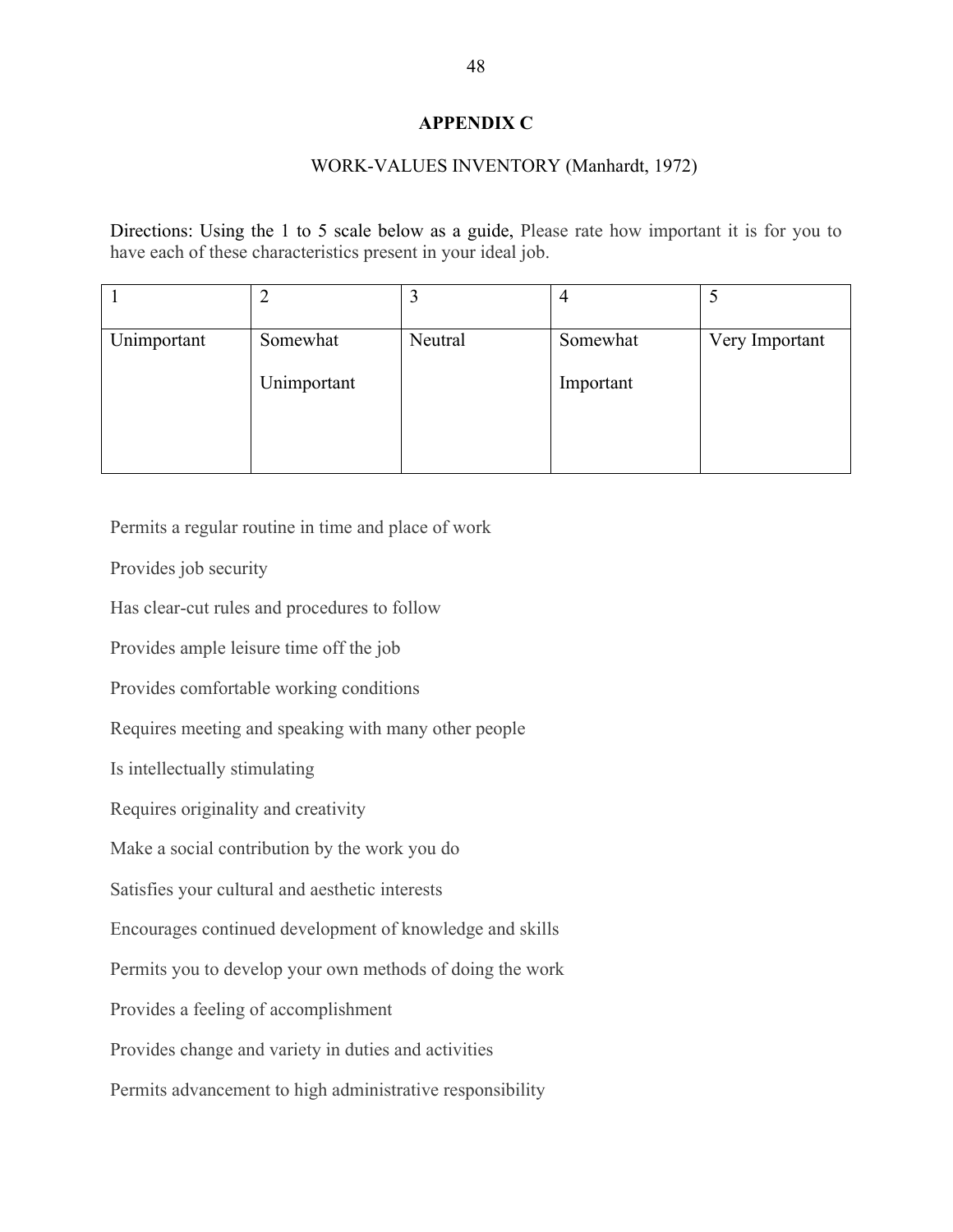#### **APPENDIX C**

#### WORK-VALUES INVENTORY (Manhardt, 1972)

Directions: Using the 1 to 5 scale below as a guide, Please rate how important it is for you to have each of these characteristics present in your ideal job.

| Unimportant | Somewhat    | Neutral | Somewhat  | Very Important |
|-------------|-------------|---------|-----------|----------------|
|             | Unimportant |         | Important |                |
|             |             |         |           |                |

Permits a regular routine in time and place of work

Provides job security

Has clear-cut rules and procedures to follow

Provides ample leisure time off the job

Provides comfortable working conditions

Requires meeting and speaking with many other people

Is intellectually stimulating

Requires originality and creativity

Make a social contribution by the work you do

Satisfies your cultural and aesthetic interests

Encourages continued development of knowledge and skills

Permits you to develop your own methods of doing the work

Provides a feeling of accomplishment

Provides change and variety in duties and activities

Permits advancement to high administrative responsibility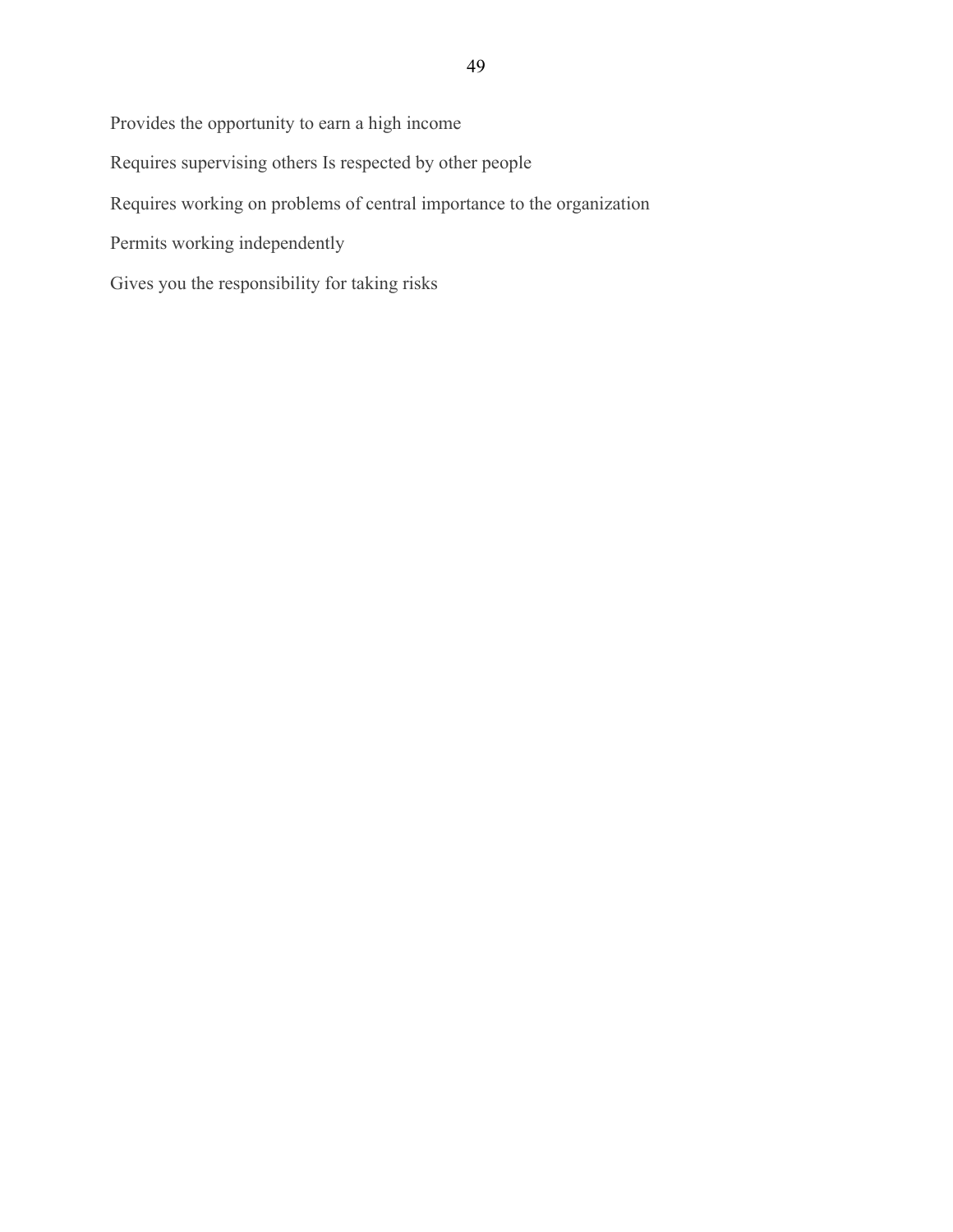Provides the opportunity to earn a high income

Requires supervising others Is respected by other people

Requires working on problems of central importance to the organization

Permits working independently

Gives you the responsibility for taking risks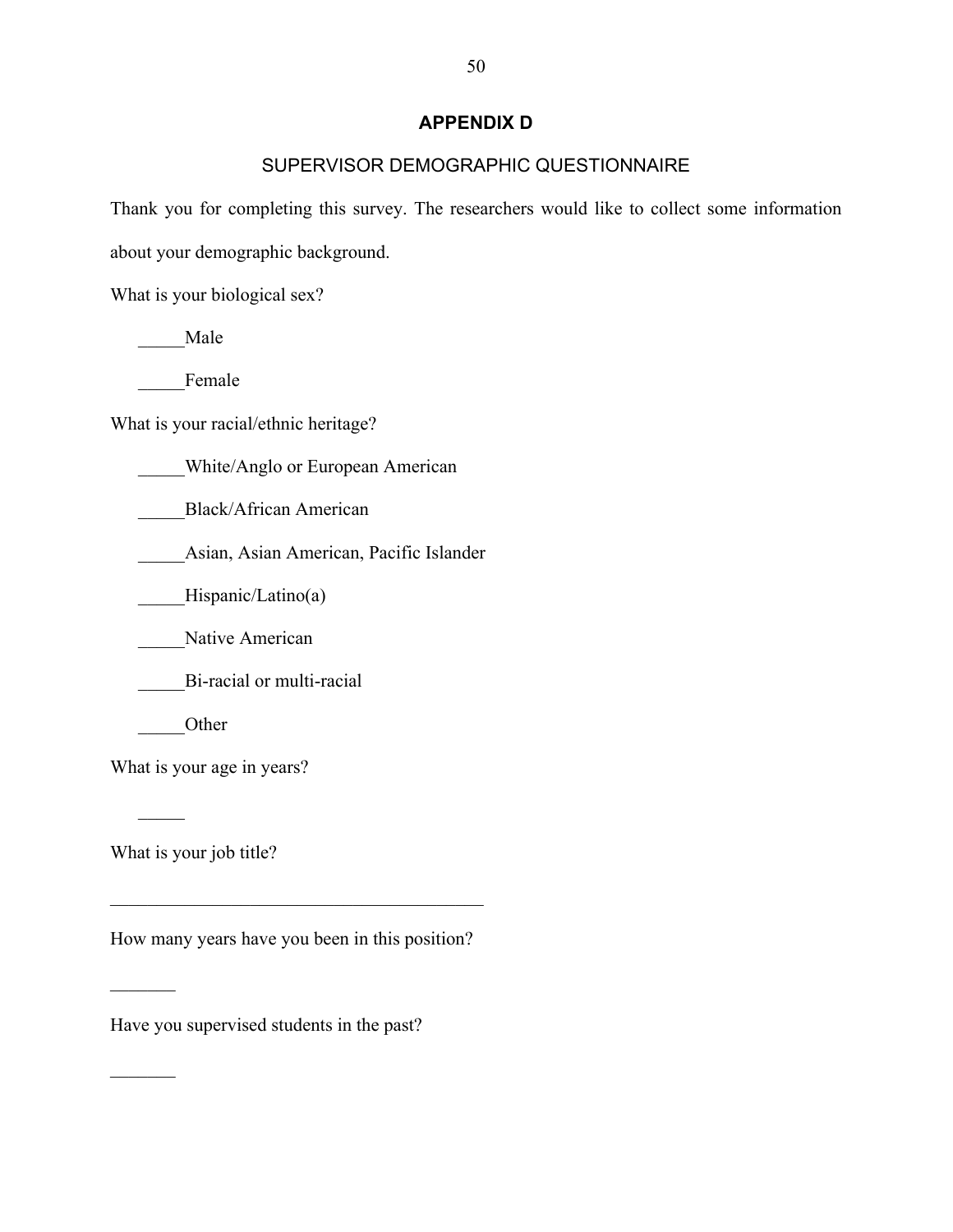### **APPENDIX D**

## SUPERVISOR DEMOGRAPHIC QUESTIONNAIRE

Thank you for completing this survey. The researchers would like to collect some information

about your demographic background.

What is your biological sex?

\_\_\_\_\_Male

Female

What is your racial/ethnic heritage?

\_\_\_\_\_White/Anglo or European American

\_\_\_\_\_Black/African American

\_\_\_\_\_Asian, Asian American, Pacific Islander

\_\_\_\_Hispanic/Latino(a)

Native American

Bi-racial or multi-racial

\_\_\_\_\_Other

What is your age in years?

What is your job title?

 $\mathcal{L}$ 

 $\frac{1}{2}$ 

 $\mathcal{L}_\text{max}$ 

How many years have you been in this position?

 $\mathcal{L}_\text{max}$  and  $\mathcal{L}_\text{max}$  and  $\mathcal{L}_\text{max}$  and  $\mathcal{L}_\text{max}$ 

Have you supervised students in the past?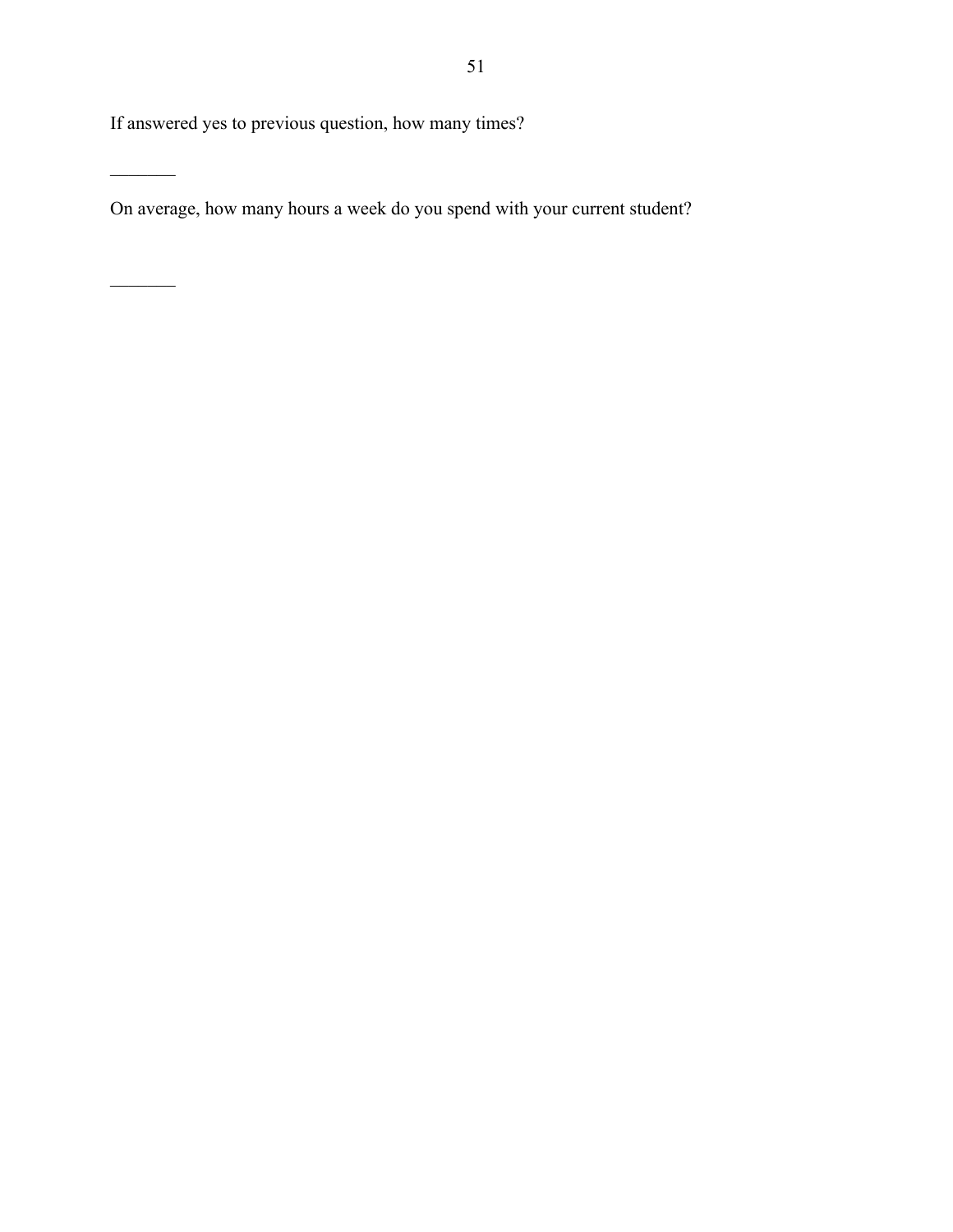If answered yes to previous question, how many times?

 $\overline{\phantom{a}}$ 

 $\overline{\phantom{a}}$ 

On average, how many hours a week do you spend with your current student?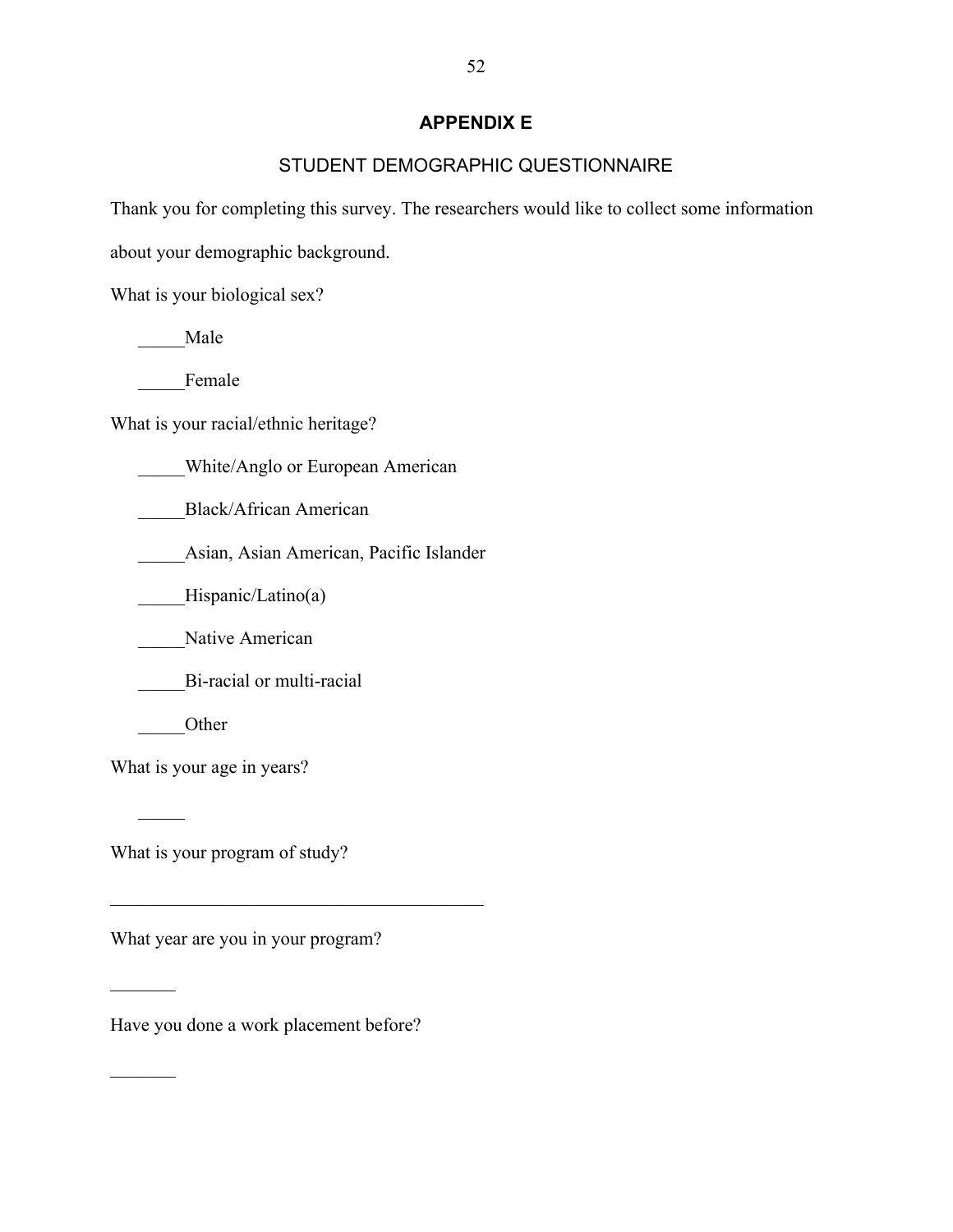### **APPENDIX E**

## STUDENT DEMOGRAPHIC QUESTIONNAIRE

Thank you for completing this survey. The researchers would like to collect some information

about your demographic background.

What is your biological sex?

\_\_\_\_\_Male

Female

What is your racial/ethnic heritage?

\_\_\_\_\_White/Anglo or European American

\_\_\_\_\_Black/African American

\_\_\_\_\_Asian, Asian American, Pacific Islander

\_\_\_\_Hispanic/Latino(a)

Native American

\_\_\_\_\_Bi-racial or multi-racial

\_\_\_\_\_Other

 $\mathcal{L}$ 

 $\frac{1}{2}$ 

 $\mathcal{L}_\text{max}$ 

What is your age in years?

What is your program of study?

What year are you in your program?

 $\mathcal{L}_\text{max}$  and  $\mathcal{L}_\text{max}$  and  $\mathcal{L}_\text{max}$  and  $\mathcal{L}_\text{max}$ 

Have you done a work placement before?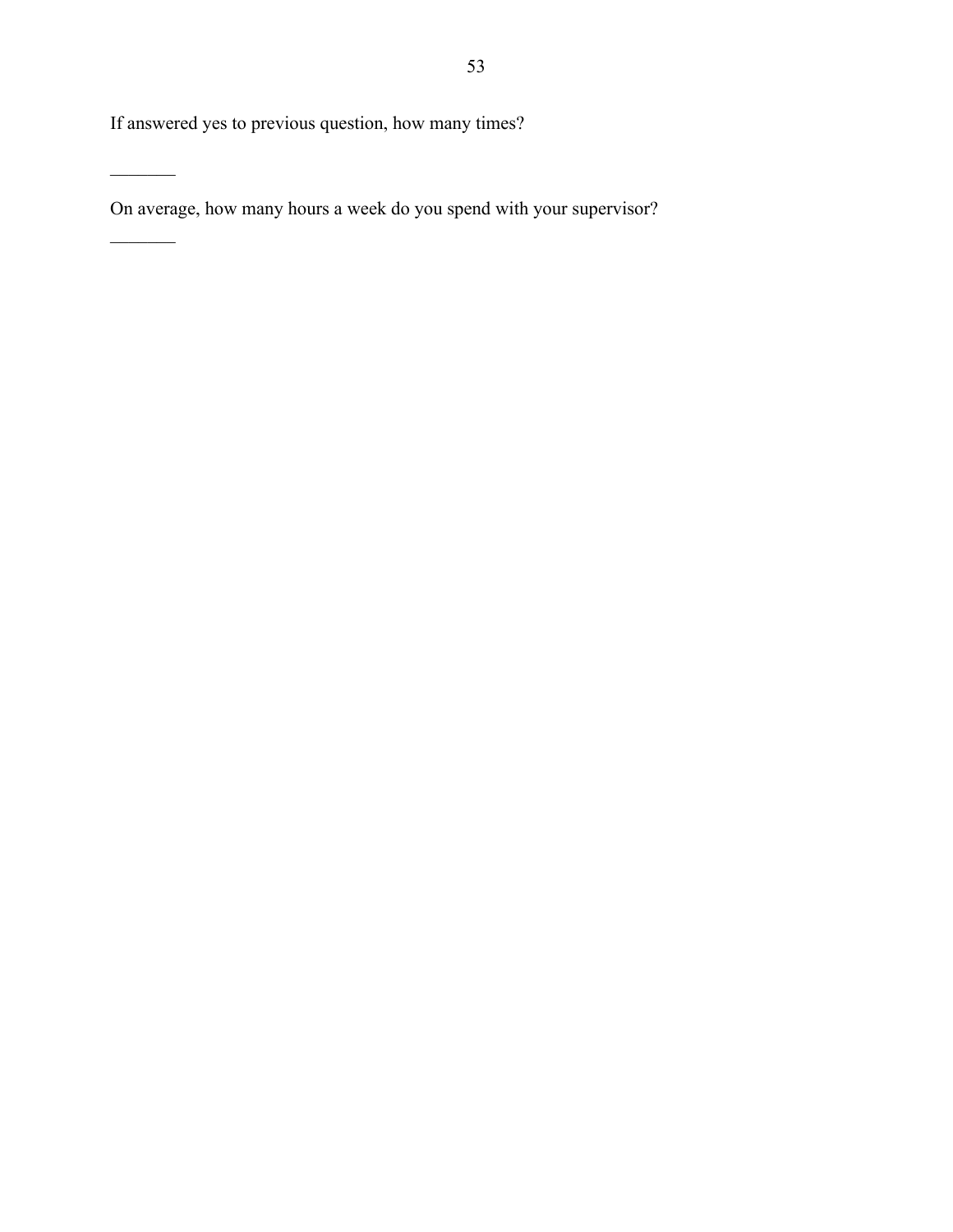If answered yes to previous question, how many times?

 $\overline{\phantom{a}}$ 

 $\frac{1}{2}$ 

On average, how many hours a week do you spend with your supervisor?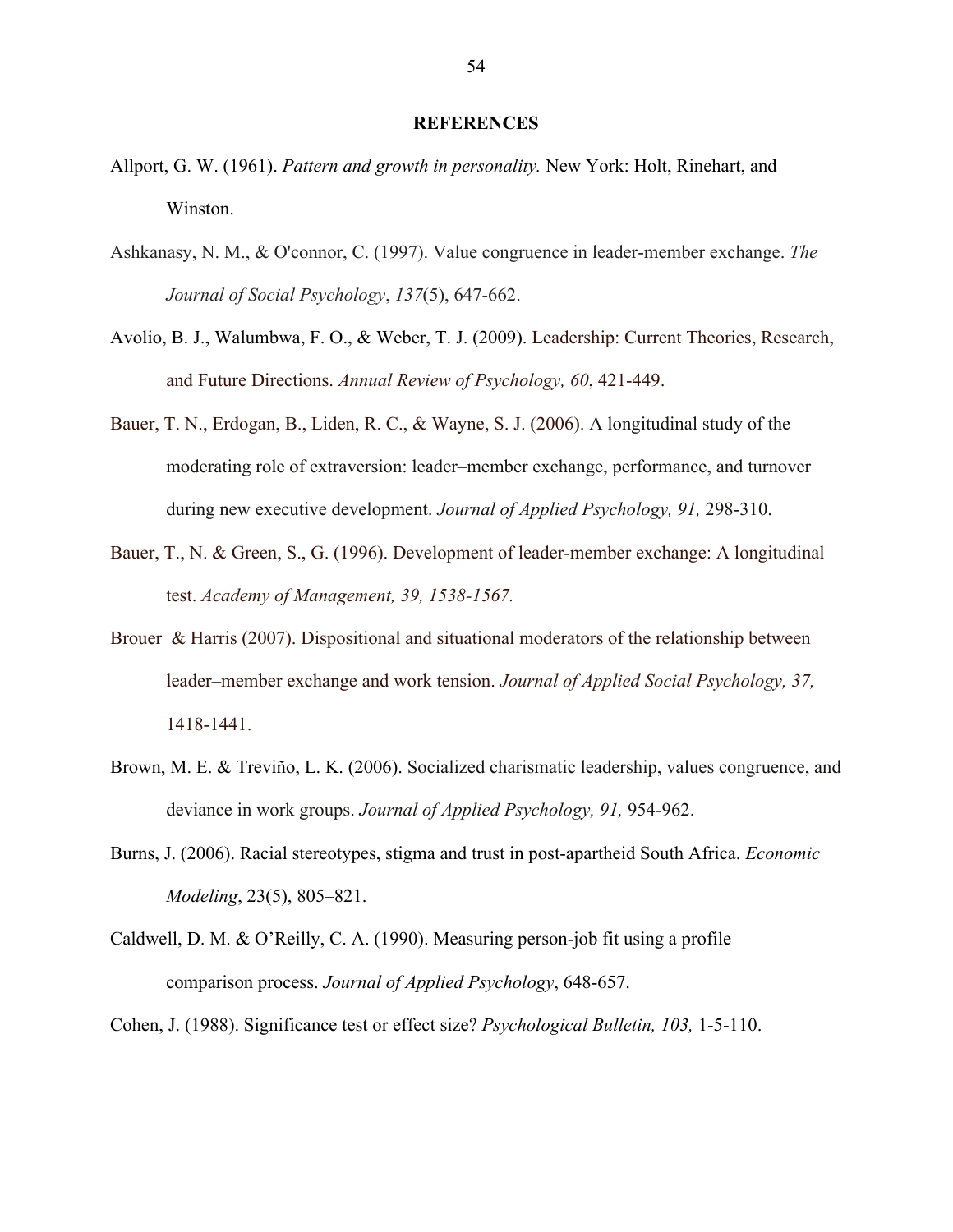#### **REFERENCES**

- Allport, G. W. (1961). *Pattern and growth in personality.* New York: Holt, Rinehart, and Winston.
- Ashkanasy, N. M., & O'connor, C. (1997). Value congruence in leader-member exchange. *The Journal of Social Psychology*, *137*(5), 647-662.
- Avolio, B. J., Walumbwa, F. O., & Weber, T. J. (2009). Leadership: Current Theories, Research, and Future Directions. *Annual Review of Psychology, 60*, 421-449.
- Bauer, T. N., Erdogan, B., Liden, R. C., & Wayne, S. J. (2006). A longitudinal study of the moderating role of extraversion: leader–member exchange, performance, and turnover during new executive development. *Journal of Applied Psychology, 91,* 298-310.
- Bauer, T., N. & Green, S., G. (1996). Development of leader-member exchange: A longitudinal test. *Academy of Management, 39, 1538-1567.*
- Brouer & Harris (2007). Dispositional and situational moderators of the relationship between leader–member exchange and work tension. *Journal of Applied Social Psychology, 37,*  1418-1441.
- Brown, M. E. & Treviño, L. K. (2006). Socialized charismatic leadership, values congruence, and deviance in work groups. *Journal of Applied Psychology, 91,* 954-962.
- Burns, J. (2006). Racial stereotypes, stigma and trust in post-apartheid South Africa. *Economic Modeling*, 23(5), 805–821.
- Caldwell, D. M. & O'Reilly, C. A. (1990). Measuring person-job fit using a profile comparison process. *Journal of Applied Psychology*, 648-657.
- Cohen, J. (1988). Significance test or effect size? *Psychological Bulletin, 103,* 1-5-110.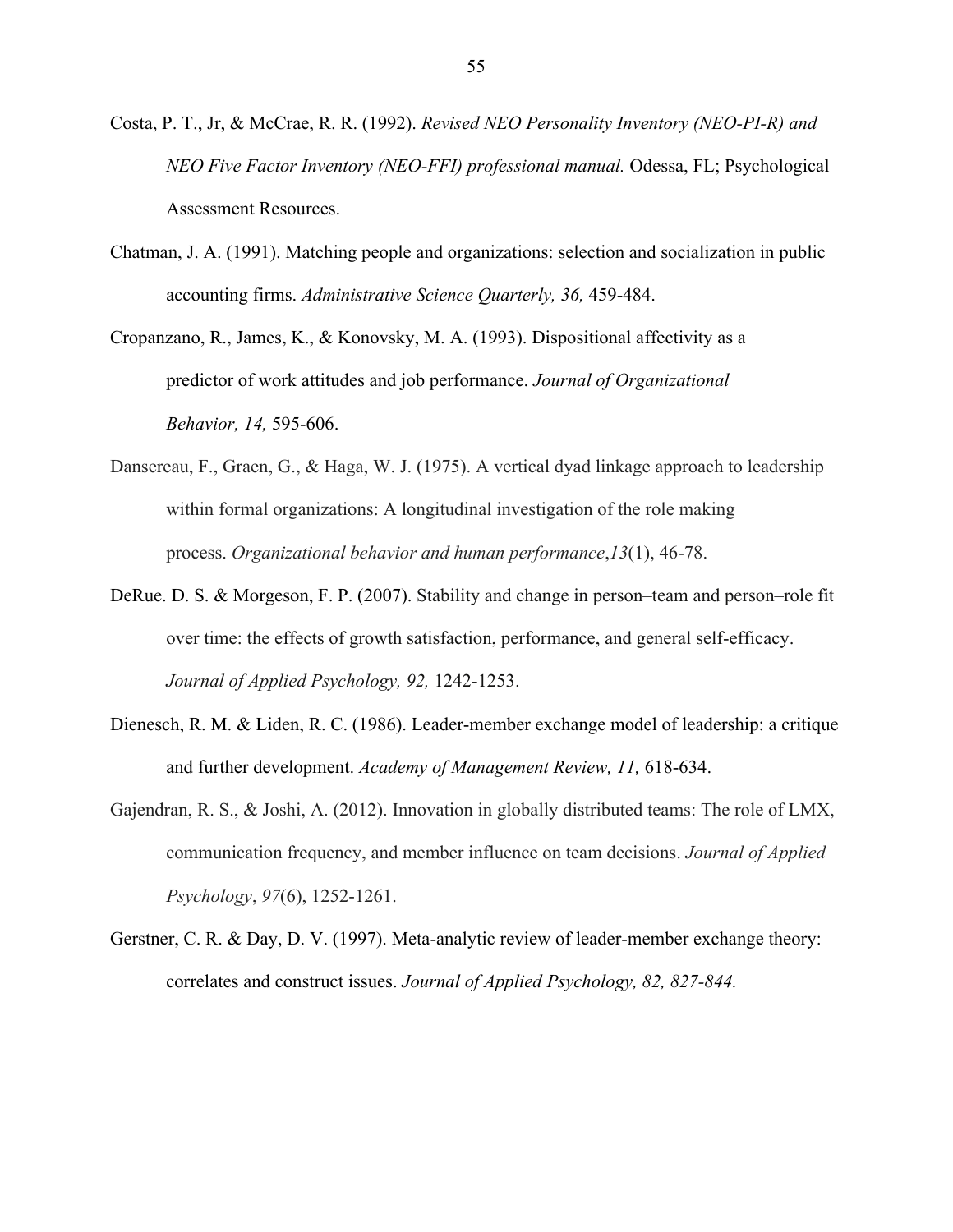- Costa, P. T., Jr, & McCrae, R. R. (1992). *Revised NEO Personality Inventory (NEO-PI-R) and NEO Five Factor Inventory (NEO-FFI) professional manual.* Odessa, FL; Psychological Assessment Resources.
- Chatman, J. A. (1991). Matching people and organizations: selection and socialization in public accounting firms. *Administrative Science Quarterly, 36,* 459-484.
- Cropanzano, R., James, K., & Konovsky, M. A. (1993). Dispositional affectivity as a predictor of work attitudes and job performance. *Journal of Organizational Behavior, 14,* 595-606.
- Dansereau, F., Graen, G., & Haga, W. J. (1975). A vertical dyad linkage approach to leadership within formal organizations: A longitudinal investigation of the role making process. *Organizational behavior and human performance*,*13*(1), 46-78.
- DeRue. D. S. & Morgeson, F. P. (2007). Stability and change in person–team and person–role fit over time: the effects of growth satisfaction, performance, and general self-efficacy. *Journal of Applied Psychology, 92,* 1242-1253.
- Dienesch, R. M. & Liden, R. C. (1986). Leader-member exchange model of leadership: a critique and further development. *Academy of Management Review, 11,* 618-634.
- Gajendran, R. S., & Joshi, A. (2012). Innovation in globally distributed teams: The role of LMX, communication frequency, and member influence on team decisions. *Journal of Applied Psychology*, *97*(6), 1252-1261.
- Gerstner, C. R. & Day, D. V. (1997). Meta-analytic review of leader-member exchange theory: correlates and construct issues. *Journal of Applied Psychology, 82, 827-844.*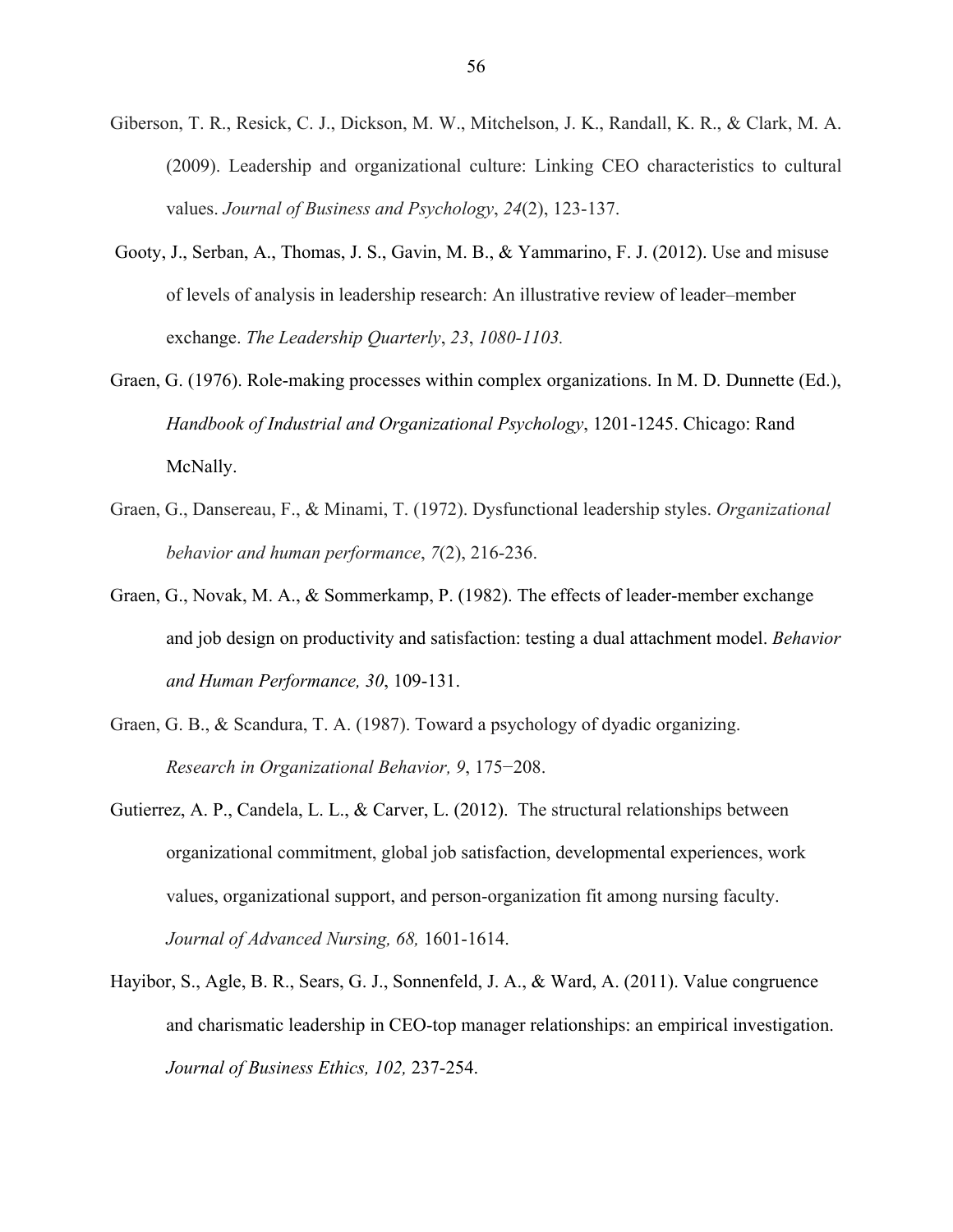- Giberson, T. R., Resick, C. J., Dickson, M. W., Mitchelson, J. K., Randall, K. R., & Clark, M. A. (2009). Leadership and organizational culture: Linking CEO characteristics to cultural values. *Journal of Business and Psychology*, *24*(2), 123-137.
- Gooty, J., Serban, A., Thomas, J. S., Gavin, M. B., & Yammarino, F. J. (2012). Use and misuse of levels of analysis in leadership research: An illustrative review of leader–member exchange. *The Leadership Quarterly*, *23*, *1080-1103.*
- Graen, G. (1976). Role-making processes within complex organizations. In M. D. Dunnette (Ed.), *Handbook of Industrial and Organizational Psychology*, 1201-1245. Chicago: Rand McNally.
- Graen, G., Dansereau, F., & Minami, T. (1972). Dysfunctional leadership styles. *Organizational behavior and human performance*, *7*(2), 216-236.
- Graen, G., Novak, M. A., & Sommerkamp, P. (1982). The effects of leader-member exchange and job design on productivity and satisfaction: testing a dual attachment model. *Behavior and Human Performance, 30*, 109-131.
- Graen, G. B., & Scandura, T. A. (1987). Toward a psychology of dyadic organizing. *Research in Organizational Behavior, 9*, 175−208.
- Gutierrez, A. P., Candela, L. L., & Carver, L. (2012). The structural relationships between organizational commitment, global job satisfaction, developmental experiences, work values, organizational support, and person-organization fit among nursing faculty. *Journal of Advanced Nursing, 68,* 1601-1614.
- Hayibor, S., Agle, B. R., Sears, G. J., Sonnenfeld, J. A., & Ward, A. (2011). Value congruence and charismatic leadership in CEO-top manager relationships: an empirical investigation. *Journal of Business Ethics, 102,* 237-254.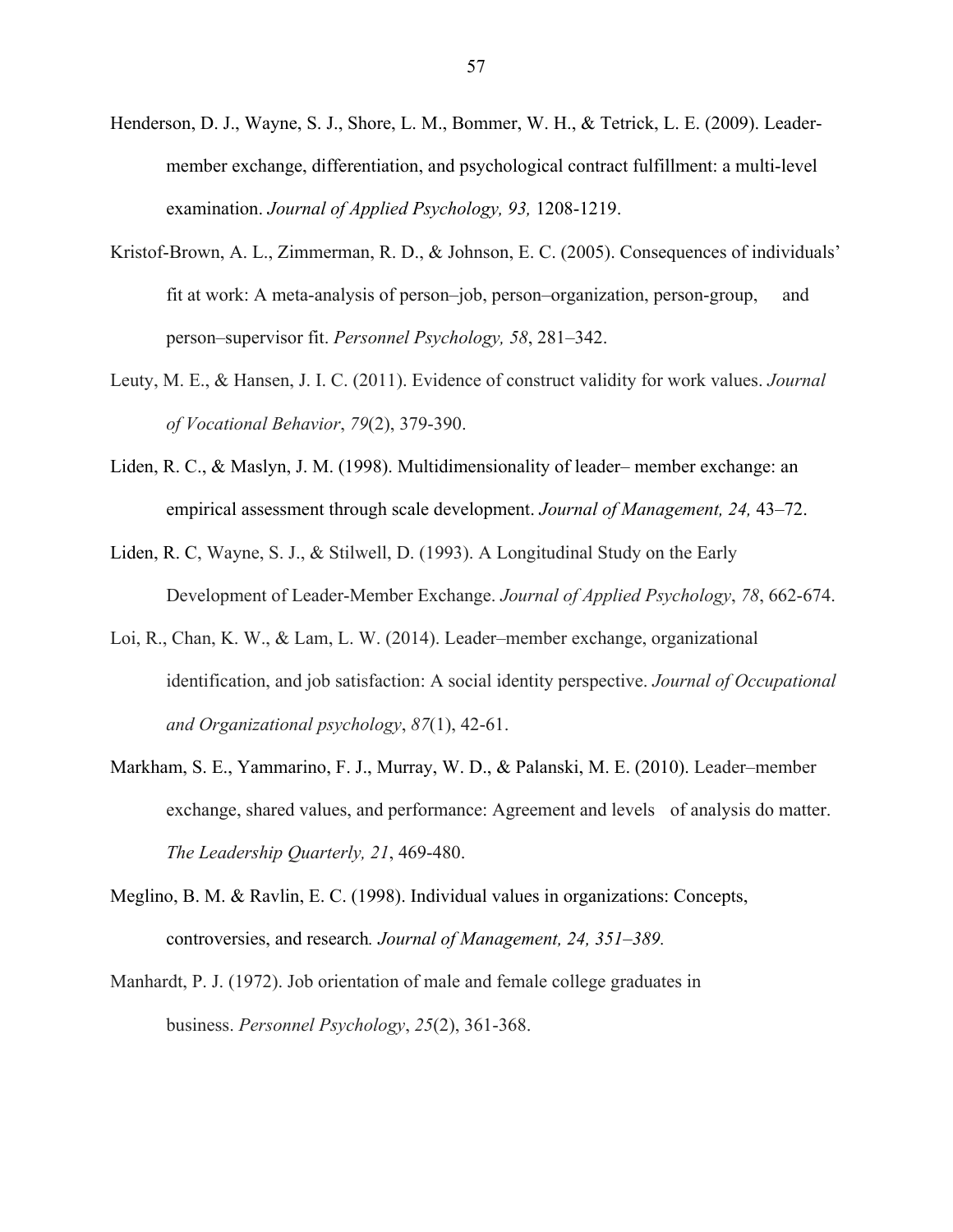- Henderson, D. J., Wayne, S. J., Shore, L. M., Bommer, W. H., & Tetrick, L. E. (2009). Leadermember exchange, differentiation, and psychological contract fulfillment: a multi-level examination. *Journal of Applied Psychology, 93,* 1208-1219.
- Kristof-Brown, A. L., Zimmerman, R. D., & Johnson, E. C. (2005). Consequences of individuals' fit at work: A meta-analysis of person–job, person–organization, person-group, and person–supervisor fit. *Personnel Psychology, 58*, 281–342.
- Leuty, M. E., & Hansen, J. I. C. (2011). Evidence of construct validity for work values. *Journal of Vocational Behavior*, *79*(2), 379-390.
- Liden, R. C., & Maslyn, J. M. (1998). Multidimensionality of leader– member exchange: an empirical assessment through scale development. *Journal of Management, 24,* 43–72.
- Liden, R. C, Wayne, S. J., & Stilwell, D. (1993). A Longitudinal Study on the Early Development of Leader-Member Exchange. *Journal of Applied Psychology*, *78*, 662-674.
- Loi, R., Chan, K. W., & Lam, L. W. (2014). Leader–member exchange, organizational identification, and job satisfaction: A social identity perspective. *Journal of Occupational and Organizational psychology*, *87*(1), 42-61.
- Markham, S. E., Yammarino, F. J., Murray, W. D., & Palanski, M. E. (2010). Leader–member exchange, shared values, and performance: Agreement and levels of analysis do matter. *The Leadership Quarterly, 21*, 469-480.
- Meglino, B. M. & Ravlin, E. C. (1998). Individual values in organizations: Concepts, controversies, and research*. Journal of Management, 24, 351–389.*
- Manhardt, P. J. (1972). Job orientation of male and female college graduates in business. *Personnel Psychology*, *25*(2), 361-368.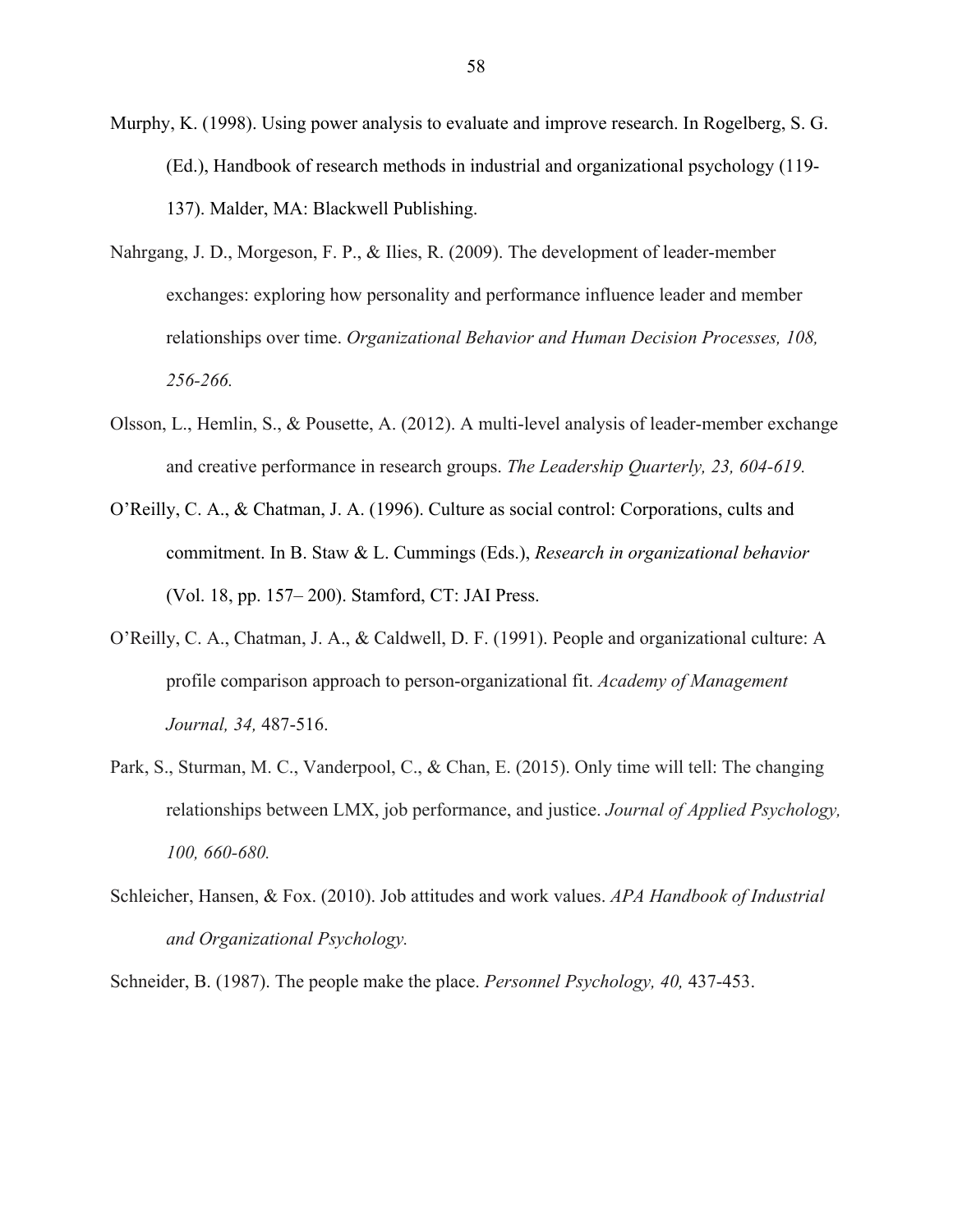- Murphy, K. (1998). Using power analysis to evaluate and improve research. In Rogelberg, S. G. (Ed.), Handbook of research methods in industrial and organizational psychology (119- 137). Malder, MA: Blackwell Publishing.
- Nahrgang, J. D., Morgeson, F. P., & Ilies, R. (2009). The development of leader-member exchanges: exploring how personality and performance influence leader and member relationships over time. *Organizational Behavior and Human Decision Processes, 108, 256-266.*
- Olsson, L., Hemlin, S., & Pousette, A. (2012). A multi-level analysis of leader-member exchange and creative performance in research groups. *The Leadership Quarterly, 23, 604-619.*
- O'Reilly, C. A., & Chatman, J. A. (1996). Culture as social control: Corporations, cults and commitment. In B. Staw & L. Cummings (Eds.), *Research in organizational behavior*  (Vol. 18, pp. 157– 200). Stamford, CT: JAI Press.
- O'Reilly, C. A., Chatman, J. A., & Caldwell, D. F. (1991). People and organizational culture: A profile comparison approach to person-organizational fit. *Academy of Management Journal, 34,* 487-516.
- Park, S., Sturman, M. C., Vanderpool, C., & Chan, E. (2015). Only time will tell: The changing relationships between LMX, job performance, and justice. *Journal of Applied Psychology, 100, 660-680.*
- Schleicher, Hansen, & Fox. (2010). Job attitudes and work values. *APA Handbook of Industrial and Organizational Psychology.*

Schneider, B. (1987). The people make the place. *Personnel Psychology, 40,* 437-453.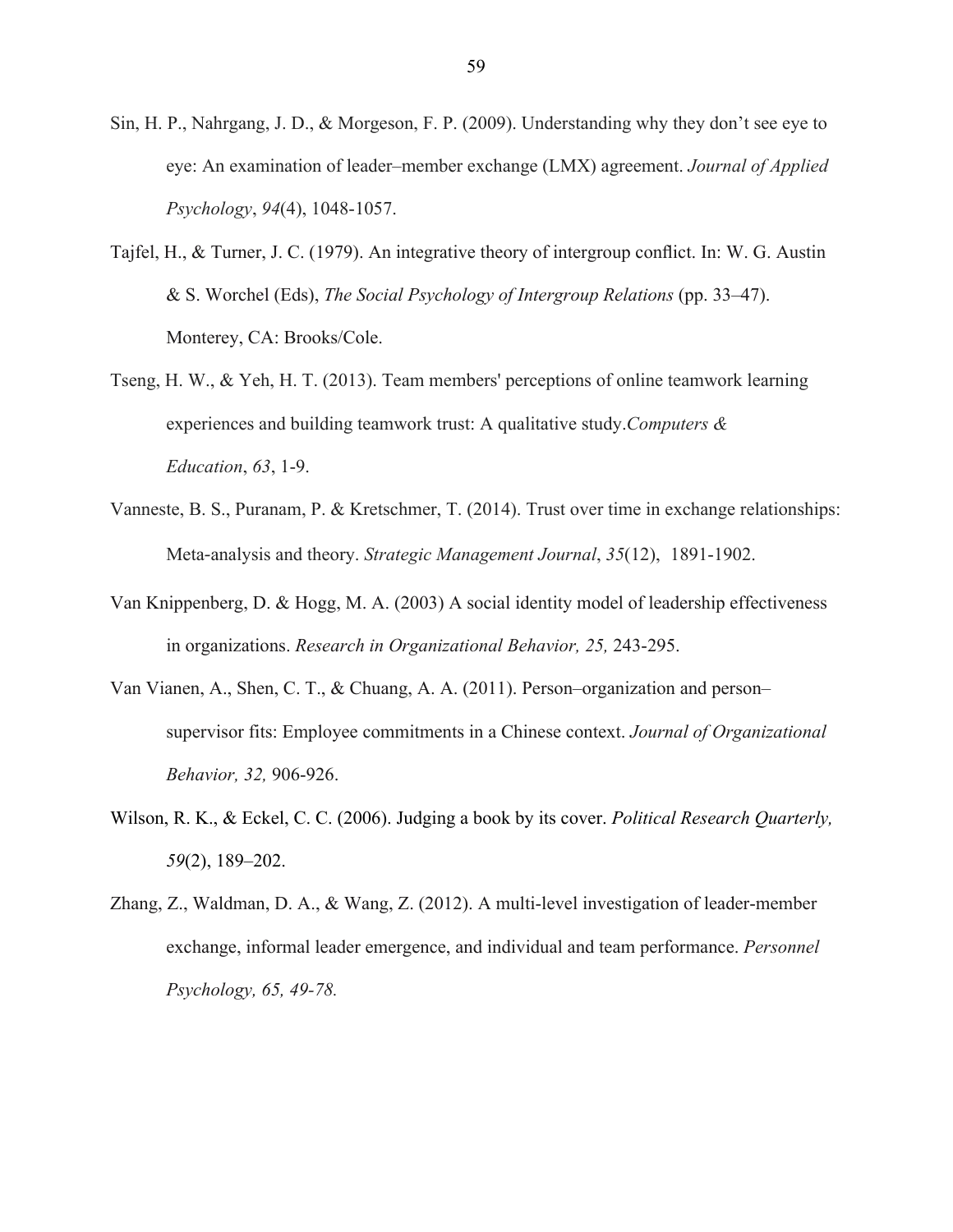- Sin, H. P., Nahrgang, J. D., & Morgeson, F. P. (2009). Understanding why they don't see eye to eye: An examination of leader–member exchange (LMX) agreement. *Journal of Applied Psychology*, *94*(4), 1048-1057.
- Tajfel, H., & Turner, J. C. (1979). An integrative theory of intergroup conflict. In: W. G. Austin & S. Worchel (Eds), *The Social Psychology of Intergroup Relations* (pp. 33–47). Monterey, CA: Brooks/Cole.
- Tseng, H. W., & Yeh, H. T. (2013). Team members' perceptions of online teamwork learning experiences and building teamwork trust: A qualitative study.*Computers & Education*, *63*, 1-9.
- Vanneste, B. S., Puranam, P. & Kretschmer, T. (2014). Trust over time in exchange relationships: Meta-analysis and theory. *Strategic Management Journal*, *35*(12), 1891-1902.
- Van Knippenberg, D. & Hogg, M. A. (2003) A social identity model of leadership effectiveness in organizations. *Research in Organizational Behavior, 25,* 243-295.
- Van Vianen, A., Shen, C. T., & Chuang, A. A. (2011). Person–organization and person– supervisor fits: Employee commitments in a Chinese context. *Journal of Organizational Behavior, 32,* 906-926.
- Wilson, R. K., & Eckel, C. C. (2006). Judging a book by its cover. *Political Research Quarterly, 59*(2), 189–202.
- Zhang, Z., Waldman, D. A., & Wang, Z. (2012). A multi-level investigation of leader-member exchange, informal leader emergence, and individual and team performance. *Personnel Psychology, 65, 49-78.*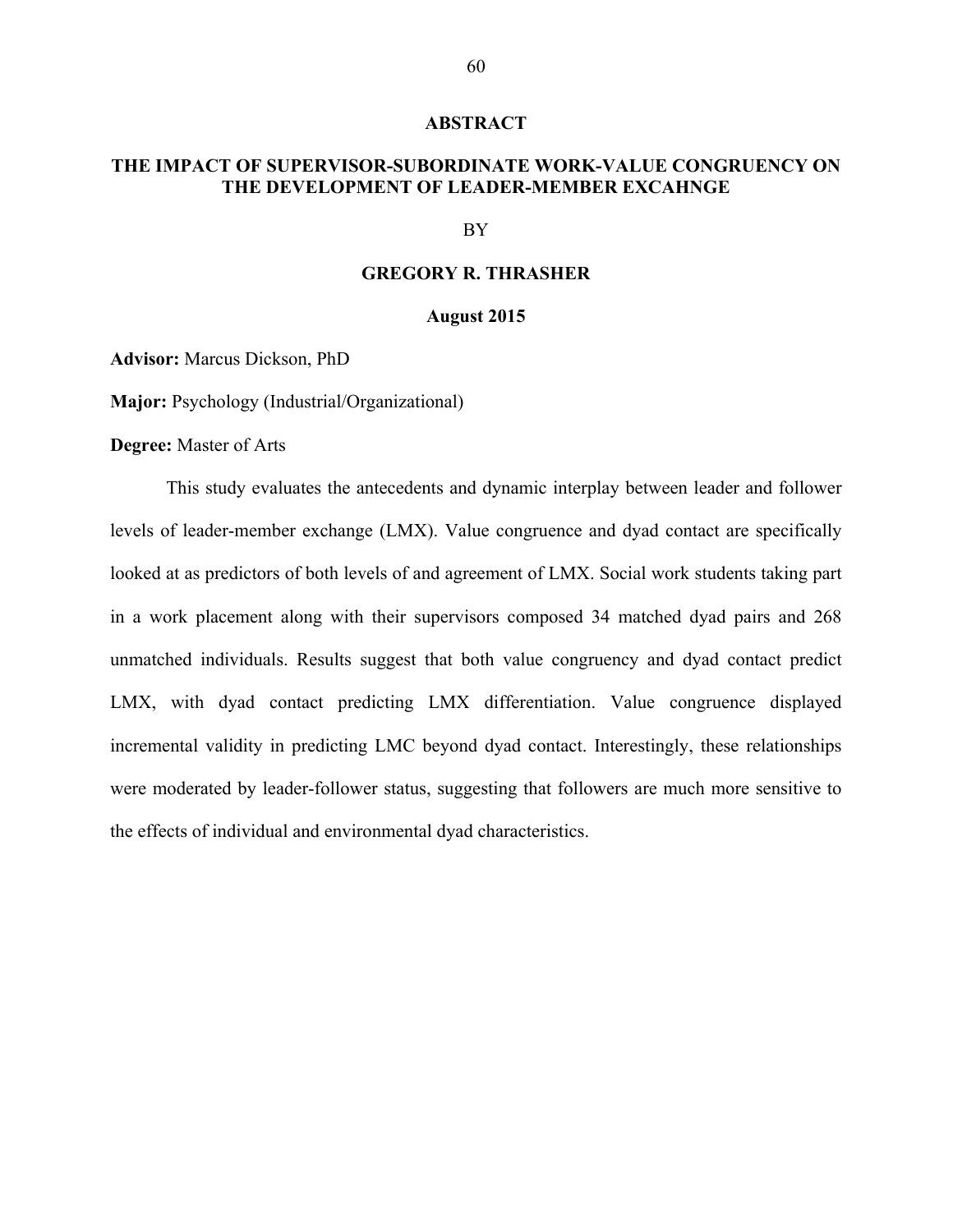#### **ABSTRACT**

#### **THE IMPACT OF SUPERVISOR-SUBORDINATE WORK-VALUE CONGRUENCY ON THE DEVELOPMENT OF LEADER-MEMBER EXCAHNGE**

#### BY

#### **GREGORY R. THRASHER**

#### **August 2015**

**Advisor:** Marcus Dickson, PhD

**Major:** Psychology (Industrial/Organizational)

**Degree:** Master of Arts

This study evaluates the antecedents and dynamic interplay between leader and follower levels of leader-member exchange (LMX). Value congruence and dyad contact are specifically looked at as predictors of both levels of and agreement of LMX. Social work students taking part in a work placement along with their supervisors composed 34 matched dyad pairs and 268 unmatched individuals. Results suggest that both value congruency and dyad contact predict LMX, with dyad contact predicting LMX differentiation. Value congruence displayed incremental validity in predicting LMC beyond dyad contact. Interestingly, these relationships were moderated by leader-follower status, suggesting that followers are much more sensitive to the effects of individual and environmental dyad characteristics.